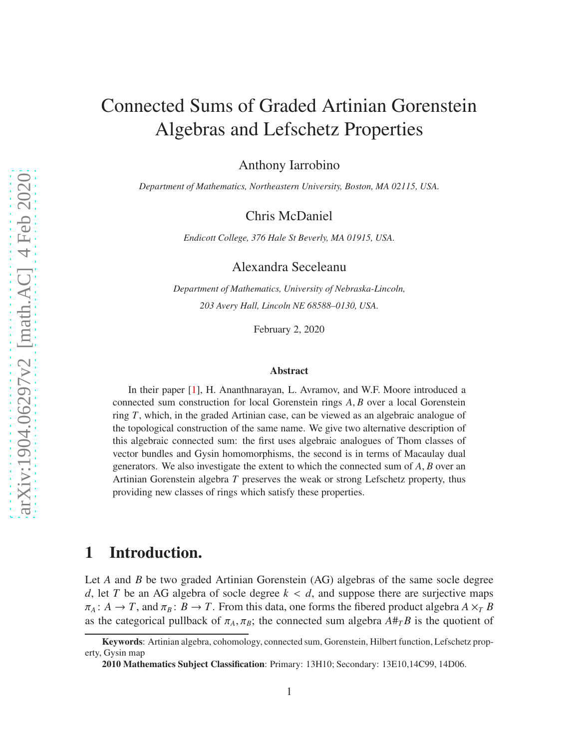# Connected Sums of Graded Artinian Gorenstein Algebras and Lefschetz Properties

Anthony Iarrobino

*Department of Mathematics, Northeastern University, Boston, MA 02115, USA.*

Chris McDaniel

*Endicott College, 376 Hale St Beverly, MA 01915, USA.*

Alexandra Seceleanu

*Department of Mathematics, University of Nebraska-Lincoln, 203 Avery Hall, Lincoln NE 68588–0130, USA.*

February 2, 2020

#### Abstract

In their paper [\[1\]](#page-55-0), H. Ananthnarayan, L. Avramov, and W.F. Moore introduced a connected sum construction for local Gorenstein rings *A*, *B* over a local Gorenstein ring *T*, which, in the graded Artinian case, can be viewed as an algebraic analogue of the topological construction of the same name. We give two alternative description of this algebraic connected sum: the first uses algebraic analogues of Thom classes of vector bundles and Gysin homomorphisms, the second is in terms of Macaulay dual generators. We also investigate the extent to which the connected sum of *A*, *B* over an Artinian Gorenstein algebra *T* preserves the weak or strong Lefschetz property, thus providing new classes of rings which satisfy these properties.

### <span id="page-0-0"></span>1 Introduction.

Let *A* and *B* be two graded Artinian Gorenstein (AG) algebras of the same socle degree *d*, let *T* be an AG algebra of socle degree  $k < d$ , and suppose there are surjective maps  $\pi_A : A \to T$ , and  $\pi_B : B \to T$ . From this data, one forms the fibered product algebra  $A \times_T B$ as the categorical pullback of  $\pi_A$ ,  $\pi_B$ ; the connected sum algebra  $A \#_{T} B$  is the quotient of

Keywords: Artinian algebra, cohomology, connected sum, Gorenstein, Hilbert function, Lefschetz property, Gysin map

<sup>2010</sup> Mathematics Subject Classification: Primary: 13H10; Secondary: 13E10,14C99, 14D06.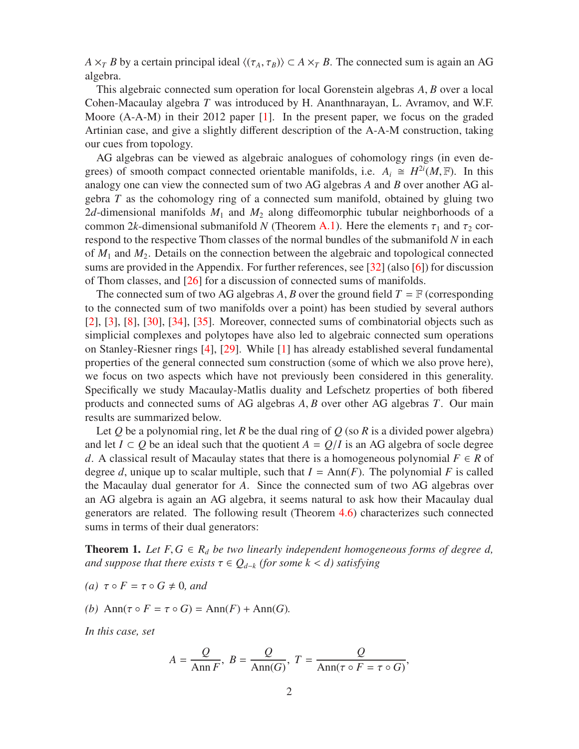*A*  $\times$ *T B* by a certain principal ideal  $\langle (\tau_A, \tau_B) \rangle \subset A \times T$  *B*. The connected sum is again an AG algebra.

This algebraic connected sum operation for local Gorenstein algebras *A*, *B* over a local Cohen-Macaulay algebra *T* was introduced by H. Ananthnarayan, L. Avramov, and W.F. Moore (A-A-M) in their 2012 paper [\[1\]](#page-55-0). In the present paper, we focus on the graded Artinian case, and give a slightly different description of the A-A-M construction, taking our cues from topology.

AG algebras can be viewed as algebraic analogues of cohomology rings (in even degrees) of smooth compact connected orientable manifolds, i.e.  $A_i \cong H^{2i}(M, \mathbb{F})$ . In this analogy one can view the connected sum of two AG algebras *A* and *B* over another AG algebra *T* as the cohomology ring of a connected sum manifold, obtained by gluing two 2*d*-dimensional manifolds  $M_1$  and  $M_2$  along diffeomorphic tubular neighborhoods of a common 2*k*-dimensional submanifold *N* (Theorem [A.1\)](#page-48-0). Here the elements  $\tau_1$  and  $\tau_2$  correspond to the respective Thom classes of the normal bundles of the submanifold *N* in each of *M*<sup>1</sup> and *M*2. Details on the connection between the algebraic and topological connected sums are provided in the Appendix. For further references, see [\[32\]](#page-57-0) (also [\[6\]](#page-55-1)) for discussion of Thom classes, and [\[26\]](#page-56-0) for a discussion of connected sums of manifolds.

The connected sum of two AG algebras *A*, *B* over the ground field  $T = \mathbb{F}$  (corresponding to the connected sum of two manifolds over a point) has been studied by several authors [\[2\]](#page-55-2), [\[3\]](#page-55-3), [\[8\]](#page-55-4), [\[30\]](#page-56-1), [\[34\]](#page-57-1), [\[35\]](#page-57-2). Moreover, connected sums of combinatorial objects such as simplicial complexes and polytopes have also led to algebraic connected sum operations on Stanley-Riesner rings [\[4\]](#page-55-5), [\[29\]](#page-56-2). While [\[1\]](#page-55-0) has already established several fundamental properties of the general connected sum construction (some of which we also prove here), we focus on two aspects which have not previously been considered in this generality. Specifically we study Macaulay-Matlis duality and Lefschetz properties of both fibered products and connected sums of AG algebras *A*, *B* over other AG algebras *T*. Our main results are summarized below.

Let  $Q$  be a polynomial ring, let  $R$  be the dual ring of  $Q$  (so  $R$  is a divided power algebra) and let  $I \subset Q$  be an ideal such that the quotient  $A = Q/I$  is an AG algebra of socle degree *d*. A classical result of Macaulay states that there is a homogeneous polynomial  $F \in R$  of degree *d*, unique up to scalar multiple, such that  $I = Ann(F)$ . The polynomial *F* is called the Macaulay dual generator for *A*. Since the connected sum of two AG algebras over an AG algebra is again an AG algebra, it seems natural to ask how their Macaulay dual generators are related. The following result (Theorem [4.6\)](#page-18-0) characterizes such connected sums in terms of their dual generators:

<span id="page-1-0"></span>**Theorem 1.** Let  $F, G \in R_d$  be two linearly independent homogeneous forms of degree d, *and suppose that there exists*  $\tau \in Q_{d-k}$  *(for some k < d) satisfying* 

- *(a)*  $τ ∘ F = τ ∘ G ≠ 0$ *, and*
- *(b)* Ann( $\tau \circ F = \tau \circ G$ ) = Ann( $F$ ) + Ann( $G$ ).

*In this case, set*

$$
A = \frac{Q}{\text{Ann } F}, \ B = \frac{Q}{\text{Ann}(G)}, \ T = \frac{Q}{\text{Ann}(\tau \circ F = \tau \circ G)},
$$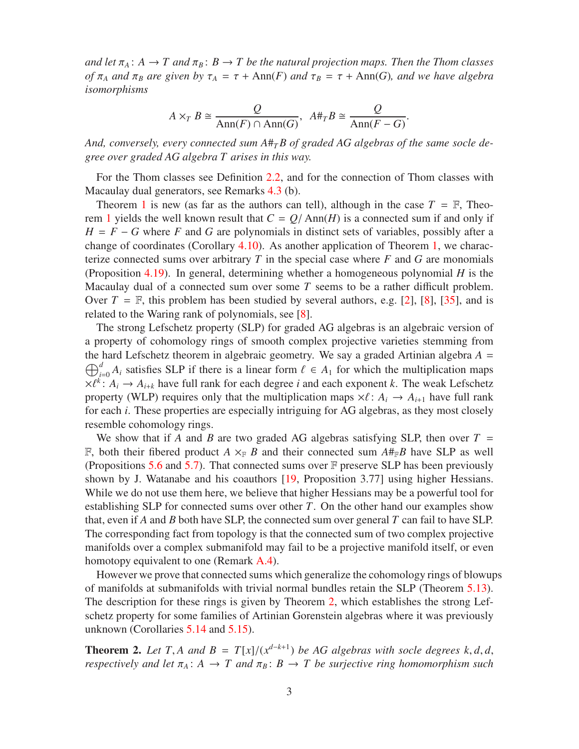*and let*  $\pi_A$ :  $A \to T$  *and*  $\pi_B$ :  $B \to T$  *be the natural projection maps. Then the Thom classes of*  $\pi_A$  *and*  $\pi_B$  *are given by*  $\tau_A = \tau + \text{Ann}(F)$  *and*  $\tau_B = \tau + \text{Ann}(G)$ *, and we have algebra isomorphisms*

$$
A \times_T B \cong \frac{Q}{\text{Ann}(F) \cap \text{Ann}(G)}, \quad A \#_T B \cong \frac{Q}{\text{Ann}(F - G)}.
$$

And, conversely, every connected sum  $A#_{T}B$  of graded AG algebras of the same socle de*gree over graded AG algebra T arises in this way.*

For the Thom classes see Definition [2.2,](#page-5-0) and for the connection of Thom classes with Macaulay dual generators, see Remarks 4.3 (b).

Theorem [1](#page-1-0) is new (as far as the authors can tell), although in the case  $T = \mathbb{F}$ , Theo-rem [1](#page-1-0) yields the well known result that  $C = Q/\text{Ann}(H)$  is a connected sum if and only if  $H = F - G$  where *F* and *G* are polynomials in distinct sets of variables, possibly after a change of coordinates (Corollary [4.10\)](#page-23-0). As another application of Theorem [1,](#page-1-0) we characterize connected sums over arbitrary *T* in the special case where *F* and *G* are monomials (Proposition [4.19\)](#page-27-0). In general, determining whether a homogeneous polynomial *H* is the Macaulay dual of a connected sum over some *T* seems to be a rather difficult problem. Over  $T = \mathbb{F}$ , this problem has been studied by several authors, e.g. [\[2\]](#page-55-2), [\[8\]](#page-55-4), [\[35\]](#page-57-2), and is related to the Waring rank of polynomials, see [\[8\]](#page-55-4).

The strong Lefschetz property (SLP) for graded AG algebras is an algebraic version of a property of cohomology rings of smooth complex projective varieties stemming from  $\bigoplus_{i=1}^{d}$ the hard Lefschetz theorem in algebraic geometry. We say a graded Artinian algebra  $A =$  $\mu_{i=0}^{a} A_i$  satisfies SLP if there is a linear form  $\ell \in A_1$  for which the multiplication maps  $\times \ell^k$ :  $A_i \rightarrow A_{i+k}$  have full rank for each degree *i* and each exponent *k*. The weak Lefschetz property (WLP) requires only that the multiplication maps  $\times \ell : A_i \to A_{i+1}$  have full rank for each *i*. These properties are especially intriguing for AG algebras, as they most closely resemble cohomology rings.

We show that if *A* and *B* are two graded AG algebras satisfying SLP, then over  $T =$ F, both their fibered product  $A \times_{\mathbb{F}} B$  and their connected sum  $A#_{\mathbb{F}}B$  have SLP as well (Propositions [5.6](#page-32-0) and [5.7\)](#page-32-1). That connected sums over  $\mathbb F$  preserve SLP has been previously shown by J. Watanabe and his coauthors [\[19,](#page-56-3) Proposition 3.77] using higher Hessians. While we do not use them here, we believe that higher Hessians may be a powerful tool for establishing SLP for connected sums over other *T*. On the other hand our examples show that, even if *A* and *B* both have SLP, the connected sum over general *T* can fail to have SLP. The corresponding fact from topology is that the connected sum of two complex projective manifolds over a complex submanifold may fail to be a projective manifold itself, or even homotopy equivalent to one (Remark [A.4\)](#page-54-0).

However we prove that connected sums which generalize the cohomology rings of blowups of manifolds at submanifolds with trivial normal bundles retain the SLP (Theorem [5.13\)](#page-34-0). The description for these rings is given by Theorem [2,](#page-2-0) which establishes the strong Lefschetz property for some families of Artinian Gorenstein algebras where it was previously unknown (Corollaries [5.14](#page-37-0) and [5.15\)](#page-38-0).

<span id="page-2-0"></span>**Theorem 2.** Let T, A and  $B = T[x]/(x^{d-k+1})$  be AG algebras with socle degrees k, d, d, *respectively and let*  $\pi_A$ :  $A \to T$  *and*  $\pi_B$ :  $B \to T$  *be surjective ring homomorphism such*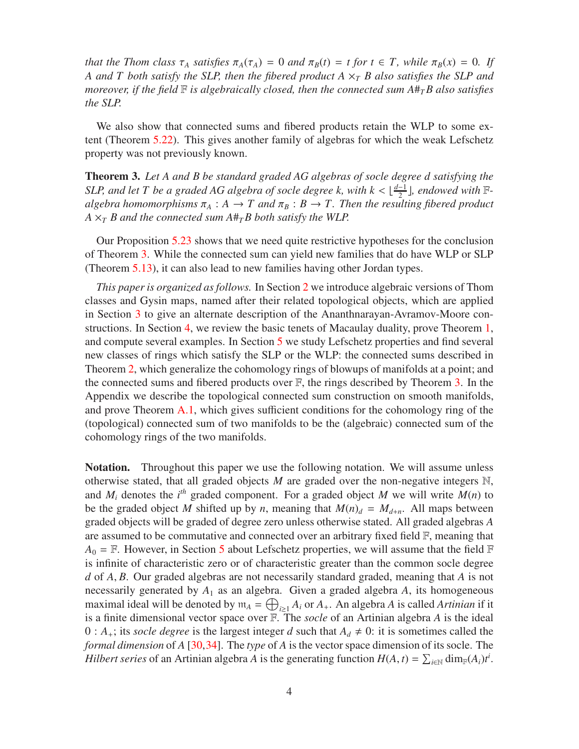*that the Thom class*  $\tau_A$  *satisfies*  $\pi_A(\tau_A) = 0$  *and*  $\pi_B(t) = t$  *for*  $t \in T$ *, while*  $\pi_B(x) = 0$ *. If A and T both satisfy the SLP, then the fibered product A* ×*<sup>T</sup> B also satisfies the SLP and moreover, if the field* F *is algebraically closed, then the connected sum A*#*TB also satisfies the SLP.*

We also show that connected sums and fibered products retain the WLP to some extent (Theorem [5.22\)](#page-42-0). This gives another family of algebras for which the weak Lefschetz property was not previously known.

<span id="page-3-0"></span>Theorem 3. *Let A and B be standard graded AG algebras of socle degree d satisfying the SLP, and let T be a graded AG algebra of socle degree k, with*  $k < \lfloor \frac{d-1}{2} \rfloor$ *, endowed with*  $\mathbb{F}$ *algebra homomorphisms*  $\pi_A : A \to T$  and  $\pi_B : B \to T$ . Then the resulting fibered product  $A \times_{T} B$  and the connected sum  $A \#_{T} B$  both satisfy the WLP.

Our Proposition [5.23](#page-43-0) shows that we need quite restrictive hypotheses for the conclusion of Theorem [3.](#page-3-0) While the connected sum can yield new families that do have WLP or SLP (Theorem [5.13\)](#page-34-0), it can also lead to new families having other Jordan types.

*This paper is organized as follows.* In Section [2](#page-4-0) we introduce algebraic versions of Thom classes and Gysin maps, named after their related topological objects, which are applied in Section [3](#page-9-0) to give an alternate description of the Ananthnarayan-Avramov-Moore constructions. In Section [4,](#page-15-0) we review the basic tenets of Macaulay duality, prove Theorem [1,](#page-1-0) and compute several examples. In Section [5](#page-30-0) we study Lefschetz properties and find several new classes of rings which satisfy the SLP or the WLP: the connected sums described in Theorem [2,](#page-2-0) which generalize the cohomology rings of blowups of manifolds at a point; and the connected sums and fibered products over  $\mathbb{F}$ , the rings described by Theorem [3.](#page-3-0) In the Appendix we describe the topological connected sum construction on smooth manifolds, and prove Theorem [A.1,](#page-48-0) which gives sufficient conditions for the cohomology ring of the (topological) connected sum of two manifolds to be the (algebraic) connected sum of the cohomology rings of the two manifolds.

Notation. Throughout this paper we use the following notation. We will assume unless otherwise stated, that all graded objects *M* are graded over the non-negative integers N, and  $M_i$  denotes the  $i^{th}$  graded component. For a graded object  $M$  we will write  $M(n)$  to be the graded object *M* shifted up by *n*, meaning that  $M(n)<sub>d</sub> = M<sub>d+n</sub>$ . All maps between graded objects will be graded of degree zero unless otherwise stated. All graded algebras *A* are assumed to be commutative and connected over an arbitrary fixed field F, meaning that  $A_0 = \mathbb{F}$ . However, in Section [5](#page-30-0) about Lefschetz properties, we will assume that the field  $\mathbb{F}$ is infinite of characteristic zero or of characteristic greater than the common socle degree *d* of *A*, *B*. Our graded algebras are not necessarily standard graded, meaning that *A* is not necessarily generated by *A*<sup>1</sup> as an algebra. Given a graded algebra *A*, its homogeneous maximal ideal will be denoted by  $m_A = \bigoplus_{i \geq 1} A_i$  or  $A_+$ . An algebra *A* is called *Artinian* if it is a finite dimensional vector space over F. The *socle* of an Artinian algebra *A* is the ideal  $0: A_{+}$ ; its *socle degree* is the largest integer *d* such that  $A_{d} \neq 0$ : it is sometimes called the *formal dimension* of *A* [\[30,](#page-56-1)[34\]](#page-57-1). The *type* of *A* is the vector space dimension of its socle. The *Hilbert series* of an Artinian algebra *A* is the generating function  $H(A, t) = \sum_{i \in \mathbb{N}} \dim_{\mathbb{F}}(A_i) t^i$ .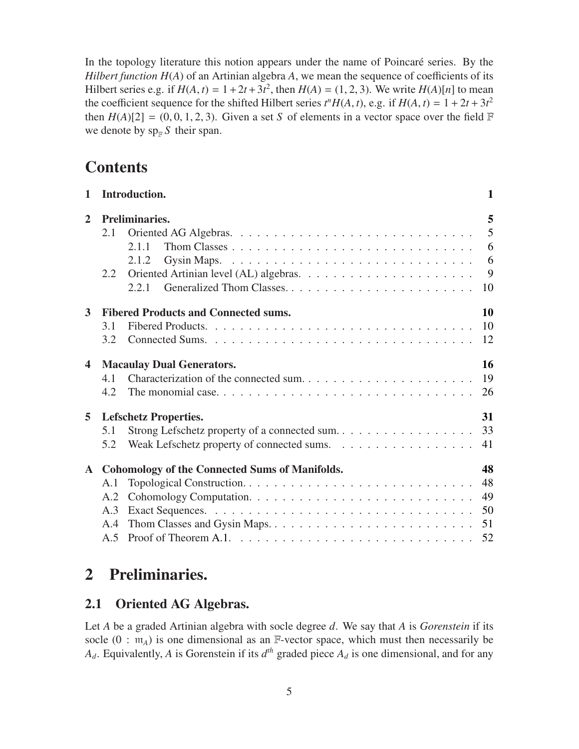In the topology literature this notion appears under the name of Poincaré series. By the *Hilbert function H*(*A*) of an Artinian algebra *A*, we mean the sequence of coefficients of its Hilbert series e.g. if  $H(A, t) = 1 + 2t + 3t^2$ , then  $H(A) = (1, 2, 3)$ . We write  $H(A)[n]$  to mean the coefficient sequence for the shifted Hilbert series  $t^n H(A, t)$ , e.g. if  $H(A, t) = 1 + 2t + 3t^2$ then  $H(A)[2] = (0, 0, 1, 2, 3)$ . Given a set *S* of elements in a vector space over the field  $\mathbb F$ we denote by  $\text{sp}_\mathbb{F} S$  their span.

## **Contents**

| $\mathbf{1}$   |                                        | Introduction.                                                                                   | 1               |
|----------------|----------------------------------------|-------------------------------------------------------------------------------------------------|-----------------|
| $\overline{2}$ |                                        | Preliminaries.                                                                                  | 5               |
|                | 2.1                                    |                                                                                                 | $5\overline{)}$ |
|                |                                        | 2.1.1                                                                                           | 6               |
|                |                                        | 2.1.2                                                                                           | 6               |
|                | 2.2                                    |                                                                                                 | 9               |
|                |                                        | 2.2.1                                                                                           | 10              |
| 3 <sup>1</sup> |                                        | <b>Fibered Products and Connected sums.</b>                                                     | 10              |
|                | 3.1                                    |                                                                                                 | 10              |
|                | 3.2                                    |                                                                                                 | 12              |
| 4              | 16<br><b>Macaulay Dual Generators.</b> |                                                                                                 |                 |
|                | 4.1                                    |                                                                                                 | 19              |
|                | 4.2                                    |                                                                                                 | 26              |
| 5              |                                        | <b>Lefschetz Properties.</b>                                                                    | 31              |
|                | 5.1                                    | Strong Lefschetz property of a connected sum                                                    | 33              |
|                | 5.2                                    |                                                                                                 | 41              |
| ${\bf A}^-$    |                                        | <b>Cohomology of the Connected Sums of Manifolds.</b>                                           | 48              |
|                | A.1                                    |                                                                                                 | 48              |
|                | A.2                                    |                                                                                                 | 49              |
|                | A.3                                    |                                                                                                 | 50              |
|                | A.4                                    |                                                                                                 | 51              |
|                | A.5                                    | Proof of Theorem A.1. $\dots \dots \dots \dots \dots \dots \dots \dots \dots \dots \dots \dots$ | 52              |
|                |                                        |                                                                                                 |                 |

## <span id="page-4-1"></span><span id="page-4-0"></span>2 Preliminaries.

### 2.1 Oriented AG Algebras.

Let *A* be a graded Artinian algebra with socle degree *d*. We say that *A* is *Gorenstein* if its socle  $(0 : m_A)$  is one dimensional as an  $\mathbb{F}\text{-vector space}$ , which must then necessarily be  $A_d$ . Equivalently, *A* is Gorenstein if its  $d^{th}$  graded piece  $A_d$  is one dimensional, and for any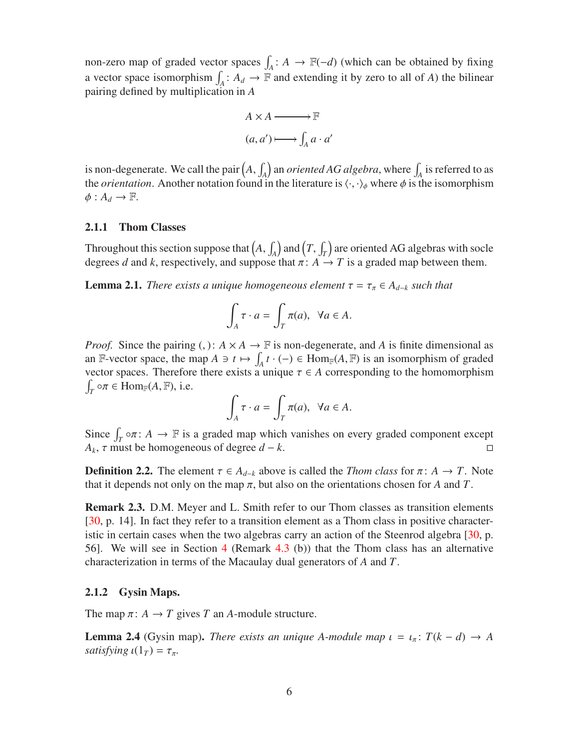non-zero map of graded vector spaces  $\int_A : A \to \mathbb{F}(-d)$  (which can be obtained by fixing a vector space isomorphism  $\int_A : A_d \to \mathbb{F}$  and extending it by zero to all of *A*) the bilinear pairing defined by multiplication in *A*

$$
A \times A \longrightarrow \mathbb{F}
$$

$$
(a, a') \longmapsto \int_A a \cdot a'
$$

is non-degenerate. We call the pair  $(A, \int_A)$  an *oriented AG algebra*, where  $\int_A$  is referred to as the *orientation*. Another notation found in the literature is  $\langle \cdot, \cdot \rangle_{\phi}$  where  $\phi$  is the isomorphism  $\phi: A_d \to \mathbb{F}$ .

#### <span id="page-5-1"></span>2.1.1 Thom Classes

Throughout this section suppose that  $(A, \int_A)$  and  $(T, \int_T)$  are oriented AG algebras with socle degrees *d* and *k*, respectively, and suppose that  $\pi$ :  $A \rightarrow T$  is a graded map between them.

<span id="page-5-3"></span>**Lemma 2.1.** *There exists a unique homogeneous element*  $\tau = \tau_{\pi} \in A_{d-k}$  *such that* 

$$
\int_A \tau \cdot a = \int_T \pi(a), \ \ \forall a \in A.
$$

*Proof.* Since the pairing (, ):  $A \times A \rightarrow \mathbb{F}$  is non-degenerate, and *A* is finite dimensional as an F-vector space, the map  $A \ni t \mapsto \int_A t \cdot (-) \in \text{Hom}_{\mathbb{F}}(A, \mathbb{F})$  is an isomorphism of graded vector spaces. Therefore there exists a unique  $\tau \in A$  corresponding to the homomorphism  $\int_T \circ \pi \in \text{Hom}_{\mathbb{F}}(A, \mathbb{F}),$  i.e.

$$
\int_A \tau \cdot a = \int_T \pi(a), \ \ \forall a \in A.
$$

Since  $\int_T \circ \pi \colon A \to \mathbb{F}$  is a graded map which vanishes on every graded component except  $A_k$ ,  $\tau$  must be homogeneous of degree *d* − *k*.

<span id="page-5-0"></span>**Definition 2.2.** The element  $\tau \in A_{d-k}$  above is called the *Thom class* for  $\pi: A \to T$ . Note that it depends not only on the map  $\pi$ , but also on the orientations chosen for *A* and *T*.

**Remark 2.3.** D.M. Meyer and L. Smith refer to our Thom classes as transition elements [\[30,](#page-56-1) p. 14]. In fact they refer to a transition element as a Thom class in positive characteristic in certain cases when the two algebras carry an action of the Steenrod algebra [\[30,](#page-56-1) p. 56]. We will see in Section [4](#page-15-0) (Remark 4.3 (b)) that the Thom class has an alternative characterization in terms of the Macaulay dual generators of *A* and *T*.

#### <span id="page-5-2"></span>2.1.2 Gysin Maps.

The map  $\pi: A \rightarrow T$  gives *T* an *A*-module structure.

<span id="page-5-4"></span>**Lemma 2.4** (Gysin map). *There exists an unique A-module map*  $\iota = \iota_{\pi} : T(k - d) \rightarrow A$ *satisfying*  $\iota(1_T) = \tau_{\pi}$ .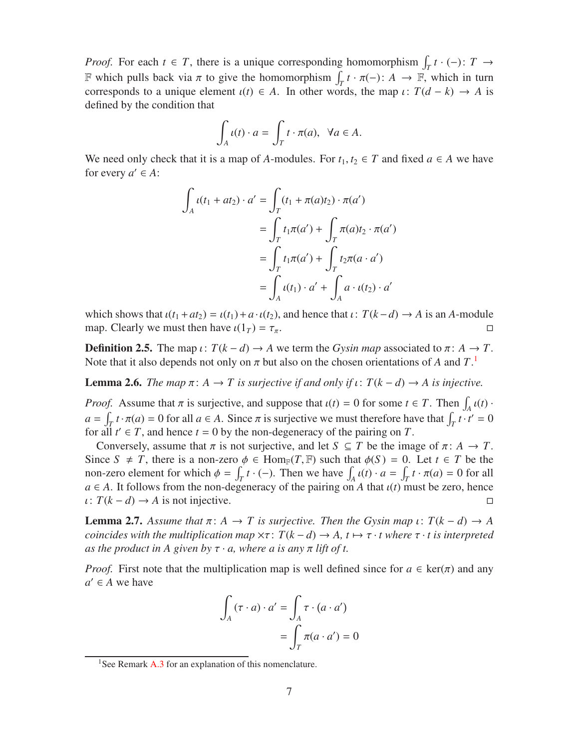*Proof.* For each  $t \in T$ , there is a unique corresponding homomorphism  $\int_T t \cdot (-) \colon T \to$ F which pulls back via  $\pi$  to give the homomorphism  $\int_T t \cdot \pi(-)$ :  $A \to \mathbb{F}$ , which in turn corresponds to a unique element  $\iota(t) \in A$ . In other words, the map  $\iota: T(d - k) \to A$  is defined by the condition that

$$
\int_A t(t) \cdot a = \int_T t \cdot \pi(a), \ \ \forall a \in A.
$$

We need only check that it is a map of *A*-modules. For  $t_1, t_2 \in T$  and fixed  $a \in A$  we have for every  $a' \in A$ :

$$
\int_A \iota(t_1 + at_2) \cdot a' = \int_T (t_1 + \pi(a)t_2) \cdot \pi(a')
$$

$$
= \int_T t_1 \pi(a') + \int_T \pi(a)t_2 \cdot \pi(a')
$$

$$
= \int_T t_1 \pi(a') + \int_T t_2 \pi(a \cdot a')
$$

$$
= \int_A \iota(t_1) \cdot a' + \int_A a \cdot \iota(t_2) \cdot a'
$$

which shows that  $\iota(t_1 + at_2) = \iota(t_1) + a \cdot \iota(t_2)$ , and hence that  $\iota: T(k-d) \to A$  is an *A*-module map. Clearly we must then have  $\iota(1_T) = \tau_{\pi}$ . map. Clearly we must then have  $\iota(1_T) = \tau_{\pi}$ .

<span id="page-6-3"></span>**Definition 2.5.** The map  $\iota$ :  $T(k-d) \rightarrow A$  we term the *Gysin map* associated to  $\pi$ :  $A \rightarrow T$ . Note that it also depends not only on  $\pi$  but also on the chosen orientations of A and  $T$ .<sup>[1](#page-6-0)</sup>

<span id="page-6-1"></span>**Lemma 2.6.** *The map*  $\pi$ :  $A \to T$  *is surjective if and only if*  $\iota$ :  $T(k-d) \to A$  *is injective.* 

*Proof.* Assume that  $\pi$  is surjective, and suppose that  $\iota(t) = 0$  for some  $t \in T$ . Then  $\int_A \iota(t)$ .  $a = \int_T t \cdot \pi(a) = 0$  for all  $a \in A$ . Since  $\pi$  is surjective we must therefore have that  $\int_T t \cdot t' = 0$ for all  $t' \in T$ , and hence  $t = 0$  by the non-degeneracy of the pairing on  $T$ .

Conversely, assume that  $\pi$  is not surjective, and let  $S \subseteq T$  be the image of  $\pi: A \to T$ . Since  $S \neq T$ , there is a non-zero  $\phi \in \text{Hom}_{\mathbb{F}}(T, \mathbb{F})$  such that  $\phi(S) = 0$ . Let  $t \in T$  be the non-zero element for which  $\phi = \int_T^T t \cdot (-)$ . Then we have  $\int_A u(t) \cdot a = \int_T^T t \cdot \pi(a) = 0$  for all  $a \in A$ . It follows from the non-degeneracy of the pairing on *A* that  $u(t)$  must be zero, hence  $\iota: T(k-d) \to A$  is not injective.

<span id="page-6-2"></span>**Lemma 2.7.** Assume that  $\pi: A \to T$  is surjective. Then the Gysin map  $\iota: T(k-d) \to A$ *coincides with the multiplication map*  $\times \tau$ :  $T(k-d) \rightarrow A$ ,  $t \mapsto \tau \cdot t$  where  $\tau \cdot t$  is interpreted *as the product in A given by*  $\tau \cdot a$ *, where a is any*  $\pi$  *lift of t.* 

*Proof.* First note that the multiplication map is well defined since for  $a \in \text{ker}(\pi)$  and any  $a' \in A$  we have

$$
\int_{A} (\tau \cdot a) \cdot a' = \int_{A} \tau \cdot (a \cdot a')
$$

$$
= \int_{T} \pi (a \cdot a') = 0
$$

<span id="page-6-0"></span><sup>&</sup>lt;sup>1</sup>See Remark [A.3](#page-51-1) for an explanation of this nomenclature.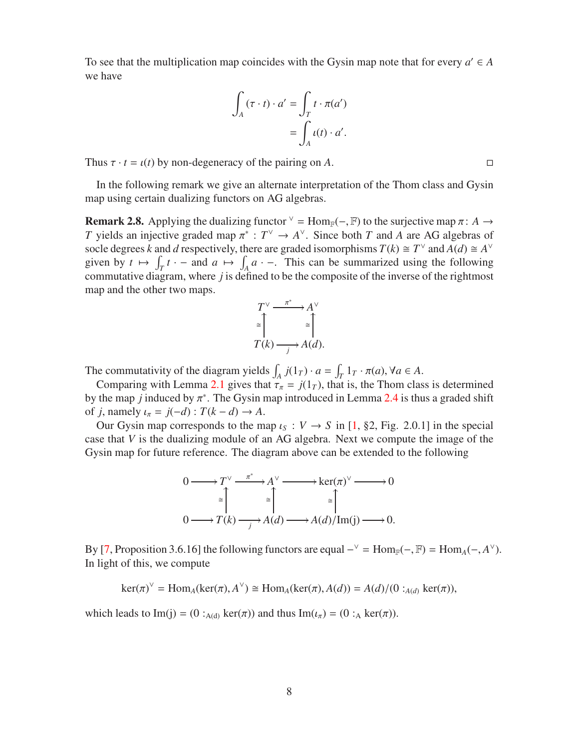To see that the multiplication map coincides with the Gysin map note that for every  $a' \in A$ we have

$$
\int_{A} (\tau \cdot t) \cdot a' = \int_{T} t \cdot \pi(a')
$$

$$
= \int_{A} \iota(t) \cdot a'.
$$

Thus  $\tau \cdot t = \iota(t)$  by non-degeneracy of the pairing on *A*.

In the following remark we give an alternate interpretation of the Thom class and Gysin map using certain dualizing functors on AG algebras.

<span id="page-7-0"></span>**Remark 2.8.** Applying the dualizing functor  $\vee$  = Hom<sub>F</sub>(-, F) to the surjective map  $\pi$ : *A*  $\rightarrow$ *T* yields an injective graded map  $\pi^* : T^{\vee} \to A^{\vee}$ . Since both *T* and *A* are AG algebras of socle degrees *k* and *d* respectively, there are graded isomorphisms  $T(k) \cong T^{\vee}$  and  $A(d) \cong A^{\vee}$ given by  $t \mapsto \int_T t \cdot -$  and  $a \mapsto \int_A a \cdot -$ . This can be summarized using the following commutative diagram, where *j* is defined to be the composite of the inverse of the rightmost map and the other two maps.

$$
T^{\vee} \xrightarrow{\pi^*} A^{\vee}
$$
  
\n
$$
\cong \uparrow
$$
  
\n
$$
T(k) \xrightarrow{j} A(d).
$$

The commutativity of the diagram yields  $\int_A j(1_T) \cdot a = \int_T 1_T \cdot \pi(a)$ ,  $\forall a \in A$ .

Comparing with Lemma [2.1](#page-5-3) gives that  $\tau_{\pi} = j(1_T)$ , that is, the Thom class is determined by the map *j* induced by  $\pi^*$ . The Gysin map introduced in Lemma [2.4](#page-5-4) is thus a graded shift of *j*, namely  $\iota_{\pi} = j(-d) : T(k - d) \rightarrow A$ .

Our Gysin map corresponds to the map  $\iota_S : V \to S$  in [\[1,](#page-55-0) §2, Fig. 2.0.1] in the special case that *V* is the dualizing module of an AG algebra. Next we compute the image of the Gysin map for future reference. The diagram above can be extended to the following



By [\[7,](#page-55-6) Proposition 3.6.16] the following functors are equal  $-\sqrt{ }$  = Hom<sub>F</sub>( $-$ , F) = Hom<sub>*A*</sub>( $-$ , *A*<sup> $\vee$ </sup>). In light of this, we compute

$$
\ker(\pi)^{\vee} = \text{Hom}_{A}(\ker(\pi), A^{\vee}) \cong \text{Hom}_{A}(\ker(\pi), A(d)) = A(d)/(0 :_{A(d)} \ker(\pi)),
$$

which leads to Im(j) = (0 :<sub>A(d)</sub> ker( $\pi$ )) and thus Im( $\iota_{\pi}$ ) = (0 :<sub>A</sub> ker( $\pi$ )).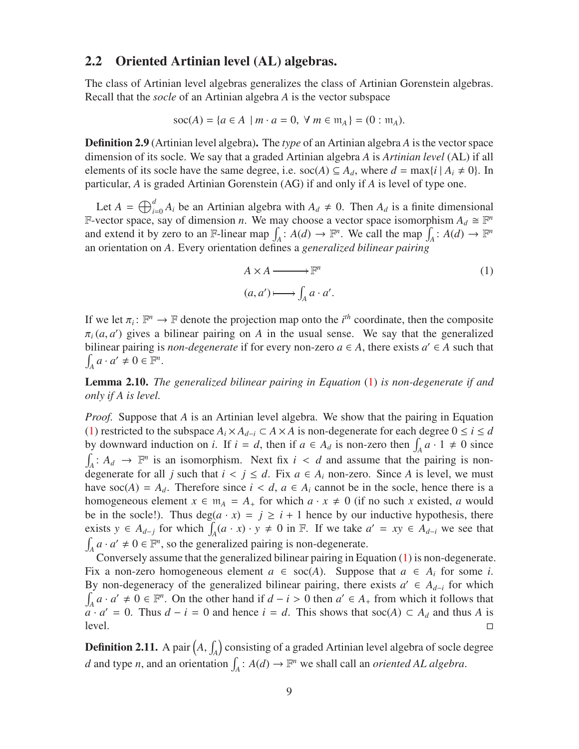### <span id="page-8-0"></span>2.2 Oriented Artinian level (AL) algebras.

The class of Artinian level algebras generalizes the class of Artinian Gorenstein algebras. Recall that the *socle* of an Artinian algebra *A* is the vector subspace

$$
soc(A) = \{a \in A \mid m \cdot a = 0, \forall m \in \mathfrak{m}_A\} = (0 : \mathfrak{m}_A).
$$

Definition 2.9 (Artinian level algebra). The *type* of an Artinian algebra *A* is the vector space dimension of its socle. We say that a graded Artinian algebra *A* is *Artinian level* (AL) if all elements of its socle have the same degree, i.e.  $\operatorname{soc}(A) \subseteq A_d$ , where  $d = \max\{i \mid A_i \neq 0\}$ . In particular, *A* is graded Artinian Gorenstein (AG) if and only if *A* is level of type one.

Let  $A = \bigoplus_{i=0}^{d} A_i$  be an Artinian algebra with  $A_d \neq 0$ . Then  $A_d$  is a finite dimensional F-vector space, say of dimension *n*. We may choose a vector space isomorphism  $A_d \cong \mathbb{F}^n$ and extend it by zero to an F-linear map  $\int_A : A(d) \to \mathbb{F}^n$ . We call the map  $\int_A : A(d) \to \mathbb{F}^n$ an orientation on *A*. Every orientation defines a *generalized bilinear pairing*

<span id="page-8-1"></span>
$$
A \times A \longrightarrow \mathbb{F}^n
$$
  
(a, a')  $\longmapsto \int_A a \cdot a'.$  (1)

If we let  $\pi_i: \mathbb{F}^n \to \mathbb{F}$  denote the projection map onto the *i*<sup>th</sup> coordinate, then the composite  $\pi_i$  (*a*, *a*') gives a bilinear pairing on *A* in the usual sense. We say that the generalized bilinear pairing is *non-degenerate* if for every non-zero  $a \in A$ , there exists  $a' \in A$  such that  $\int_A a \cdot a' \neq 0 \in \mathbb{F}^n$ .

<span id="page-8-2"></span>Lemma 2.10. *The generalized bilinear pairing in Equation* [\(1\)](#page-8-1) *is non-degenerate if and only if A is level.*

*Proof.* Suppose that *A* is an Artinian level algebra. We show that the pairing in Equation [\(1\)](#page-8-1) restricted to the subspace  $A_i \times A_{d-i} \subset A \times A$  is non-degenerate for each degree  $0 \le i \le d$ by downward induction on *i*. If  $i = d$ , then if  $a \in A_d$  is non-zero then  $\int_A a \cdot 1 \neq 0$  since  $\int_A : A_d \to \mathbb{F}^n$  is an isomorphism. Next fix  $i < d$  and assume that the pairing is nondegenerate for all *j* such that  $i < j \le d$ . Fix  $a \in A_i$  non-zero. Since A is level, we must have soc(*A*) =  $A_d$ . Therefore since  $i < d$ ,  $a \in A_i$  cannot be in the socle, hence there is a homogeneous element  $x \in \mathfrak{m}_A = A_+$  for which  $a \cdot x \neq 0$  (if no such x existed, a would be in the socle!). Thus  $deg(a \cdot x) = j \ge i + 1$  hence by our inductive hypothesis, there exists  $y \in A_{d-j}$  for which  $\int_A (a \cdot x) \cdot y \neq 0$  in F. If we take  $a' = xy \in A_{d-i}$  we see that  $\int_A a \cdot a' \neq 0 \in \mathbb{F}^n$ , so the generalized pairing is non-degenerate.

Conversely assume that the generalized bilinear pairing in Equation [\(1\)](#page-8-1) is non-degenerate. Fix a non-zero homogeneous element  $a \in \text{soc}(A)$ . Suppose that  $a \in A_i$  for some *i*. By non-degeneracy of the generalized bilinear pairing, there exists  $a' \in A_{d-i}$  for which  $\int_A a \cdot a' \neq 0 \in \mathbb{F}^n$ . On the other hand if  $d - i > 0$  then  $a' \in A_+$  from which it follows that  $a \cdot a' = 0$ . Thus  $d - i = 0$  and hence  $i = d$ . This shows that soc(*A*) ⊂  $A_d$  and thus *A* is  $level.$ 

**Definition 2.11.** A pair  $\left(A, \int_A\right)$  consisting of a graded Artinian level algebra of socle degree *d* and type *n*, and an orientation  $\int_A$ :  $A(d) \to \mathbb{F}^n$  we shall call an *oriented AL algebra*.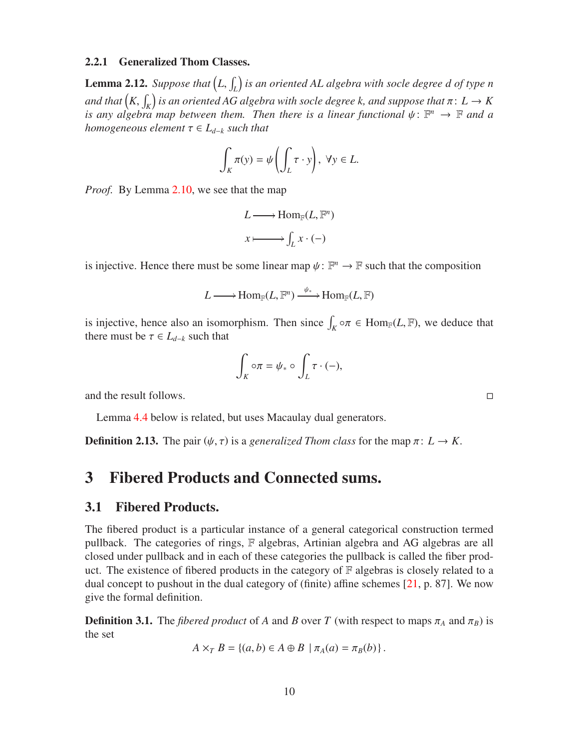#### <span id="page-9-1"></span>2.2.1 Generalized Thom Classes.

<span id="page-9-3"></span>**Lemma 2.12.** Suppose that  $\left(L,\int_L\right)$  is an oriented AL algebra with socle degree  $d$  of type n and that  $\left(K,\int_K\right)$  is an oriented AG algebra with socle degree k, and suppose that  $\pi\colon L\to K$ *is any algebra map between them. Then there is a linear functional*  $\psi \colon \mathbb{F}^n \to \mathbb{F}$  and a *homogeneous element*  $\tau \in L_{d-k}$  *such that* 

$$
\int_K \pi(y) = \psi\left(\int_L \tau \cdot y\right), \ \forall y \in L.
$$

*Proof.* By Lemma [2.10,](#page-8-2) we see that the map

$$
L \longrightarrow \text{Hom}_{\mathbb{F}}(L, \mathbb{F}^n)
$$

$$
x \longmapsto \int_L x \cdot (-)
$$

is injective. Hence there must be some linear map  $\psi : \mathbb{F}^n \to \mathbb{F}$  such that the composition

$$
L\operatorname{\longrightarrow}\operatorname{Hom}_{\mathbb{F}}(L,\mathbb{F}^n)\xrightarrow{\psi_*}\operatorname{Hom}_{\mathbb{F}}(L,\mathbb{F})
$$

is injective, hence also an isomorphism. Then since  $\int_K \circ \pi \in \text{Hom}_{\mathbb{F}}(L, \mathbb{F})$ , we deduce that there must be  $\tau \in L_{d-k}$  such that

$$
\int_K \circ \pi = \psi_* \circ \int_L \tau \cdot (-),
$$

and the result follows.

Lemma [4.4](#page-16-0) below is related, but uses Macaulay dual generators.

<span id="page-9-0"></span>**Definition 2.13.** The pair  $(\psi, \tau)$  is a *generalized Thom class* for the map  $\pi: L \to K$ .

### <span id="page-9-2"></span>3 Fibered Products and Connected sums.

#### 3.1 Fibered Products.

The fibered product is a particular instance of a general categorical construction termed pullback. The categories of rings, F algebras, Artinian algebra and AG algebras are all closed under pullback and in each of these categories the pullback is called the fiber product. The existence of fibered products in the category of  $F$  algebras is closely related to a dual concept to pushout in the dual category of (finite) affine schemes [\[21,](#page-56-4) p. 87]. We now give the formal definition.

<span id="page-9-4"></span>**Definition 3.1.** The *fibered product* of *A* and *B* over *T* (with respect to maps  $\pi_A$  and  $\pi_B$ ) is the set

$$
A\times_{T} B = \{(a,b)\in A\oplus B \mid \pi_{A}(a)=\pi_{B}(b)\}.
$$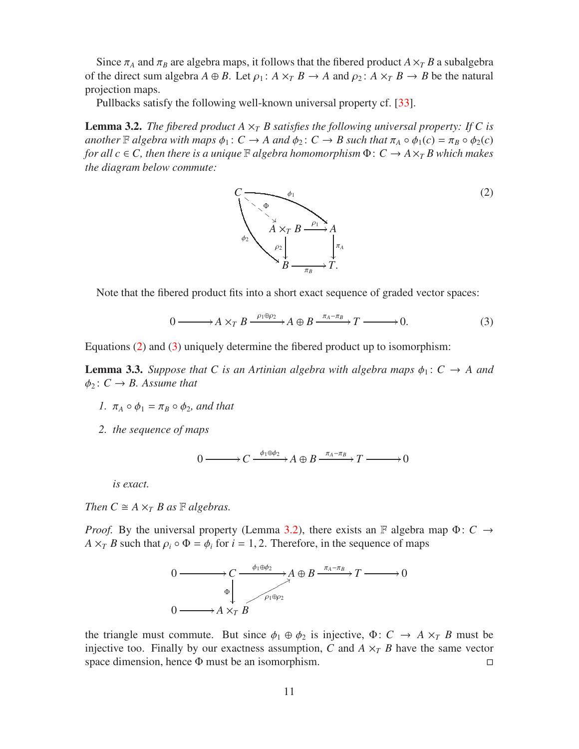Since  $\pi_A$  and  $\pi_B$  are algebra maps, it follows that the fibered product  $A \times_T B$  a subalgebra of the direct sum algebra  $A \oplus B$ . Let  $\rho_1$ :  $A \times_T B \to A$  and  $\rho_2$ :  $A \times_T B \to B$  be the natural projection maps.

Pullbacks satisfy the following well-known universal property cf. [\[33\]](#page-57-3).

<span id="page-10-2"></span>**Lemma 3.2.** *The fibered product A*  $\times$ <sup>*T</sup></sup> <i>B satisfies the following universal property: If C is*</sup> *another*  $\mathbb F$  *algebra with maps*  $\phi_1: C \to A$  *and*  $\phi_2: C \to B$  *such that*  $\pi_A \circ \phi_1(c) = \pi_B \circ \phi_2(c)$ *for all c*  $\in$  *C*, then there is a unique  $\mathbb F$  *algebra homomorphism*  $\Phi$ :  $C \to A \times_T B$  which makes *the diagram below commute:*

<span id="page-10-0"></span>

Note that the fibered product fits into a short exact sequence of graded vector spaces:

<span id="page-10-1"></span>
$$
0 \longrightarrow A \times_T B \xrightarrow{\rho_1 \oplus \rho_2} A \oplus B \xrightarrow{\pi_A - \pi_B} T \longrightarrow 0.
$$
 (3)

Equations [\(2\)](#page-10-0) and [\(3\)](#page-10-1) uniquely determine the fibered product up to isomorphism:

<span id="page-10-3"></span>**Lemma 3.3.** *Suppose that* C *is an Artinian algebra with algebra maps*  $\phi_1$ :  $C \rightarrow A$  *and*  $\phi_2$ :  $C \rightarrow B$ . Assume that

- *1.*  $\pi_A \circ \phi_1 = \pi_B \circ \phi_2$ , and that
- *2. the sequence of maps*

$$
0 \longrightarrow C \xrightarrow{\phi_1 \oplus \phi_2} A \oplus B \xrightarrow{\pi_A - \pi_B} T \longrightarrow 0
$$

*is exact.*

*Then*  $C \cong A \times_T B$  *as*  $\mathbb{F}$  *algebras.* 

*Proof.* By the universal property (Lemma [3.2\)](#page-10-2), there exists an F algebra map  $\Phi: C \rightarrow$ *A*  $\times$ *T B* such that  $\rho$ <sup>*i*</sup>  $\circ$   $\Phi$  =  $\phi$ <sup>*i*</sup> for *i* = 1, 2. Therefore, in the sequence of maps



the triangle must commute. But since  $\phi_1 \oplus \phi_2$  is injective,  $\Phi: C \to A \times T$  *B* must be injective too. Finally by our exactness assumption, *C* and  $A \times T$  *B* have the same vector space dimension, hence  $\Phi$  must be an isomorphism. space dimension, hence Φ must be an isomorphism.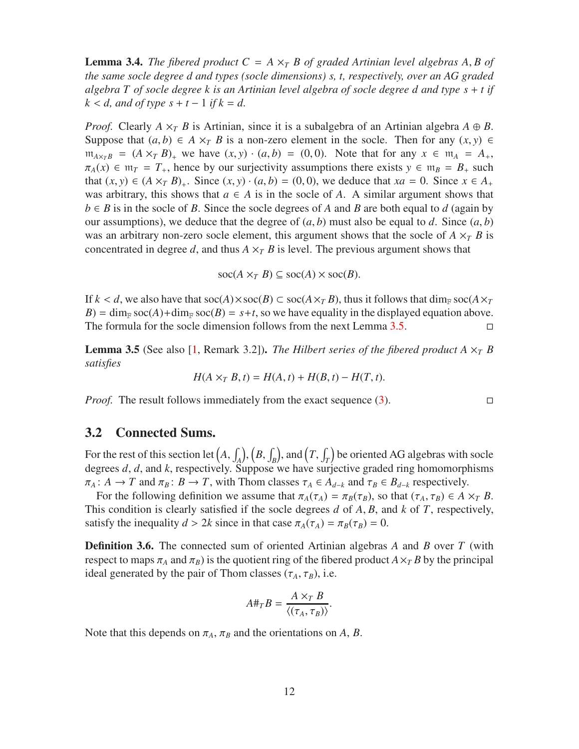<span id="page-11-3"></span>**Lemma 3.4.** *The fibered product*  $C = A \times_T B$  *of graded Artinian level algebras* A, *B of the same socle degree d and types (socle dimensions) s, t, respectively, over an AG graded algebra T of socle degree k is an Artinian level algebra of socle degree d and type s* + *t if*  $k < d$ , and of type  $s + t - 1$  if  $k = d$ .

*Proof.* Clearly  $A \times_{T} B$  is Artinian, since it is a subalgebra of an Artinian algebra  $A \oplus B$ . Suppose that  $(a, b) \in A \times_{T} B$  is a non-zero element in the socle. Then for any  $(x, y) \in$  $m_{A\times_{T}B}$  = (*A* ×*T B*)<sub>+</sub> we have (*x, y*) · (*a, b*) = (0, 0). Note that for any *x* ∈ m<sub>*A*</sub> = *A*<sub>+</sub>,  $\pi_A(x) \in \mathfrak{m}_T = T_+$ , hence by our surjectivity assumptions there exists  $y \in \mathfrak{m}_B = B_+$  such that  $(x, y)$  ∈  $(A \times_T B)_+$ . Since  $(x, y) \cdot (a, b) = (0, 0)$ , we deduce that  $xa = 0$ . Since  $x \in A_+$ was arbitrary, this shows that  $a \in A$  is in the socle of A. A similar argument shows that  $b \in B$  is in the socle of *B*. Since the socle degrees of *A* and *B* are both equal to *d* (again by our assumptions), we deduce that the degree of  $(a, b)$  must also be equal to *d*. Since  $(a, b)$ was an arbitrary non-zero socle element, this argument shows that the socle of  $A \times_{T} B$  is concentrated in degree *d*, and thus  $A \times_T B$  is level. The previous argument shows that

 $\operatorname{soc}(A \times_T B) \subseteq \operatorname{soc}(A) \times \operatorname{soc}(B)$ .

If  $k < d$ , we also have that  $\operatorname{soc}(A) \times \operatorname{soc}(B) \subset \operatorname{soc}(A \times_T B)$ , thus it follows that dim<sub>F</sub> soc( $A \times_T$  $B$ ) = dim<sub>F</sub> soc(*A*)+dim<sub>F</sub> soc(*B*) = *s*+*t*, so we have equality in the displayed equation above. The formula for the socle dimension follows from the next Lemma  $3.5$ .

<span id="page-11-1"></span>**Lemma 3.5** (See also [\[1,](#page-55-0) Remark 3.2]). *The Hilbert series of the fibered product*  $A \times_T B$ *satisfies*

$$
H(A \times_T B, t) = H(A, t) + H(B, t) - H(T, t).
$$

*Proof.* The result follows immediately from the exact sequence  $(3)$ .

#### <span id="page-11-0"></span>3.2 Connected Sums.

For the rest of this section let  $(A, \int_A)$ ,  $(B, \int_B)$ , and  $(T, \int_T)$  be oriented AG algebras with socle degrees *d*, *d*, and *k*, respectively. Suppose we have surjective graded ring homomorphisms  $\pi_A: A \to T$  and  $\pi_B: B \to T$ , with Thom classes  $\tau_A \in A_{d-k}$  and  $\tau_B \in B_{d-k}$  respectively.

For the following definition we assume that  $\pi_A(\tau_A) = \pi_B(\tau_B)$ , so that  $(\tau_A, \tau_B) \in A \times_T B$ . This condition is clearly satisfied if the socle degrees *d* of *A*, *B*, and *k* of *T*, respectively, satisfy the inequality  $d > 2k$  since in that case  $\pi_A(\tau_A) = \pi_B(\tau_B) = 0$ .

<span id="page-11-2"></span>Definition 3.6. The connected sum of oriented Artinian algebras *A* and *B* over *T* (with respect to maps  $\pi_A$  and  $\pi_B$ ) is the quotient ring of the fibered product  $A \times T$  *B* by the principal ideal generated by the pair of Thom classes  $(\tau_A, \tau_B)$ , i.e.

$$
A\#_T B = \frac{A \times_T B}{\langle (\tau_A, \tau_B) \rangle}.
$$

Note that this depends on  $\pi_A$ ,  $\pi_B$  and the orientations on *A*, *B*.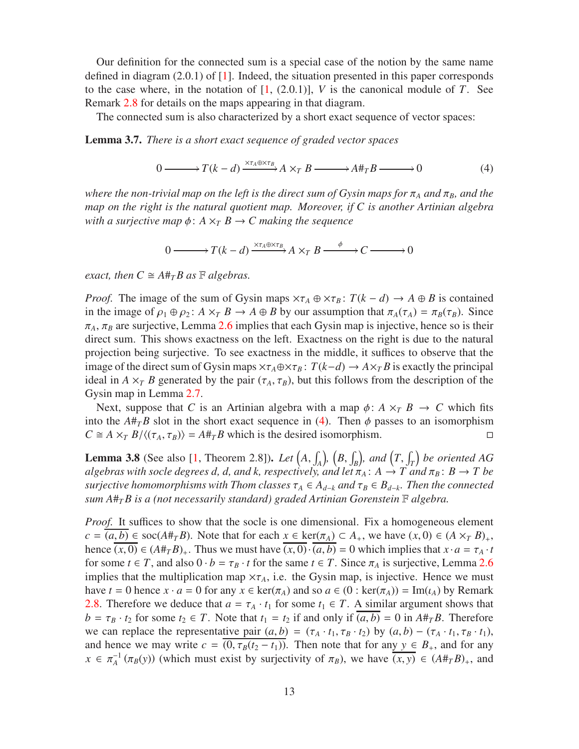Our definition for the connected sum is a special case of the notion by the same name defined in diagram  $(2.0.1)$  of  $[1]$ . Indeed, the situation presented in this paper corresponds to the case where, in the notation of  $[1, (2.0.1)]$ , *V* is the canonical module of *T*. See Remark [2.8](#page-7-0) for details on the maps appearing in that diagram.

The connected sum is also characterized by a short exact sequence of vector spaces:

<span id="page-12-1"></span>Lemma 3.7. *There is a short exact sequence of graded vector spaces*

<span id="page-12-0"></span>
$$
0 \longrightarrow T(k-d) \xrightarrow{\times \tau_A \oplus \times \tau_B} A \times_T B \longrightarrow A \#_T B \longrightarrow 0
$$
 (4)

*where the non-trivial map on the left is the direct sum of Gysin maps for*  $\pi_A$  *and*  $\pi_B$ *, and the map on the right is the natural quotient map. Moreover, if C is another Artinian algebra with a surjective map*  $\phi$ :  $A \times_{T} B \rightarrow C$  *making the sequence* 

$$
0 \longrightarrow T(k-d) \xrightarrow{\times \tau_A \oplus \times \tau_B} A \times_T B \xrightarrow{\phi} C \longrightarrow 0
$$

*exact, then*  $C \cong A \#_{T} B$  *as*  $\mathbb{F}$  *algebras.* 

*Proof.* The image of the sum of Gysin maps  $\times \tau_A \oplus \times \tau_B$ :  $T(k - d) \rightarrow A \oplus B$  is contained in the image of  $\rho_1 \oplus \rho_2$ :  $A \times_T B \to A \oplus B$  by our assumption that  $\pi_A(\tau_A) = \pi_B(\tau_B)$ . Since  $\pi_A$ ,  $\pi_B$  are surjective, Lemma [2.6](#page-6-1) implies that each Gysin map is injective, hence so is their direct sum. This shows exactness on the left. Exactness on the right is due to the natural projection being surjective. To see exactness in the middle, it suffices to observe that the image of the direct sum of Gysin maps  $\times \tau_A \oplus \times \tau_B$ :  $T(k-d) \to A \times T B$  is exactly the principal ideal in *A*  $\times$ <sup>*T*</sup> *B* generated by the pair ( $\tau$ <sub>*A*</sub>,  $\tau$ <sub>*B*</sub>), but this follows from the description of the Gysin map in Lemma [2.7.](#page-6-2)

Next, suppose that *C* is an Artinian algebra with a map  $\phi$ :  $A \times_{T} B \rightarrow C$  which fits into the  $A#_{T}B$  slot in the short exact sequence in [\(4\)](#page-12-0). Then  $\phi$  passes to an isomorphism  $C \cong A \times_{T} B/\langle (\tau_A, \tau_B) \rangle = A \#_{T} B$  which is the desired isomorphism.

**Lemma 3.8** (See also [\[1,](#page-55-0) Theorem 2.8]). *Let*  $(A, \int_A)$ ,  $(B, \int_B)$ , and  $(T, \int_T)$  be oriented AG *algebras with socle degrees d, d, and k, respectively, and let*  $\pi_A$ :  $A \to T$  *and*  $\pi_B$ :  $B \to T$  *be surjective homomorphisms with Thom classes*  $\tau_A \in A_{d-k}$  *and*  $\tau_B \in B_{d-k}$ . Then the connected *sum A*#*TB is a (not necessarily standard) graded Artinian Gorenstein* F *algebra.*

*Proof.* It suffices to show that the socle is one dimensional. Fix a homogeneous element  $c = (a, b) \in \text{soc}(A \#_{T} B)$ . Note that for each  $x \in \text{ker}(\pi_{A}) \subset A_{+}$ , we have  $(x, 0) \in (A \times_{T} B)_{+}$ , hence  $(x, 0) \in (A \#_T B)_+$ . Thus we must have  $(x, 0) \cdot (a, b) = 0$  which implies that  $x \cdot a = \tau_A \cdot t$ for some  $t \in T$ , and also  $0 \cdot b = \tau_B \cdot t$  for the same  $t \in T$ . Since  $\pi_A$  is surjective, Lemma [2.6](#page-6-1) implies that the multiplication map  $\times \tau_A$ , i.e. the Gysin map, is injective. Hence we must have  $t = 0$  hence  $x \cdot a = 0$  for any  $x \in \text{ker}(\pi_A)$  and so  $a \in (0 : \text{ker}(\pi_A)) = \text{Im}(\iota_A)$  by Remark [2.8.](#page-7-0) Therefore we deduce that  $a = \tau_A \cdot t_1$  for some  $t_1 \in T$ . A similar argument shows that  $b = \tau_B \cdot t_2$  for some  $t_2 \in T$ . Note that  $t_1 = t_2$  if and only if  $(a, b) = 0$  in  $A \#_T B$ . Therefore we can replace the representative pair  $(a, b) = (\tau_A \cdot t_1, \tau_B \cdot t_2)$  by  $(a, b) - (\tau_A \cdot t_1, \tau_B \cdot t_1)$ , and hence we may write  $c = (0, \tau_B(t_2 - t_1))$ . Then note that for any  $y \in B_+$ , and for any  $x \in \pi_A^{-1}(\pi_B(y))$  (which must exist by surjectivity of  $\pi_B$ ), we have  $\overline{(x, y)} \in (A \#_T B)_+$ , and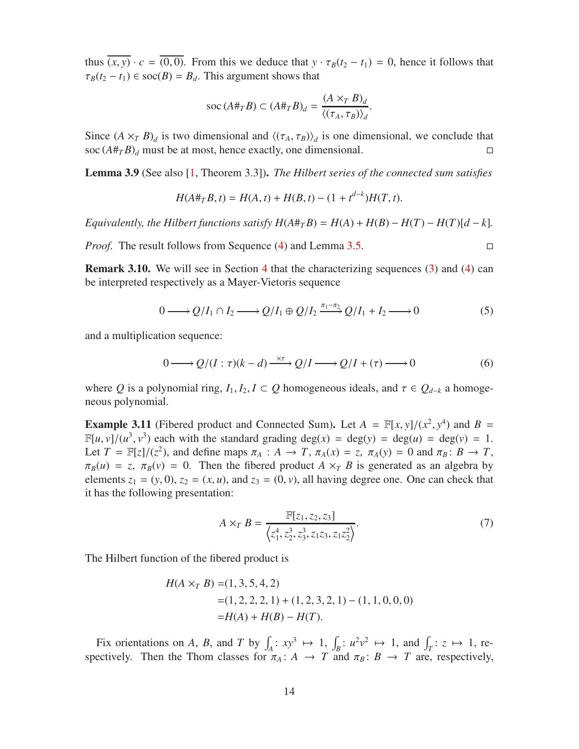thus  $\overline{(x, y)} \cdot c = \overline{(0, 0)}$ . From this we deduce that  $y \cdot \tau_B(t_2 - t_1) = 0$ , hence it follows that  $\tau_B(t_2 - t_1) \in \text{soc}(B) = B_d$ . This argument shows that

$$
\operatorname{soc}(A \#_T B) \subset (A \#_T B)_d = \frac{(A \times_T B)_d}{\langle (\tau_A, \tau_B) \rangle_d}.
$$

Since  $(A \times_T B)_d$  is two dimensional and  $\langle (\tau_A, \tau_B) \rangle_d$  is one dimensional, we conclude that soc  $(A#_T B)_d$  must be at most, hence exactly, one dimensional.

<span id="page-13-1"></span>Lemma 3.9 (See also [\[1,](#page-55-0) Theorem 3.3]). *The Hilbert series of the connected sum satisfies*

$$
H(A \#_T B, t) = H(A, t) + H(B, t) - (1 + t^{d-k})H(T, t).
$$

*Equivalently, the Hilbert functions satisfy*  $H(A \#_{T} B) = H(A) + H(B) - H(T) - H(T)[d - k]$ *.* 

*Proof.* The result follows from Sequence [\(4\)](#page-12-0) and Lemma [3.5.](#page-11-1) □

Remark 3.10. We will see in Section [4](#page-15-0) that the characterizing sequences [\(3\)](#page-10-1) and [\(4\)](#page-12-0) can be interpreted respectively as a Mayer-Vietoris sequence

<span id="page-13-2"></span>
$$
0 \longrightarrow Q/I_1 \cap I_2 \longrightarrow Q/I_1 \oplus Q/I_2 \xrightarrow{\pi_1 - \pi_2} Q/I_1 + I_2 \longrightarrow 0 \tag{5}
$$

and a multiplication sequence:

<span id="page-13-3"></span>
$$
0 \longrightarrow Q/(I:\tau)(k-d) \xrightarrow{\times \tau} Q/I \longrightarrow Q/I + (\tau) \longrightarrow 0 \tag{6}
$$

where *Q* is a polynomial ring,  $I_1, I_2, I \subset Q$  homogeneous ideals, and  $\tau \in Q_{d-k}$  a homogeneous polynomial.

<span id="page-13-4"></span>**Example 3.11** (Fibered product and Connected Sum). Let  $A = \mathbb{F}[x, y]/(x^2, y^4)$  and  $B =$  $\mathbb{F}[u, v]/(u^3, v^3)$  each with the standard grading deg(*x*) = deg(*y*) = deg(*u*) = deg(*v*) = 1. Let  $T = \mathbb{F}[z]/(z^2)$ , and define maps  $\pi_A : A \to T$ ,  $\pi_A(x) = z$ ,  $\pi_A(y) = 0$  and  $\pi_B : B \to T$ ,  $\pi_B(u) = z$ ,  $\pi_B(v) = 0$ . Then the fibered product *A*  $\times_T B$  is generated as an algebra by elements  $z_1 = (y, 0)$ ,  $z_2 = (x, u)$ , and  $z_3 = (0, v)$ , all having degree one. One can check that it has the following presentation:

<span id="page-13-0"></span>
$$
A \times_{T} B = \frac{\mathbb{F}[z_{1}, z_{2}, z_{3}]}{\langle z_{1}^{4}, z_{2}^{3}, z_{3}^{3}, z_{1}z_{3}, z_{1}z_{2}^{2} \rangle}.
$$
 (7)

The Hilbert function of the fibered product is

$$
H(A \times_T B) = (1, 3, 5, 4, 2)
$$
  
= (1, 2, 2, 2, 1) + (1, 2, 3, 2, 1) – (1, 1, 0, 0, 0)  
= H(A) + H(B) – H(T).

Fix orientations on *A*, *B*, and *T* by  $\int_A : xy^3 \mapsto 1$ ,  $\int_B : u^2v^2 \mapsto 1$ , and  $\int_T : z \mapsto 1$ , respectively. Then the Thom classes for  $\pi_A : A \to T$  and  $\pi_B : B \to T$  are, respectively,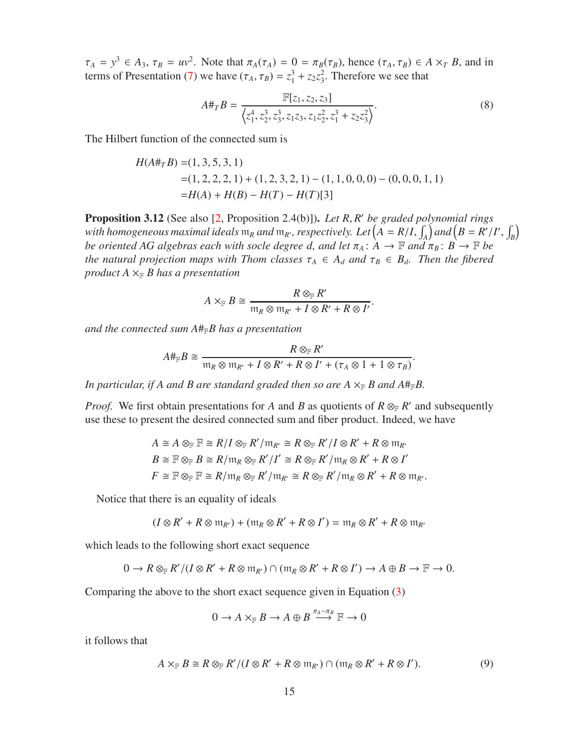$\tau_A = y^3 \in A_3$ ,  $\tau_B = uv^2$ . Note that  $\pi_A(\tau_A) = 0 = \pi_B(\tau_B)$ , hence  $(\tau_A, \tau_B) \in A \times T$ , *B*, and in terms of Presentation [\(7\)](#page-13-0) we have  $(\tau_A, \tau_B) = z_1^3 + z_2 z_3^2$  $3<sup>2</sup>$ . Therefore we see that

$$
A\#_T B = \frac{\mathbb{F}[z_1, z_2, z_3]}{\left\langle z_1^4, z_2^3, z_3^3, z_1 z_3, z_1 z_2^2, z_1^3 + z_2 z_3^2 \right\rangle}.
$$
 (8)

The Hilbert function of the connected sum is

$$
H(A#_T B) = (1, 3, 5, 3, 1)
$$
  
= (1, 2, 2, 2, 1) + (1, 2, 3, 2, 1) – (1, 1, 0, 0, 0) – (0, 0, 0, 1, 1)  
= H(A) + H(B) – H(T) – H(T)[3]

<span id="page-14-0"></span>Proposition 3.12 (See also [\[2,](#page-55-2) Proposition 2.4(b)]). *Let R*, *R* ′ *be graded polynomial rings* with homogeneous maximal ideals  $m_R$  and  $m_{R'}$ , respectively. Let  $(A = R/I, \int_A)$  and  $(B = R'/I', \int_B)$ *be oriented AG algebras each with socle degree d, and let*  $\pi_A : A \to \mathbb{F}$  and  $\pi_B : B \to \mathbb{F}$  be *the natural projection maps with Thom classes*  $\tau_A \in A_d$  *and*  $\tau_B \in B_d$ *. Then the fibered product*  $A \times_{\mathbb{F}} B$  *has a presentation* 

$$
A \times_{\mathbb{F}} B \cong \frac{R \otimes_{\mathbb{F}} R'}{\mathfrak{m}_R \otimes \mathfrak{m}_{R'} + I \otimes R' + R \otimes I'}.
$$

*and the connected sum A*#F*B has a presentation*

$$
A\#_{\mathbb{F}}B \cong \frac{R\otimes_{\mathbb{F}} R'}{\mathfrak{m}_R\otimes \mathfrak{m}_{R'} + I \otimes R' + R \otimes I' + (\tau_A \otimes 1 + 1 \otimes \tau_B)}.
$$

In particular, if A and B are standard graded then so are  $A \times_F B$  and  $A \#_F B$ .

*Proof.* We first obtain presentations for *A* and *B* as quotients of  $R \otimes_F R'$  and subsequently use these to present the desired connected sum and fiber product. Indeed, we have

$$
A \cong A \otimes_{\mathbb{F}} \mathbb{F} \cong R/I \otimes_{\mathbb{F}} R'/\mathfrak{m}_{R'} \cong R \otimes_{\mathbb{F}} R'/I \otimes R' + R \otimes \mathfrak{m}_{R'}
$$
  

$$
B \cong \mathbb{F} \otimes_{\mathbb{F}} B \cong R/\mathfrak{m}_{R} \otimes_{\mathbb{F}} R'/I' \cong R \otimes_{\mathbb{F}} R'/\mathfrak{m}_{R} \otimes R' + R \otimes I'
$$
  

$$
F \cong \mathbb{F} \otimes_{\mathbb{F}} \mathbb{F} \cong R/\mathfrak{m}_{R} \otimes_{\mathbb{F}} R'/\mathfrak{m}_{R'} \cong R \otimes_{\mathbb{F}} R'/\mathfrak{m}_{R} \otimes R' + R \otimes \mathfrak{m}_{R'}.
$$

Notice that there is an equality of ideals

$$
(I \otimes R' + R \otimes \mathfrak{m}_{R'}) + (\mathfrak{m}_R \otimes R' + R \otimes I') = \mathfrak{m}_R \otimes R' + R \otimes \mathfrak{m}_{R'}
$$

which leads to the following short exact sequence

$$
0 \to R\otimes_{\mathbb F} R'/(I\otimes R' + R\otimes \mathfrak{m}_{R'}) \cap (\mathfrak{m}_R\otimes R' + R\otimes I') \to A\oplus B \to \mathbb F \to 0.
$$

Comparing the above to the short exact sequence given in Equation [\(3\)](#page-10-1)

$$
0 \to A \times_{\mathbb{F}} B \to A \oplus B \stackrel{\pi_A - \pi_B}{\longrightarrow} \mathbb{F} \to 0
$$

it follows that

$$
A \times_{\mathbb{F}} B \cong R \otimes_{\mathbb{F}} R' / (I \otimes R' + R \otimes \mathfrak{m}_{R'}) \cap (\mathfrak{m}_R \otimes R' + R \otimes I'). \tag{9}
$$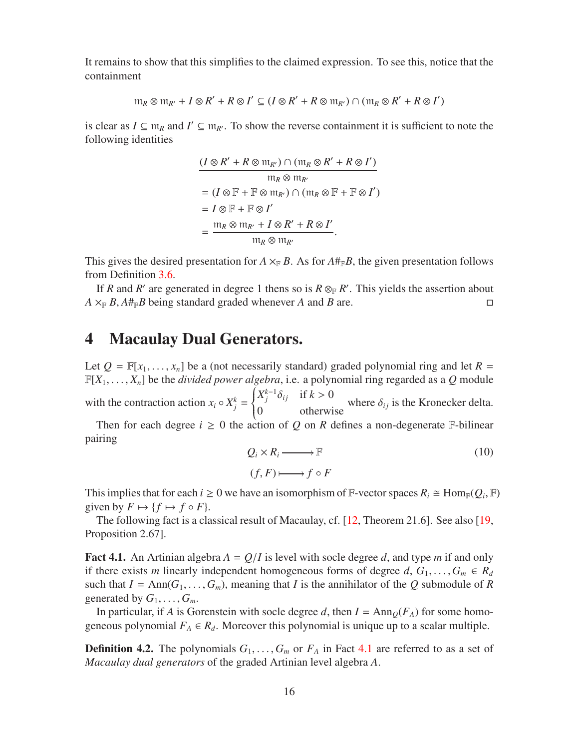It remains to show that this simplifies to the claimed expression. To see this, notice that the containment

$$
\mathfrak{m}_R \otimes \mathfrak{m}_{R'} + I \otimes R' + R \otimes I' \subseteq (I \otimes R' + R \otimes \mathfrak{m}_{R'}) \cap (\mathfrak{m}_R \otimes R' + R \otimes I')
$$

is clear as  $I \subseteq \mathfrak{m}_R$  and  $I' \subseteq \mathfrak{m}_{R'}$ . To show the reverse containment it is sufficient to note the following identities

$$
\frac{(I \otimes R' + R \otimes \mathfrak{m}_{R'}) \cap (\mathfrak{m}_R \otimes R' + R \otimes I')}{\mathfrak{m}_R \otimes \mathfrak{m}_{R'}}
$$
\n
$$
= (I \otimes \mathbb{F} + \mathbb{F} \otimes \mathfrak{m}_{R'}) \cap (\mathfrak{m}_R \otimes \mathbb{F} + \mathbb{F} \otimes I')
$$
\n
$$
= I \otimes \mathbb{F} + \mathbb{F} \otimes I'
$$
\n
$$
= \frac{\mathfrak{m}_R \otimes \mathfrak{m}_{R'} + I \otimes R' + R \otimes I'}{\mathfrak{m}_R \otimes \mathfrak{m}_{R'}}.
$$

This gives the desired presentation for  $A \times_{\mathbb{F}} B$ . As for  $A \#_{\mathbb{F}} B$ , the given presentation follows from Definition [3.6.](#page-11-2)

If *R* and *R*<sup> $\prime$ </sup> are generated in degree 1 thens so is *R*  $\otimes_F R'$ . This yields the assertion about  $A \times_{\mathbb{F}} B$ ,  $A \#_{\mathbb{F}} B$  being standard graded whenever *A* and *B* are.

### <span id="page-15-0"></span>4 Macaulay Dual Generators.

Let  $Q = \mathbb{F}[x_1, \ldots, x_n]$  be a (not necessarily standard) graded polynomial ring and let  $R =$  $\mathbb{F}[X_1, \ldots, X_n]$  be the *divided power algebra*, i.e. a polynomial ring regarded as a Q module with the contraction action  $x_i \circ X_j^k =$  $\left\{\right.$  $\overline{\mathcal{L}}$  $X_j^{k-1} \delta_{ij}$  if  $k > 0$ 0 otherwise where  $\delta_{ij}$  is the Kronecker delta.

Then for each degree  $i \geq 0$  the action of Q on R defines a non-degenerate F-bilinear pairing

$$
Q_i \times R_i \longrightarrow \mathbb{F}
$$
  
(f, F)  $\longmapsto$   $f \circ F$  (10)

This implies that for each  $i \ge 0$  we have an isomorphism of  $\mathbb{F}$ -vector spaces  $R_i \cong \text{Hom}_{\mathbb{F}}(Q_i, \mathbb{F})$ given by  $F \mapsto \{f \mapsto f \circ F\}.$ 

The following fact is a classical result of Macaulay, cf. [\[12,](#page-55-7) Theorem 21.6]. See also [\[19,](#page-56-3) Proposition 2.67].

<span id="page-15-1"></span>**Fact 4.1.** An Artinian algebra  $A = Q/I$  is level with socle degree d, and type m if and only if there exists *m* linearly independent homogeneous forms of degree  $d, G_1, \ldots, G_m \in R_d$ such that  $I = Ann(G_1, ..., G_m)$ , meaning that *I* is the annihilator of the *Q* submodule of *R* generated by  $G_1, \ldots, G_m$ .

In particular, if *A* is Gorenstein with socle degree *d*, then  $I = Ann<sub>Q</sub>(F<sub>A</sub>)$  for some homogeneous polynomial  $F_A \in R_d$ . Moreover this polynomial is unique up to a scalar multiple.

**Definition 4.2.** The polynomials  $G_1, \ldots, G_m$  or  $F_A$  in Fact [4.1](#page-15-1) are referred to as a set of *Macaulay dual generators* of the graded Artinian level algebra *A*.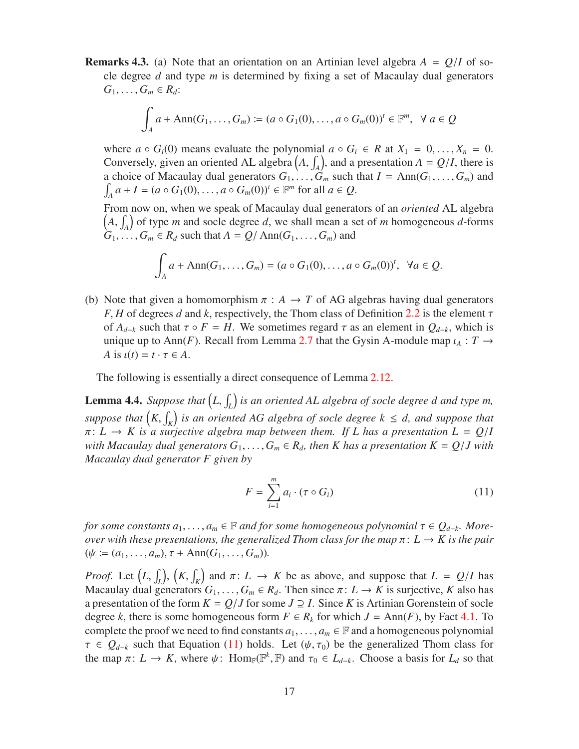**Remarks 4.3.** (a) Note that an orientation on an Artinian level algebra  $A = Q/I$  of socle degree *d* and type *m* is determined by fixing a set of Macaulay dual generators  $G_1, \ldots, G_m \in R_d$ :

$$
\int_A a + \mathrm{Ann}(G_1, \ldots, G_m) := (a \circ G_1(0), \ldots, a \circ G_m(0))^t \in \mathbb{F}^m, \ \forall \ a \in \mathcal{Q}
$$

where  $a \circ G_i(0)$  means evaluate the polynomial  $a \circ G_i \in R$  at  $X_1 = 0, \ldots, X_n = 0$ . Conversely, given an oriented AL algebra  $(A, \int_A)$ , and a presentation  $A = Q/I$ , there is a choice of Macaulay dual generators  $G_1, \ldots, G_m$  such that  $I = Ann(G_1, \ldots, G_m)$  and  $\int_A a + I = (a \circ G_1(0), \dots, a \circ G_m(0))^t \in \mathbb{F}^m$  for all  $a \in Q$ .

From now on, when we speak of Macaulay dual generators of an *oriented* AL algebra  $(A, \int_A)$  of type *m* and socle degree *d*, we shall mean a set of *m* homogeneous *d*-forms  $G_1, \ldots, G_m \in R_d$  such that  $A = Q/\text{Ann}(G_1, \ldots, G_m)$  and

$$
\int_A a + \mathrm{Ann}(G_1,\ldots,G_m) = (a \circ G_1(0),\ldots,a \circ G_m(0))^t, \ \ \forall a \in Q.
$$

(b) Note that given a homomorphism  $\pi$  :  $A \to T$  of AG algebras having dual generators *F*, *H* of degrees *d* and *k*, respectively, the Thom class of Definition [2.2](#page-5-0) is the element  $\tau$ of  $A_{d-k}$  such that  $\tau \circ F = H$ . We sometimes regard  $\tau$  as an element in  $Q_{d-k}$ , which is unique up to Ann(*F*). Recall from Lemma [2.7](#page-6-2) that the Gysin A-module map  $\iota_A : T \to T$ *A* is  $\iota(t) = t \cdot \tau \in A$ .

The following is essentially a direct consequence of Lemma [2.12.](#page-9-3)

<span id="page-16-0"></span>**Lemma 4.4.** Suppose that  $(L, \int_L)$  is an oriented AL algebra of socle degree d and type m, *suppose that*  $(K, \int_K)$  *is an oriented AG algebra of socle degree*  $k \leq d$ *, and suppose that*  $\pi: L \to K$  is a surjective algebra map between them. If L has a presentation  $L = Q/I$ *with Macaulay dual generators*  $G_1, \ldots, G_m \in R_d$ , then K has a presentation  $K = Q/J$  with *Macaulay dual generator F given by*

<span id="page-16-1"></span>
$$
F = \sum_{i=1}^{m} a_i \cdot (\tau \circ G_i)
$$
 (11)

*for some constants*  $a_1, \ldots, a_m \in \mathbb{F}$  *and for some homogeneous polynomial*  $\tau \in Q_{d-k}$ . More*over with these presentations, the generalized Thom class for the map*  $\pi: L \to K$  *is the pair*  $(\psi := (a_1, \ldots, a_m), \tau + \text{Ann}(G_1, \ldots, G_m)).$ 

*Proof.* Let  $(L, \int_L)$ ,  $(K, \int_K)$  and  $\pi: L \to K$  be as above, and suppose that  $L = Q/I$  has Macaulay dual generators  $G_1, \ldots, G_m \in R_d$ . Then since  $\pi: L \to K$  is surjective, K also has a presentation of the form  $K = Q/J$  for some  $J \supseteq I$ . Since K is Artinian Gorenstein of socle degree *k*, there is some homogeneous form  $F \in R_k$  for which  $J = Ann(F)$ , by Fact [4.1.](#page-15-1) To complete the proof we need to find constants  $a_1, \ldots, a_m \in \mathbb{F}$  and a homogeneous polynomial  $\tau \in Q_{d-k}$  such that Equation [\(11\)](#page-16-1) holds. Let  $(\psi, \tau_0)$  be the generalized Thom class for the map  $\pi: L \to K$ , where  $\psi: \text{Hom}_{\mathbb{F}}(\mathbb{F}^k, \mathbb{F})$  and  $\tau_0 \in L_{d-k}$ . Choose a basis for  $L_d$  so that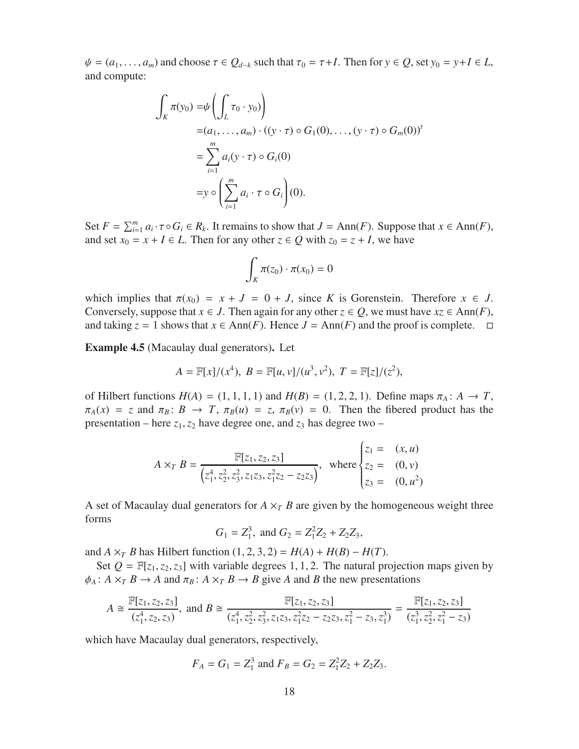$\psi = (a_1, \ldots, a_m)$  and choose  $\tau \in Q_{d-k}$  such that  $\tau_0 = \tau + I$ . Then for  $y \in Q$ , set  $y_0 = y + I \in L$ , and compute:

$$
\int_K \pi(y_0) = \psi \left( \int_L \tau_0 \cdot y_0 \right)
$$
  
=  $(a_1, \dots, a_m) \cdot ((y \cdot \tau) \circ G_1(0), \dots, (y \cdot \tau) \circ G_m(0))^t$   
=  $\sum_{i=1}^m a_i (y \cdot \tau) \circ G_i(0)$   
=  $y \circ \left( \sum_{i=1}^m a_i \cdot \tau \circ G_i \right)(0).$ 

Set  $F = \sum_{i=1}^{m} a_i \cdot \tau \circ G_i \in R_k$ . It remains to show that  $J = \text{Ann}(F)$ . Suppose that  $x \in \text{Ann}(F)$ , and set  $x_0 = x + I \in L$ . Then for any other  $z \in Q$  with  $z_0 = z + I$ , we have

$$
\int_K \pi(z_0) \cdot \pi(x_0) = 0
$$

which implies that  $\pi(x_0) = x + J = 0 + J$ , since *K* is Gorenstein. Therefore  $x \in J$ . Conversely, suppose that  $x \in J$ . Then again for any other  $z \in Q$ , we must have  $xz \in Ann(F)$ , and taking  $z = 1$  shows that  $x \in Ann(F)$ . Hence  $J = Ann(F)$  and the proof is complete.  $\Box$ 

<span id="page-17-0"></span>Example 4.5 (Macaulay dual generators). Let

$$
A = \mathbb{F}[x]/(x^4), B = \mathbb{F}[u, v]/(u^3, v^2), T = \mathbb{F}[z]/(z^2),
$$

of Hilbert functions  $H(A) = (1, 1, 1, 1)$  and  $H(B) = (1, 2, 2, 1)$ . Define maps  $\pi_A : A \to T$ ,  $\pi_A(x) = z$  and  $\pi_B: B \to T$ ,  $\pi_B(u) = z$ ,  $\pi_B(v) = 0$ . Then the fibered product has the presentation – here  $z_1$ ,  $z_2$  have degree one, and  $z_3$  has degree two –

$$
A \times_T B = \frac{\mathbb{F}[z_1, z_2, z_3]}{(z_1^4, z_2^2, z_3^2, z_1 z_3, z_1^2 z_2 - z_2 z_3)}, \text{ where } \begin{cases} z_1 = (x, u) \\ z_2 = (0, v) \\ z_3 = (0, u^2) \end{cases}
$$

A set of Macaulay dual generators for  $A \times_T B$  are given by the homogeneous weight three forms

$$
G_1 = Z_1^3
$$
, and  $G_2 = Z_1^2 Z_2 + Z_2 Z_3$ ,

and *A*  $\times$ <sup>*T*</sup> *B* has Hilbert function (1, 2, 3, 2) = *H*(*A*) + *H*(*B*) – *H*(*T*).

Set  $Q = \mathbb{F}[z_1, z_2, z_3]$  with variable degrees 1, 1, 2. The natural projection maps given by  $\phi_A$ :  $A \times_T B \to A$  and  $\pi_B$ :  $A \times_T B \to B$  give *A* and *B* the new presentations

$$
A \cong \frac{\mathbb{F}[z_1, z_2, z_3]}{(z_1^4, z_2, z_3)}, \text{ and } B \cong \frac{\mathbb{F}[z_1, z_2, z_3]}{(z_1^4, z_2^2, z_3^2, z_1 z_3, z_1^2 z_2 - z_2 z_3, z_1^2 - z_3, z_1^3)} = \frac{\mathbb{F}[z_1, z_2, z_3]}{(z_1^3, z_2^2, z_1^2 - z_3)}
$$

which have Macaulay dual generators, respectively,

$$
F_A = G_1 = Z_1^3
$$
 and  $F_B = G_2 = Z_1^2 Z_2 + Z_2 Z_3$ .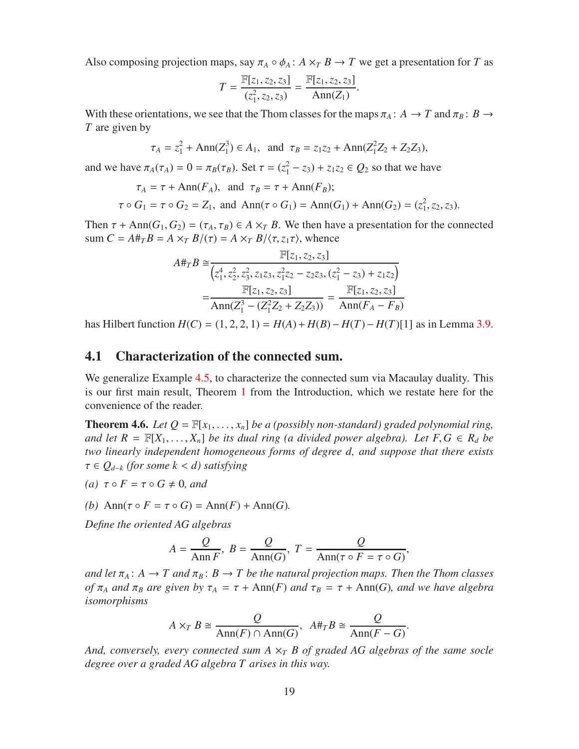Also composing projection maps, say  $\pi_A \circ \phi_A$ :  $A \times_T B \to T$  we get a presentation for *T* as

$$
T = \frac{\mathbb{F}[z_1, z_2, z_3]}{(z_1^2, z_2, z_3)} = \frac{\mathbb{F}[z_1, z_2, z_3]}{\text{Ann}(Z_1)}.
$$

With these orientations, we see that the Thom classes for the maps  $\pi_A : A \to T$  and  $\pi_B : B \to$ *T* are given by

$$
\tau_A = z_1^2 + \text{Ann}(Z_1^3) \in A_1
$$
, and  $\tau_B = z_1z_2 + \text{Ann}(Z_1^2Z_2 + Z_2Z_3)$ ,

and we have  $\pi_A(\tau_A) = 0 = \pi_B(\tau_B)$ . Set  $\tau = (z_1^2 - z_3) + z_1z_2 \in Q_2$  so that we have

$$
\tau_A = \tau + \text{Ann}(F_A)
$$
, and  $\tau_B = \tau + \text{Ann}(F_B)$ ;

$$
\tau \circ G_1 = \tau \circ G_2 = Z_1
$$
, and  $\text{Ann}(\tau \circ G_1) = \text{Ann}(G_1) + \text{Ann}(G_2) = (z_1^2, z_2, z_3)$ .

Then  $\tau$  + Ann( $G_1, G_2$ ) = ( $\tau_A, \tau_B$ )  $\in A \times T$  *B*. We then have a presentation for the connected sum  $C = A \#_{T} B = A \times_{T} B/(\tau) = A \times_{T} B/\langle \tau, z_{1} \tau \rangle$ , whence

$$
A\#_T B \cong \frac{\mathbb{F}[z_1, z_2, z_3]}{\left(z_1^4, z_2^2, z_3^2, z_1 z_3, z_1^2 z_2 - z_2 z_3, (z_1^2 - z_3) + z_1 z_2\right)}
$$

$$
= \frac{\mathbb{F}[z_1, z_2, z_3]}{\text{Ann}(Z_1^3 - (Z_1^2 Z_2 + Z_2 Z_3))} = \frac{\mathbb{F}[z_1, z_2, z_3]}{\text{Ann}(F_A - F_B)}
$$

<span id="page-18-1"></span>has Hilbert function  $H(C) = (1, 2, 2, 1) = H(A) + H(B) - H(T) - H(T)[1]$  as in Lemma [3.9.](#page-13-1)

### 4.1 Characterization of the connected sum.

We generalize Example [4.5,](#page-17-0) to characterize the connected sum via Macaulay duality. This is our first main result, Theorem [1](#page-1-0) from the Introduction, which we restate here for the convenience of the reader.

<span id="page-18-0"></span>**Theorem 4.6.** *Let*  $Q = \mathbb{F}[x_1, \ldots, x_n]$  *be a (possibly non-standard) graded polynomial ring, and let*  $R = \mathbb{F}[X_1, \ldots, X_n]$  *be its dual ring (a divided power algebra). Let*  $F, G \in R_d$  *be two linearly independent homogeneous forms of degree d, and suppose that there exists* τ ∈ *Q<sup>d</sup>*−*<sup>k</sup> (for some k* < *d) satisfying*

(a) 
$$
\tau \circ F = \tau \circ G \neq 0
$$
, and

*(b)* Ann( $\tau \circ F = \tau \circ G$ ) = Ann( $F$ ) + Ann( $G$ ).

*Define the oriented AG algebras*

$$
A = \frac{Q}{\text{Ann } F}, \ B = \frac{Q}{\text{Ann}(G)}, \ T = \frac{Q}{\text{Ann}(\tau \circ F = \tau \circ G)},
$$

*and let*  $\pi_A$ :  $A \to T$  *and*  $\pi_B$ :  $B \to T$  *be the natural projection maps. Then the Thom classes of*  $\pi_A$  *and*  $\pi_B$  *are given by*  $\tau_A = \tau + \text{Ann}(F)$  *and*  $\tau_B = \tau + \text{Ann}(G)$ *, and we have algebra isomorphisms*

$$
A \times_T B \cong \frac{Q}{\text{Ann}(F) \cap \text{Ann}(G)}, \quad A \#_T B \cong \frac{Q}{\text{Ann}(F - G)}.
$$

*And, conversely, every connected sum A*  $\times$ <sup>*T</sup></sup> <i>B of graded AG algebras of the same socle*</sup> *degree over a graded AG algebra T arises in this way.*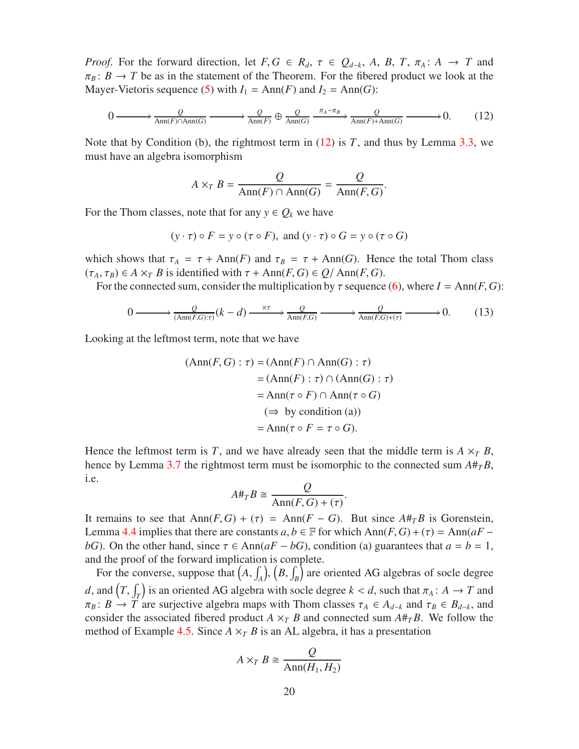*Proof.* For the forward direction, let  $F, G \in R_d$ ,  $\tau \in Q_{d-k}$ , A, B, T,  $\pi_A: A \to T$  and  $\pi_B$ :  $B \to T$  be as in the statement of the Theorem. For the fibered product we look at the Mayer-Vietoris sequence [\(5\)](#page-13-2) with  $I_1 = \text{Ann}(F)$  and  $I_2 = \text{Ann}(G)$ :

<span id="page-19-0"></span>
$$
0 \longrightarrow \frac{Q}{\text{Ann}(F) \cap \text{Ann}(G)} \longrightarrow \frac{Q}{\text{Ann}(F)} \oplus \frac{Q}{\text{Ann}(G)} \xrightarrow{\pi_A - \pi_B} \frac{Q}{\text{Ann}(F) + \text{Ann}(G)} \longrightarrow 0. \tag{12}
$$

Note that by Condition (b), the rightmost term in  $(12)$  is *T*, and thus by Lemma [3.3,](#page-10-3) we must have an algebra isomorphism

$$
A \times_T B = \frac{Q}{\text{Ann}(F) \cap \text{Ann}(G)} = \frac{Q}{\text{Ann}(F, G)}.
$$

For the Thom classes, note that for any  $y \in Q_k$  we have

$$
(y \cdot \tau) \circ F = y \circ (\tau \circ F)
$$
, and  $(y \cdot \tau) \circ G = y \circ (\tau \circ G)$ 

which shows that  $\tau_A = \tau + \text{Ann}(F)$  and  $\tau_B = \tau + \text{Ann}(G)$ . Hence the total Thom class  $(\tau_A, \tau_B) \in A \times_T B$  is identified with  $\tau + \text{Ann}(F, G) \in Q/\text{Ann}(F, G)$ .

For the connected sum, consider the multiplication by  $\tau$  sequence [\(6\)](#page-13-3), where  $I = Ann(F, G)$ :

$$
0 \longrightarrow \frac{Q}{(\text{Ann}(F,G):\tau)}(k-d) \longrightarrow \frac{\alpha}{\text{Ann}(F,G)} \longrightarrow \frac{Q}{\text{Ann}(F,G)+(\tau)} \longrightarrow 0. \tag{13}
$$

Looking at the leftmost term, note that we have

$$
(\text{Ann}(F, G) : \tau) = (\text{Ann}(F) \cap \text{Ann}(G) : \tau)
$$
  
= (\text{Ann}(F) : \tau) \cap (\text{Ann}(G) : \tau)  
= \text{Ann}(\tau \circ F) \cap \text{Ann}(\tau \circ G)  
(\Rightarrow \text{ by condition (a))}  
= \text{Ann}(\tau \circ F = \tau \circ G).

Hence the leftmost term is *T*, and we have already seen that the middle term is  $A \times_T B$ , hence by Lemma [3.7](#page-12-1) the rightmost term must be isomorphic to the connected sum  $A#_{T}B$ , i.e.

$$
A \#_T B \cong \frac{Q}{\text{Ann}(F, G) + (\tau)}.
$$

It remains to see that  $\text{Ann}(F, G) + (\tau) = \text{Ann}(F - G)$ . But since  $A \#_{T} B$  is Gorenstein, Lemma [4.4](#page-16-0) implies that there are constants  $a, b \in \mathbb{F}$  for which Ann( $F, G$ ) + ( $\tau$ ) = Ann( $aF$  – *bG*). On the other hand, since  $\tau \in Ann(aF - bG)$ , condition (a) guarantees that  $a = b = 1$ , and the proof of the forward implication is complete.

For the converse, suppose that  $(A, \int_A)$ ,  $(B, \int_B)$  are oriented AG algebras of socle degree *d*, and  $(T, \int_T)$  is an oriented AG algebra with socle degree  $k < d$ , such that  $\pi_A : A \to T$  and  $\pi_B: B \to T$  are surjective algebra maps with Thom classes  $\tau_A \in A_{d-k}$  and  $\tau_B \in B_{d-k}$ , and consider the associated fibered product  $A \times_T B$  and connected sum  $A \#_{T} B$ . We follow the method of Example [4.5.](#page-17-0) Since  $A \times_T B$  is an AL algebra, it has a presentation

$$
A \times_T B \cong \frac{Q}{\text{Ann}(H_1, H_2)}
$$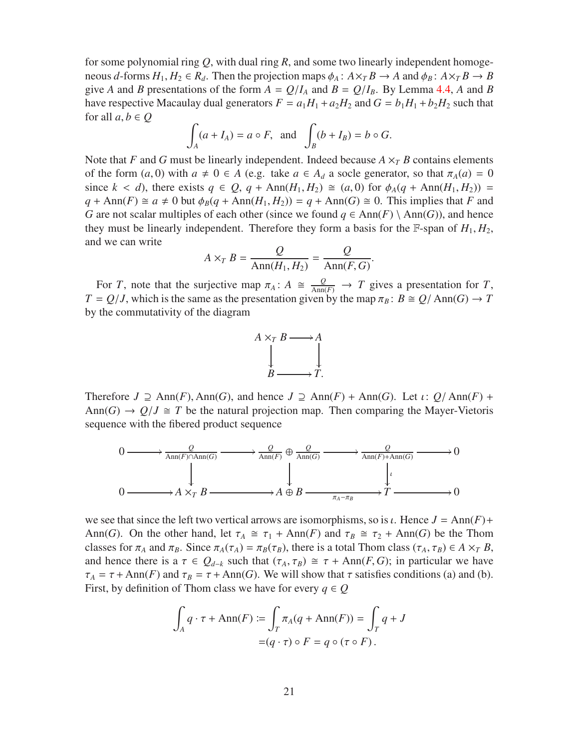for some polynomial ring *Q*, with dual ring *R*, and some two linearly independent homogeneous *d*-forms  $H_1, H_2 \in R_d$ . Then the projection maps  $\phi_A : A \times_T B \to A$  and  $\phi_B : A \times_T B \to B$ give *A* and *B* presentations of the form  $A = Q/I_A$  and  $B = Q/I_B$ . By Lemma [4.4,](#page-16-0) *A* and *B* have respective Macaulay dual generators  $F = a_1H_1 + a_2H_2$  and  $G = b_1H_1 + b_2H_2$  such that for all  $a, b \in Q$ 

$$
\int_A (a + I_A) = a \circ F, \text{ and } \int_B (b + I_B) = b \circ G.
$$

Note that *F* and *G* must be linearly independent. Indeed because  $A \times_{T} B$  contains elements of the form  $(a, 0)$  with  $a \neq 0 \in A$  (e.g. take  $a \in A_d$  a socle generator, so that  $\pi_A(a) = 0$ since  $k < d$ ), there exists  $q \in Q$ ,  $q + \text{Ann}(H_1, H_2) \cong (a, 0)$  for  $\phi_A(q + \text{Ann}(H_1, H_2)) =$  $q + \text{Ann}(F) \cong a \neq 0$  but  $\phi_B(q + \text{Ann}(H_1, H_2)) = q + \text{Ann}(G) \cong 0$ . This implies that *F* and *G* are not scalar multiples of each other (since we found *q* ∈ Ann(*F*) \ Ann(*G*)), and hence they must be linearly independent. Therefore they form a basis for the  $\mathbb{F}$ -span of  $H_1, H_2$ , and we can write

$$
A \times_T B = \frac{Q}{\text{Ann}(H_1, H_2)} = \frac{Q}{\text{Ann}(F, G)}
$$

.

For *T*, note that the surjective map  $\pi_A: A \cong \frac{Q}{\text{Ann}(F)} \to T$  gives a presentation for *T*,  $T = Q/J$ , which is the same as the presentation given by the map  $\pi_B : B \cong Q/\text{Ann}(G) \to T$ by the commutativity of the diagram



Therefore  $J \supseteq \text{Ann}(F)$ , Ann(*G*), and hence  $J \supseteq \text{Ann}(F) + \text{Ann}(G)$ . Let  $\iota: Q/\text{Ann}(F) +$ Ann(*G*)  $\rightarrow$  *Q*/*J*  $\cong$  *T* be the natural projection map. Then comparing the Mayer-Vietoris sequence with the fibered product sequence



we see that since the left two vertical arrows are isomorphisms, so is  $\iota$ . Hence  $J = Ann(F) +$ Ann(*G*). On the other hand, let  $\tau_A \cong \tau_1 + \text{Ann}(F)$  and  $\tau_B \cong \tau_2 + \text{Ann}(G)$  be the Thom classes for  $\pi_A$  and  $\pi_B$ . Since  $\pi_A(\tau_A) = \pi_B(\tau_B)$ , there is a total Thom class  $(\tau_A, \tau_B) \in A \times_T B$ , and hence there is a  $\tau \in Q_{d-k}$  such that  $(\tau_A, \tau_B) \cong \tau + \text{Ann}(F, G)$ ; in particular we have  $\tau_A = \tau + \text{Ann}(F)$  and  $\tau_B = \tau + \text{Ann}(G)$ . We will show that  $\tau$  satisfies conditions (a) and (b). First, by definition of Thom class we have for every  $q \in Q$ 

$$
\int_A q \cdot \tau + \text{Ann}(F) := \int_T \pi_A(q + \text{Ann}(F)) = \int_T q + J
$$

$$
= (q \cdot \tau) \circ F = q \circ (\tau \circ F).
$$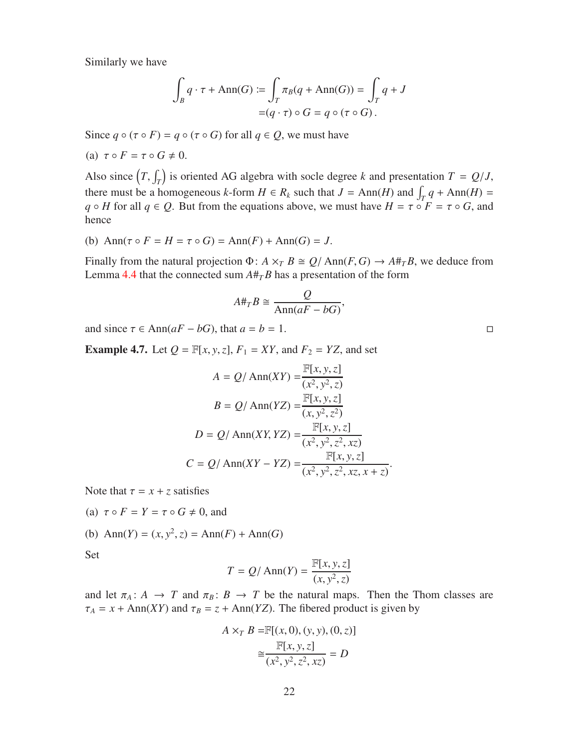Similarly we have

$$
\int_B q \cdot \tau + \text{Ann}(G) := \int_T \pi_B(q + \text{Ann}(G)) = \int_T q + J
$$

$$
= (q \cdot \tau) \circ G = q \circ (\tau \circ G).
$$

Since  $q \circ (\tau \circ F) = q \circ (\tau \circ G)$  for all  $q \in Q$ , we must have

(a) 
$$
\tau \circ F = \tau \circ G \neq 0
$$
.

Also since  $(T, \int_T)$  is oriented AG algebra with socle degree *k* and presentation  $T = Q/J$ , there must be a homogeneous *k*-form  $H \in R_k$  such that  $J = Ann(H)$  and  $\int_T q + Ann(H)$ *q* ◦ *H* for all *q* ∈ *Q*. But from the equations above, we must have  $H = \tau \circ F = \tau \circ G$ , and hence

(b)  $\text{Ann}(\tau \circ F = H = \tau \circ G) = \text{Ann}(F) + \text{Ann}(G) = J.$ 

Finally from the natural projection  $\Phi$ :  $A \times_T B \cong Q/\text{Ann}(F, G) \to A \#_T B$ , we deduce from Lemma [4.4](#page-16-0) that the connected sum  $A#_T B$  has a presentation of the form

$$
A \#_T B \cong \frac{Q}{\text{Ann}(aF - bG)},
$$

and since  $\tau \in \text{Ann}(aF - bG)$ , that  $a = b = 1$ .

**Example 4.7.** Let  $Q = \mathbb{F}[x, y, z]$ ,  $F_1 = XY$ , and  $F_2 = YZ$ , and set

$$
A = Q/\text{Ann}(XY) = \frac{\mathbb{F}[x, y, z]}{(x^2, y^2, z)}
$$

$$
B = Q/\text{Ann}(YZ) = \frac{\mathbb{F}[x, y, z]}{(x, y^2, z^2)}
$$

$$
D = Q/\text{Ann}(XY, YZ) = \frac{\mathbb{F}[x, y, z]}{(x^2, y^2, z^2, xz)}
$$

$$
C = Q/\text{Ann}(XY - YZ) = \frac{\mathbb{F}[x, y, z]}{(x^2, y^2, z^2, xz, x + z)}.
$$

Note that  $\tau = x + z$  satisfies

(a) 
$$
\tau \circ F = Y = \tau \circ G \neq 0
$$
, and

(b) Ann(*Y*) = 
$$
(x, y^2, z)
$$
 = Ann(*F*) + Ann(*G*)

Set

$$
T = Q/\operatorname{Ann}(Y) = \frac{\mathbb{F}[x, y, z]}{(x, y^2, z)}
$$

and let  $\pi_A: A \to T$  and  $\pi_B: B \to T$  be the natural maps. Then the Thom classes are  $\tau_A = x + \text{Ann}(XY)$  and  $\tau_B = z + \text{Ann}(YZ)$ . The fibered product is given by

$$
A \times_T B = \mathbb{F}[(x, 0), (y, y), (0, z)]
$$
  

$$
\approx \frac{\mathbb{F}[x, y, z]}{(x^2, y^2, z^2, xz)} = D
$$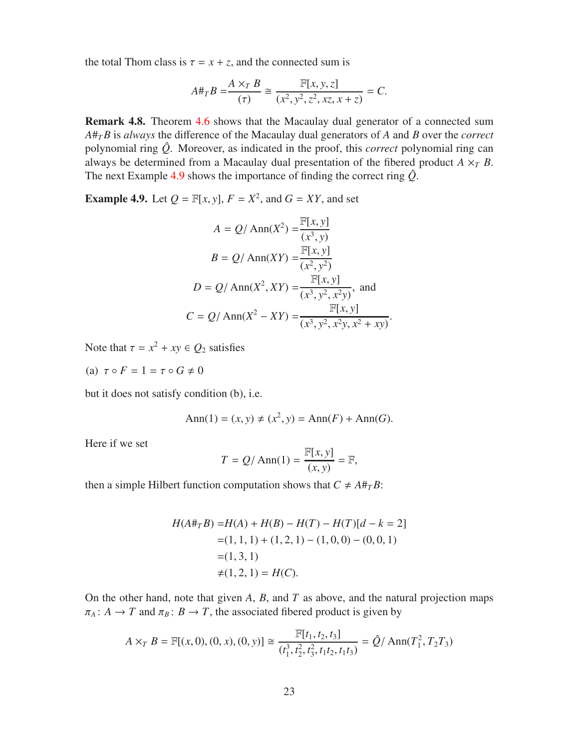the total Thom class is  $\tau = x + z$ , and the connected sum is

$$
A \#_T B = \frac{A \times_T B}{(\tau)} \cong \frac{\mathbb{F}[x, y, z]}{(x^2, y^2, z^2, xz, x+z)} = C.
$$

Remark 4.8. Theorem [4.6](#page-18-0) shows that the Macaulay dual generator of a connected sum *A*#*TB* is *always* the difference of the Macaulay dual generators of *A* and *B* over the *correct* polynomial ring *Q*ˆ. Moreover, as indicated in the proof, this *correct* polynomial ring can always be determined from a Macaulay dual presentation of the fibered product  $A \times_T B$ . The next Example [4.9](#page-22-0) shows the importance of finding the correct ring  $\hat{Q}$ .

<span id="page-22-0"></span>**Example 4.9.** Let  $Q = \mathbb{F}[x, y]$ ,  $F = X^2$ , and  $G = XY$ , and set

$$
A = Q/\text{Ann}(X^2) = \frac{\mathbb{F}[x, y]}{(x^3, y)}
$$
  
\n
$$
B = Q/\text{Ann}(XY) = \frac{\mathbb{F}[x, y]}{(x^2, y^2)}
$$
  
\n
$$
D = Q/\text{Ann}(X^2, XY) = \frac{\mathbb{F}[x, y]}{(x^3, y^2, x^2y)}, \text{ and}
$$
  
\n
$$
C = Q/\text{Ann}(X^2 - XY) = \frac{\mathbb{F}[x, y]}{(x^3, y^2, x^2y, x^2 + xy)}.
$$

Note that  $\tau = x^2 + xy \in Q_2$  satisfies

(a)  $\tau \circ F = 1 = \tau \circ G \neq 0$ 

but it does not satisfy condition (b), i.e.

$$
Ann(1) = (x, y) \neq (x^2, y) = Ann(F) + Ann(G).
$$

Here if we set

$$
T = Q/\operatorname{Ann}(1) = \frac{\mathbb{F}[x, y]}{(x, y)} = \mathbb{F},
$$

then a simple Hilbert function computation shows that  $C \neq A \#_{T} B$ :

$$
H(A#_T B) = H(A) + H(B) - H(T) - H(T)[d - k = 2]
$$
  
= (1, 1, 1) + (1, 2, 1) - (1, 0, 0) - (0, 0, 1)  
= (1, 3, 1)  

$$
\neq (1, 2, 1) = H(C).
$$

On the other hand, note that given *A*, *B*, and *T* as above, and the natural projection maps  $\pi_A$ :  $A \to T$  and  $\pi_B$ :  $B \to T$ , the associated fibered product is given by

$$
A \times_T B = \mathbb{F}[(x, 0), (0, x), (0, y)] \cong \frac{\mathbb{F}[t_1, t_2, t_3]}{(t_1^3, t_2^2, t_3^2, t_1 t_2, t_1 t_3)} = \hat{Q} / \text{Ann}(T_1^2, T_2 T_3)
$$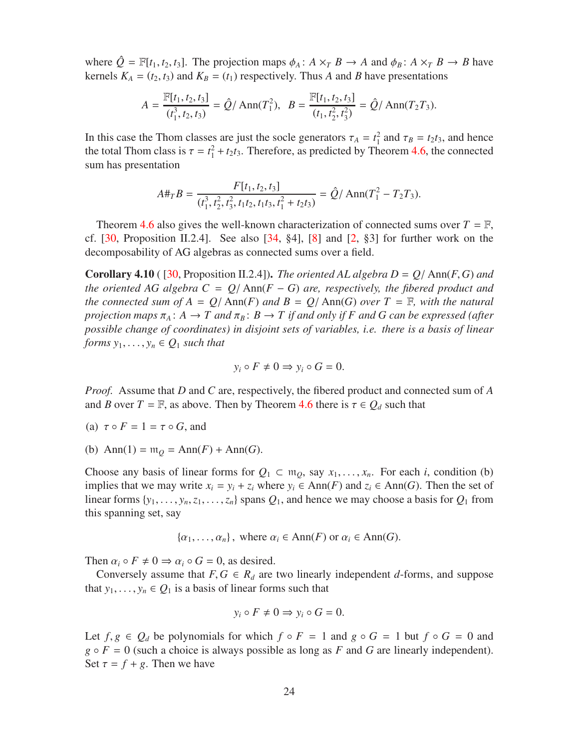where  $\hat{Q} = \mathbb{F}[t_1, t_2, t_3]$ . The projection maps  $\phi_A : A \times_T B \to A$  and  $\phi_B : A \times_T B \to B$  have kernels  $K_A = (t_2, t_3)$  and  $K_B = (t_1)$  respectively. Thus *A* and *B* have presentations

$$
A = \frac{\mathbb{F}[t_1, t_2, t_3]}{(t_1^3, t_2, t_3)} = \hat{Q} / \operatorname{Ann}(T_1^2), \ \ B = \frac{\mathbb{F}[t_1, t_2, t_3]}{(t_1, t_2^2, t_3^2)} = \hat{Q} / \operatorname{Ann}(T_2 T_3).
$$

In this case the Thom classes are just the socle generators  $\tau_A = t_1^2$  and  $\tau_B = t_2 t_3$ , and hence the total Thom class is  $\tau = t_1^2 + t_2 t_3$ . Therefore, as predicted by Theorem [4.6,](#page-18-0) the connected sum has presentation

$$
A\#_T B = \frac{F[t_1, t_2, t_3]}{(t_1^3, t_2^2, t_3^2, t_1t_2, t_1t_3, t_1^2 + t_2t_3)} = \hat{Q}/\operatorname{Ann}(T_1^2 - T_2T_3).
$$

Theorem [4.6](#page-18-0) also gives the well-known characterization of connected sums over  $T = \mathbb{F}$ , cf.  $[30,$  Proposition II.2.4]. See also  $[34, §4]$  $[34, §4]$ ,  $[8]$  and  $[2, §3]$  $[2, §3]$  for further work on the decomposability of AG algebras as connected sums over a field.

<span id="page-23-0"></span>**Corollary 4.10** ( $\lceil 30, \text{Proposition II.2.4} \rceil$ ). *The oriented AL algebra D = Q*/ $\text{Ann}(F, G)$  *and the oriented AG algebra C =*  $Q$ */ Ann(F – G) are, respectively, the fibered product and the connected sum of A* =  $Q/\text{Ann}(F)$  *and*  $B = Q/\text{Ann}(G)$  *over*  $T = \mathbb{F}$ *, with the natural projection maps*  $\pi_A$ :  $A \to T$  *and*  $\pi_B$ :  $B \to T$  *if and only if* F *and* G *can be expressed (after possible change of coordinates) in disjoint sets of variables, i.e. there is a basis of linear forms*  $y_1, \ldots, y_n \in Q_1$  *such that* 

$$
y_i \circ F \neq 0 \Rightarrow y_i \circ G = 0.
$$

*Proof.* Assume that *D* and *C* are, respectively, the fibered product and connected sum of *A* and *B* over  $T = \mathbb{F}$ , as above. Then by Theorem [4.6](#page-18-0) there is  $\tau \in Q_d$  such that

- (a)  $\tau \circ F = 1 = \tau \circ G$ , and
- (b)  $\text{Ann}(1) = m_Q = \text{Ann}(F) + \text{Ann}(G)$ .

Choose any basis of linear forms for  $Q_1 \subset \mathfrak{m}_0$ , say  $x_1, \ldots, x_n$ . For each *i*, condition (b) implies that we may write  $x_i = y_i + z_i$  where  $y_i$  ∈ Ann(*F*) and  $z_i$  ∈ Ann(*G*). Then the set of linear forms  $\{y_1, \ldots, y_n, z_1, \ldots, z_n\}$  spans  $Q_1$ , and hence we may choose a basis for  $Q_1$  from this spanning set, say

$$
\{\alpha_1, \ldots, \alpha_n\}
$$
, where  $\alpha_i \in \text{Ann}(F)$  or  $\alpha_i \in \text{Ann}(G)$ .

Then  $\alpha_i \circ F \neq 0 \Rightarrow \alpha_i \circ G = 0$ , as desired.

Conversely assume that  $F, G \in R_d$  are two linearly independent *d*-forms, and suppose that  $y_1, \ldots, y_n \in Q_1$  is a basis of linear forms such that

$$
y_i \circ F \neq 0 \Rightarrow y_i \circ G = 0.
$$

Let  $f, g \in Q_d$  be polynomials for which  $f \circ F = 1$  and  $g \circ G = 1$  but  $f \circ G = 0$  and  $g \circ F = 0$  (such a choice is always possible as long as *F* and *G* are linearly independent). Set  $\tau = f + g$ . Then we have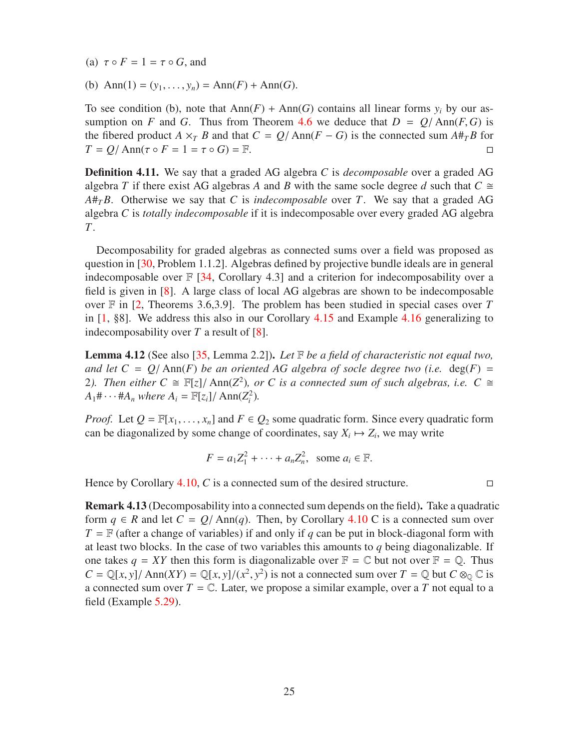(a)  $\tau \circ F = 1 = \tau \circ G$ , and

(b) Ann(1) =  $(y_1, ..., y_n)$  = Ann(*F*) + Ann(*G*).

To see condition (b), note that  $Ann(F) + Ann(G)$  contains all linear forms  $y_i$  by our assumption on *F* and *G*. Thus from Theorem [4.6](#page-18-0) we deduce that  $D = Q/\text{Ann}(F, G)$  is the fibered product *A* ×*T B* and that  $C = Q/\text{Ann}(F - G)$  is the connected sum  $A#_T B$  for  $T = O/\text{Ann}(\tau \circ F = 1 = \tau \circ G) = \mathbb{F}$ .  $T = Q / \text{Ann}(\tau \circ F = 1 = \tau \circ G) = \mathbb{F}.$ 

Definition 4.11. We say that a graded AG algebra *C* is *decomposable* over a graded AG algebra *T* if there exist AG algebras *A* and *B* with the same socle degree *d* such that  $C \cong$ *A*#*TB*. Otherwise we say that *C* is *indecomposable* over *T*. We say that a graded AG algebra *C* is *totally indecomposable* if it is indecomposable over every graded AG algebra *T*.

Decomposability for graded algebras as connected sums over a field was proposed as question in [\[30,](#page-56-1) Problem 1.1.2]. Algebras defined by projective bundle ideals are in general indecomposable over  $\mathbb{F}$  [\[34,](#page-57-1) Corollary 4.3] and a criterion for indecomposability over a field is given in [\[8\]](#page-55-4). A large class of local AG algebras are shown to be indecomposable over F in [\[2,](#page-55-2) Theorems 3.6,3.9]. The problem has been studied in special cases over *T* in [\[1,](#page-55-0) §8]. We address this also in our Corollary [4.15](#page-25-1) and Example [4.16](#page-25-2) generalizing to indecomposability over *T* a result of [\[8\]](#page-55-4).

Lemma 4.12 (See also [\[35,](#page-57-2) Lemma 2.2]). *Let* F *be a field of characteristic not equal two, and let*  $C = Q/\text{Ann}(F)$  *be an oriented AG algebra of socle degree two (i.e.* deg(*F*) = 2). Then either  $C \cong \mathbb{F}[z]/\text{Ann}(Z^2)$ , or C is a connected sum of such algebras, i.e.  $C \cong$  $A_1 \# \cdots \# A_n$  *where*  $A_i = \mathbb{F}[z_i]/\text{Ann}(Z_i^2)$ *.* 

*Proof.* Let  $Q = \mathbb{F}[x_1, \ldots, x_n]$  and  $F \in Q_2$  some quadratic form. Since every quadratic form can be diagonalized by some change of coordinates, say  $X_i \mapsto Z_i$ , we may write

$$
F = a_1 Z_1^2 + \cdots + a_n Z_n^2, \text{ some } a_i \in \mathbb{F}.
$$

Hence by Corollary  $4.10$ , *C* is a connected sum of the desired structure.

Remark 4.13 (Decomposability into a connected sum depends on the field). Take a quadratic form  $q \in R$  and let  $C = Q/\text{Ann}(q)$ . Then, by Corollary [4.10](#page-23-0) C is a connected sum over  $T = \mathbb{F}$  (after a change of variables) if and only if *q* can be put in block-diagonal form with at least two blocks. In the case of two variables this amounts to *q* being diagonalizable. If one takes  $q = XY$  then this form is diagonalizable over  $\mathbb{F} = \mathbb{C}$  but not over  $\mathbb{F} = \mathbb{Q}$ . Thus  $C = \mathbb{Q}[x, y] / \text{Ann}(XY) = \mathbb{Q}[x, y] / (x^2, y^2)$  is not a connected sum over  $T = \mathbb{Q}$  but  $C \otimes_{\mathbb{Q}} \mathbb{C}$  is a connected sum over  $T = \mathbb{C}$ . Later, we propose a similar example, over a T not equal to a field (Example [5.29\)](#page-46-0).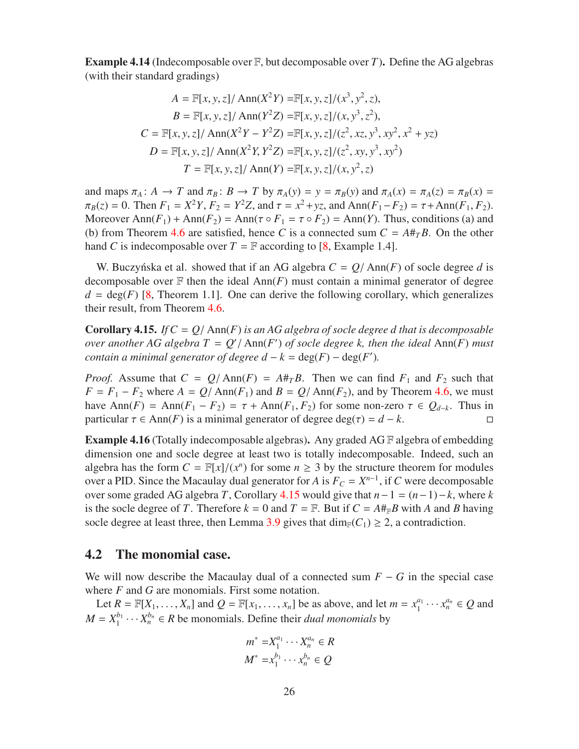Example 4.14 (Indecomposable over F, but decomposable over *T*). Define the AG algebras (with their standard gradings)

$$
A = \mathbb{F}[x, y, z] / \text{Ann}(X^2Y) = \mathbb{F}[x, y, z] / (x^3, y^2, z),
$$
  
\n
$$
B = \mathbb{F}[x, y, z] / \text{Ann}(Y^2Z) = \mathbb{F}[x, y, z] / (x, y^3, z^2),
$$
  
\n
$$
C = \mathbb{F}[x, y, z] / \text{Ann}(X^2Y - Y^2Z) = \mathbb{F}[x, y, z] / (z^2, xz, y^3, xy^2, x^2 + yz)
$$
  
\n
$$
D = \mathbb{F}[x, y, z] / \text{Ann}(X^2Y, Y^2Z) = \mathbb{F}[x, y, z] / (z^2, xy, y^3, xy^2)
$$
  
\n
$$
T = \mathbb{F}[x, y, z] / \text{Ann}(Y) = \mathbb{F}[x, y, z] / (x, y^2, z)
$$

and maps  $\pi_A : A \to T$  and  $\pi_B : B \to T$  by  $\pi_A(y) = y = \pi_B(y)$  and  $\pi_A(x) = \pi_A(z) = \pi_B(x) =$  $\pi_B(z) = 0$ . Then  $F_1 = X^2 Y$ ,  $F_2 = Y^2 Z$ , and  $\tau = x^2 + yz$ , and  $\text{Ann}(F_1 - F_2) = \tau + \text{Ann}(F_1, F_2)$ . Moreover  $\text{Ann}(F_1) + \text{Ann}(F_2) = \text{Ann}(\tau \circ F_1 = \tau \circ F_2) = \text{Ann}(Y)$ . Thus, conditions (a) and (b) from Theorem [4.6](#page-18-0) are satisfied, hence C is a connected sum  $C = A#_{T}B$ . On the other hand *C* is indecomposable over  $T = \mathbb{F}$  according to [\[8,](#page-55-4) Example 1.4].

W. Buczyńska et al. showed that if an AG algebra  $C = Q/\text{Ann}(F)$  of socle degree d is decomposable over  $F$  then the ideal  $Ann(F)$  must contain a minimal generator of degree  $d = \deg(F)$  [\[8,](#page-55-4) Theorem 1.1]. One can derive the following corollary, which generalizes their result, from Theorem [4.6.](#page-18-0)

<span id="page-25-1"></span>**Corollary 4.15.** *If*  $C = Q/\text{Ann}(F)$  *is an AG algebra of socle degree d that is decomposable over another AG algebra*  $T = Q'/\text{Ann}(F')$  *of socle degree k, then the ideal*  $\text{Ann}(F)$  *must contain a minimal generator of degree*  $d - k = \deg(F) - \deg(F')$ *.* 

*Proof.* Assume that  $C = Q/\text{Ann}(F) = A#_T B$ . Then we can find  $F_1$  and  $F_2$  such that  $F = F_1 - F_2$  where  $A = Q/\text{Ann}(F_1)$  and  $B = Q/\text{Ann}(F_2)$ , and by Theorem [4.6,](#page-18-0) we must have Ann( $F$ ) = Ann( $F$ <sub>1</sub> −  $F$ <sub>2</sub>) =  $\tau$  + Ann( $F$ <sub>1</sub>,  $F$ <sub>2</sub>) for some non-zero  $\tau \in Q$ <sub>*d*−*k*</sub>. Thus in particular  $\tau \in Ann(F)$  is a minimal generator of degree deg( $\tau$ ) =  $d - k$ .

<span id="page-25-2"></span>**Example 4.16** (Totally indecomposable algebras). Any graded AG  $\mathbb{F}$  algebra of embedding dimension one and socle degree at least two is totally indecomposable. Indeed, such an algebra has the form  $C = \mathbb{F}[x]/(x^n)$  for some  $n \geq 3$  by the structure theorem for modules over a PID. Since the Macaulay dual generator for *A* is  $F_C = X^{n-1}$ , if *C* were decomposable over some graded AG algebra *T*, Corollary [4.15](#page-25-1) would give that *n*−1 = (*n*−1)−*k*, where *k* is the socle degree of *T*. Therefore  $k = 0$  and  $T = \mathbb{F}$ . But if  $C = A \#_{\mathbb{F}} B$  with *A* and *B* having socle degree at least three, then Lemma [3.9](#page-13-1) gives that  $\dim_{\mathbb{F}}(C_1) \geq 2$ , a contradiction.

#### <span id="page-25-0"></span>4.2 The monomial case.

We will now describe the Macaulay dual of a connected sum  $F - G$  in the special case where *F* and *G* are monomials. First some notation.

Let  $R = \mathbb{F}[X_1, \dots, X_n]$  and  $Q = \mathbb{F}[x_1, \dots, x_n]$  be as above, and let  $m = x_1^{a_1}$  $\alpha_1^{a_1} \cdots \alpha_n^{a_n} \in Q$  and  $M = X_1^{b_1}$  $X_1^{b_1} \cdots X_n^{b_n} \in R$  be monomials. Define their *dual monomials* by

$$
m^* = X_1^{a_1} \cdots X_n^{a_n} \in R
$$
  

$$
M^* = x_1^{b_1} \cdots x_n^{b_n} \in Q
$$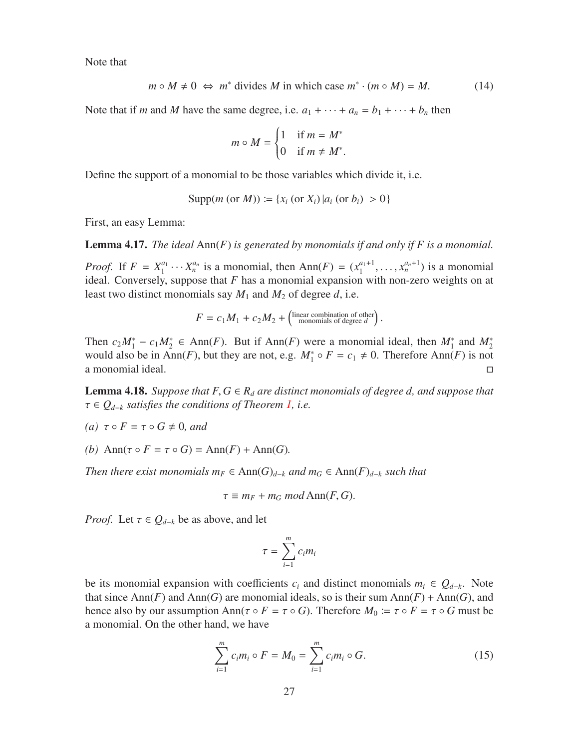Note that

<span id="page-26-0"></span>
$$
m \circ M \neq 0 \iff m^* \text{ divides } M \text{ in which case } m^* \cdot (m \circ M) = M. \tag{14}
$$

.

Note that if *m* and *M* have the same degree, i.e.  $a_1 + \cdots + a_n = b_1 + \cdots + b_n$  then

$$
m \circ M = \begin{cases} 1 & \text{if } m = M^* \\ 0 & \text{if } m \neq M^* \end{cases}
$$

Define the support of a monomial to be those variables which divide it, i.e.

$$
Supp(m (or M)) := \{x_i (or X_i) | a_i (or b_i) > 0\}
$$

First, an easy Lemma:

Lemma 4.17. *The ideal* Ann(*F*) *is generated by monomials if and only if F is a monomial.*

*Proof.* If  $F = X_1^{a_1}$  $X_1^{a_1} \cdots X_n^{a_n}$  is a monomial, then Ann(*F*) =  $(x_1^{a_1+1})$  $x_1^{a_1+1}, \ldots, x_n^{a_n+1}$ ) is a monomial ideal. Conversely, suppose that *F* has a monomial expansion with non-zero weights on at least two distinct monomials say *M*<sup>1</sup> and *M*<sup>2</sup> of degree *d*, i.e.

$$
F = c_1 M_1 + c_2 M_2 + \begin{pmatrix} \text{linear combination of other} \\ \text{monomials of degree } d \end{pmatrix}.
$$

Then  $c_2M_1^* - c_1M_2^* \in Ann(F)$ . But if Ann(*F*) were a monomial ideal, then  $M_1^*$  and  $M_2^*$ would also be in Ann(*F*), but they are not, e.g.  $M_1^* \circ F = c_1 \neq 0$ . Therefore Ann(*F*) is not a monomial ideal.

<span id="page-26-2"></span>**Lemma 4.18.** *Suppose that*  $F, G \in R_d$  *are distinct monomials of degree d, and suppose that* τ ∈ *Q<sup>d</sup>*−*<sup>k</sup> satisfies the conditions of Theorem [1,](#page-1-0) i.e.*

- *(a)*  $\tau \circ F = \tau \circ G \neq 0$ *, and*
- *(b)* Ann( $\tau \circ F = \tau \circ G$ ) = Ann( $F$ ) + Ann( $G$ ).

*Then there exist monomials*  $m_F$  ∈ Ann $(G)_{d-k}$  *and*  $m_G$  ∈ Ann $(F)_{d-k}$  *such that* 

$$
\tau \equiv m_F + m_G \mod \text{Ann}(F, G).
$$

*Proof.* Let  $\tau \in Q_{d-k}$  be as above, and let

$$
\tau = \sum_{i=1}^m c_i m_i
$$

be its monomial expansion with coefficients  $c_i$  and distinct monomials  $m_i \in Q_{d-k}$ . Note that since Ann(*F*) and Ann(*G*) are monomial ideals, so is their sum Ann(*F*) + Ann(*G*), and hence also by our assumption Ann( $\tau \circ F = \tau \circ G$ ). Therefore  $M_0 \coloneqq \tau \circ F = \tau \circ G$  must be a monomial. On the other hand, we have

<span id="page-26-1"></span>
$$
\sum_{i=1}^{m} c_i m_i \circ F = M_0 = \sum_{i=1}^{m} c_i m_i \circ G.
$$
 (15)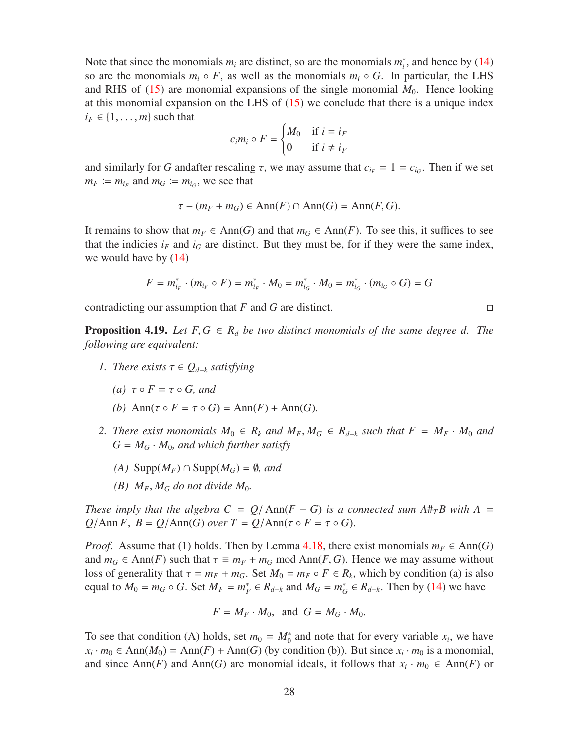Note that since the monomials  $m_i$  are distinct, so are the monomials  $m_i^*$ , and hence by [\(14\)](#page-26-0) so are the monomials  $m_i \circ F$ , as well as the monomials  $m_i \circ G$ . In particular, the LHS and RHS of  $(15)$  are monomial expansions of the single monomial  $M_0$ . Hence looking at this monomial expansion on the LHS of  $(15)$  we conclude that there is a unique index  $i_F \in \{1, \ldots, m\}$  such that

$$
c_i m_i \circ F = \begin{cases} M_0 & \text{if } i = i_F \\ 0 & \text{if } i \neq i_F \end{cases}
$$

and similarly for *G* andafter rescaling  $\tau$ , we may assume that  $c_{i} = 1 = c_{i}$ . Then if we set  $m_F \coloneqq m_{i_F}$  and  $m_G \coloneqq m_{i_G}$ , we see that

$$
\tau - (m_F + m_G) \in \text{Ann}(F) \cap \text{Ann}(G) = \text{Ann}(F, G).
$$

It remains to show that  $m_F \in Ann(G)$  and that  $m_G \in Ann(F)$ . To see this, it suffices to see that the indicies  $i_F$  and  $i_G$  are distinct. But they must be, for if they were the same index, we would have by [\(14\)](#page-26-0)

$$
F = m_{i_F}^* \cdot (m_{i_F} \circ F) = m_{i_F}^* \cdot M_0 = m_{i_G}^* \cdot M_0 = m_{i_G}^* \cdot (m_{i_G} \circ G) = G
$$

contradicting our assumption that *F* and *G* are distinct.

<span id="page-27-0"></span>**Proposition 4.19.** Let  $F, G \in \mathbb{R}_d$  be two distinct monomials of the same degree d. The *following are equivalent:*

- *1. There exists*  $\tau \in Q_{d-k}$  *satisfying* 
	- *(a)*  $τ \circ F = τ \circ G$ *, and*
	- *(b)* Ann( $\tau \circ F = \tau \circ G$ ) = Ann( $F$ ) + Ann( $G$ ).
- *2. There exist monomials*  $M_0$  ∈  $R_k$  *and*  $M_F$ ,  $M_G$  ∈  $R_{d-k}$  *such that*  $F = M_F \cdot M_0$  *and*  $G = M_G \cdot M_0$ , and which further satisfy
	- *(A)* Supp $(M_F)$  ∩ Supp $(M_G) = ∅$ *, and*
	- *(B)*  $M_F$ ,  $M_G$  *do not divide*  $M_0$ .

*These imply that the algebra*  $C = Q/\text{Ann}(F - G)$  *is a connected sum A*# $T B$  with A = *Q*/Ann *F*,  $B = Q/\text{Ann}(G)$  *over*  $T = Q/\text{Ann}(\tau \circ F = \tau \circ G)$ .

*Proof.* Assume that (1) holds. Then by Lemma [4.18,](#page-26-2) there exist monomials  $m_F \in Ann(G)$ and  $m_G \in \text{Ann}(F)$  such that  $\tau \equiv m_F + m_G \mod \text{Ann}(F, G)$ . Hence we may assume without loss of generality that  $\tau = m_F + m_G$ . Set  $M_0 = m_F \circ F \in R_k$ , which by condition (a) is also equal to  $M_0 = m_G \circ G$ . Set  $M_F = m_F^* \in R_{d-k}$  and  $M_G = m_G^* \in R_{d-k}$ . Then by [\(14\)](#page-26-0) we have

$$
F = M_F \cdot M_0, \text{ and } G = M_G \cdot M_0.
$$

To see that condition (A) holds, set  $m_0 = M_0^*$  and note that for every variable  $x_i$ , we have  $x_i \cdot m_0 \in \text{Ann}(M_0) = \text{Ann}(F) + \text{Ann}(G)$  (by condition (b)). But since  $x_i \cdot m_0$  is a monomial, and since Ann(*F*) and Ann(*G*) are monomial ideals, it follows that  $x_i \cdot m_0 \in Ann(F)$  or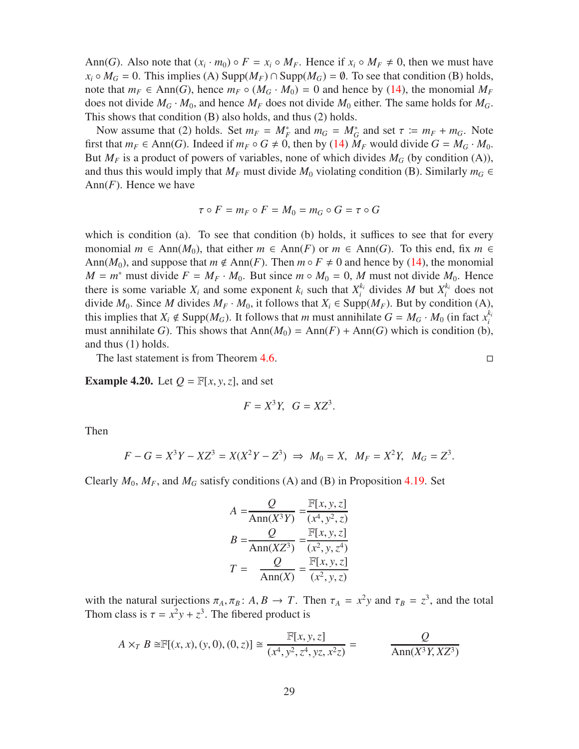Ann(*G*). Also note that  $(x_i \cdot m_0) \circ F = x_i \circ M_F$ . Hence if  $x_i \circ M_F \neq 0$ , then we must have  $x_i \circ M_G = 0$ . This implies (A) Supp $(M_F) \cap$  Supp $(M_G) = \emptyset$ . To see that condition (B) holds, note that  $m_F \in Ann(G)$ , hence  $m_F \circ (M_G \cdot M_0) = 0$  and hence by [\(14\)](#page-26-0), the monomial  $M_F$ does not divide  $M_G \cdot M_0$ , and hence  $M_F$  does not divide  $M_0$  either. The same holds for  $M_G$ . This shows that condition (B) also holds, and thus (2) holds.

Now assume that (2) holds. Set  $m_F = M_F^*$  and  $m_G = M_G^*$  and set  $\tau := m_F + m_G$ . Note first that  $m_F \in \text{Ann}(G)$ . Indeed if  $m_F \circ G \neq 0$ , then by [\(14\)](#page-26-0)  $M_F$  would divide  $G = M_G \cdot M_0$ . But  $M_F$  is a product of powers of variables, none of which divides  $M_G$  (by condition (A)), and thus this would imply that  $M_F$  must divide  $M_0$  violating condition (B). Similarly  $m_G \in$ Ann(*F*). Hence we have

$$
\tau \circ F = m_F \circ F = M_0 = m_G \circ G = \tau \circ G
$$

which is condition (a). To see that condition (b) holds, it suffices to see that for every monomial  $m \in Ann(M_0)$ , that either  $m \in Ann(F)$  or  $m \in Ann(G)$ . To this end, fix  $m \in$ Ann( $M_0$ ), and suppose that  $m \notin Ann(F)$ . Then  $m \circ F \neq 0$  and hence by [\(14\)](#page-26-0), the monomial  $M = m^*$  must divide  $F = M_F \cdot M_0$ . But since  $m \circ M_0 = 0$ , M must not divide  $M_0$ . Hence there is some variable  $X_i$  and some exponent  $k_i$  such that  $X_i^{k_i}$  $a_i^{k_i}$  divides *M* but  $X_i^{k_i}$  $i$ <sup> $k_i$ </sup> does not divide *M*<sub>0</sub>. Since *M* divides *M<sub>F</sub>* ⋅ *M*<sub>0</sub>, it follows that *X<sub>i</sub>* ∈ Supp(*M<sub>F</sub>*). But by condition (A), this implies that  $X_i \notin \text{Supp}(M_G)$ . It follows that *m* must annihilate  $G = M_G \cdot M_0$  (in fact  $x_i^{k_i}$ *i* must annihilate *G*). This shows that  $\text{Ann}(M_0) = \text{Ann}(F) + \text{Ann}(G)$  which is condition (b), and thus (1) holds.

The last statement is from Theorem [4.6.](#page-18-0)

**Example 4.20.** Let  $Q = \mathbb{F}[x, y, z]$ , and set

$$
F = X^3 Y, \quad G = XZ^3.
$$

Then

$$
F - G = X^{3}Y - XZ^{3} = X(X^{2}Y - Z^{3}) \implies M_{0} = X, \ \ M_{F} = X^{2}Y, \ \ M_{G} = Z^{3}.
$$

Clearly  $M_0$ ,  $M_F$ , and  $M_G$  satisfy conditions (A) and (B) in Proposition [4.19.](#page-27-0) Set

$$
A = \frac{Q}{\text{Ann}(X^3Y)} = \frac{\mathbb{F}[x, y, z]}{(x^4, y^2, z)}
$$

$$
B = \frac{Q}{\text{Ann}(XZ^3)} = \frac{\mathbb{F}[x, y, z]}{(x^2, y, z^4)}
$$

$$
T = \frac{Q}{\text{Ann}(X)} = \frac{\mathbb{F}[x, y, z]}{(x^2, y, z)}
$$

with the natural surjections  $\pi_A$ ,  $\pi_B$ :  $A, B \to T$ . Then  $\tau_A = x^2y$  and  $\tau_B = z^3$ , and the total Thom class is  $\tau = x^2y + z^3$ . The fibered product is

$$
A \times_T B \cong \mathbb{F}[(x, x), (y, 0), (0, z)] \cong \frac{\mathbb{F}[x, y, z]}{(x^4, y^2, z^4, yz, x^2z)} = \frac{Q}{\text{Ann}(X^3Y, XZ^3)}
$$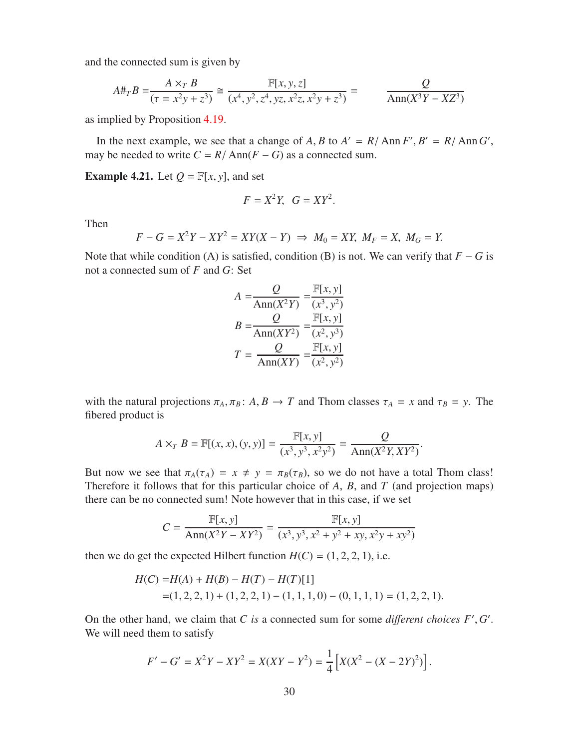and the connected sum is given by

$$
A\#_T B = \frac{A \times_T B}{(\tau = x^2 y + z^3)} \cong \frac{\mathbb{F}[x, y, z]}{(x^4, y^2, z^4, yz, x^2 z, x^2 y + z^3)} = \frac{Q}{\text{Ann}(X^3 Y - X Z^3)}
$$

as implied by Proposition [4.19.](#page-27-0)

In the next example, we see that a change of *A*, *B* to  $A' = R/\text{Ann } F', B' = R/\text{Ann } G'$ , may be needed to write  $C = R / \text{Ann}(F - G)$  as a connected sum.

**Example 4.21.** Let  $Q = \mathbb{F}[x, y]$ , and set

$$
F = X^2 Y, \quad G = XY^2.
$$

Then

$$
F - G = X^2Y - XY^2 = XY(X - Y) \implies M_0 = XY, M_F = X, M_G = Y.
$$

Note that while condition (A) is satisfied, condition (B) is not. We can verify that *F* − *G* is not a connected sum of *F* and *G*: Set

$$
A = \frac{Q}{\text{Ann}(X^2Y)} = \frac{\mathbb{F}[x, y]}{(x^3, y^2)}
$$

$$
B = \frac{Q}{\text{Ann}(XY^2)} = \frac{\mathbb{F}[x, y]}{(x^2, y^3)}
$$

$$
T = \frac{Q}{\text{Ann}(XY)} = \frac{\mathbb{F}[x, y]}{(x^2, y^2)}
$$

with the natural projections  $\pi_A$ ,  $\pi_B$ : *A*, *B*  $\rightarrow$  *T* and Thom classes  $\tau_A = x$  and  $\tau_B = y$ . The fibered product is

$$
A \times_T B = \mathbb{F}[(x, x), (y, y)] = \frac{\mathbb{F}[x, y]}{(x^3, y^3, x^2y^2)} = \frac{Q}{\text{Ann}(X^2Y, XY^2)}.
$$

But now we see that  $\pi_A(\tau_A) = x \neq y = \pi_B(\tau_B)$ , so we do not have a total Thom class! Therefore it follows that for this particular choice of *A*, *B*, and *T* (and projection maps) there can be no connected sum! Note however that in this case, if we set

$$
C = \frac{\mathbb{F}[x, y]}{\text{Ann}(X^2Y - XY^2)} = \frac{\mathbb{F}[x, y]}{(x^3, y^3, x^2 + y^2 + xy, x^2y + xy^2)}
$$

then we do get the expected Hilbert function  $H(C) = (1, 2, 2, 1)$ , i.e.

$$
H(C) = H(A) + H(B) - H(T) - H(T)[1]
$$
  
= (1, 2, 2, 1) + (1, 2, 2, 1) - (1, 1, 1, 0) - (0, 1, 1, 1) = (1, 2, 2, 1).

On the other hand, we claim that  $C$  is a connected sum for some *different choices*  $F$ <sup>'</sup>,  $G$ '. We will need them to satisfy

$$
F' - G' = X^2 Y - XY^2 = X(XY - Y^2) = \frac{1}{4} [X(X^2 - (X - 2Y)^2)].
$$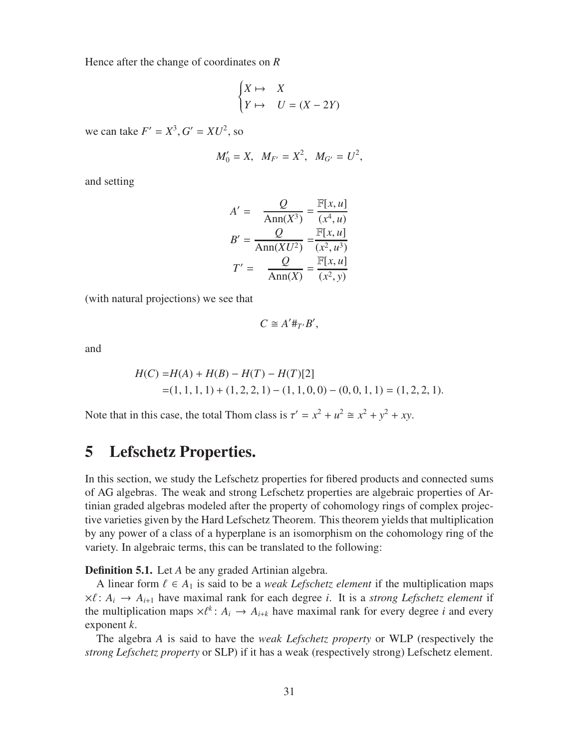Hence after the change of coordinates on *R*

$$
\begin{cases} X \mapsto & X \\ Y \mapsto & U = (X - 2Y) \end{cases}
$$

we can take  $F' = X^3$ ,  $G' = XU^2$ , so

$$
M'_0 = X
$$
,  $M_{F'} = X^2$ ,  $M_{G'} = U^2$ ,

and setting

$$
A' = \frac{Q}{\text{Ann}(X^3)} = \frac{\mathbb{F}[x, u]}{(x^4, u)}
$$

$$
B' = \frac{Q}{\text{Ann}(XU^2)} = \frac{\mathbb{F}[x, u]}{(x^2, u^3)}
$$

$$
T' = \frac{Q}{\text{Ann}(X)} = \frac{\mathbb{F}[x, u]}{(x^2, y)}
$$

(with natural projections) we see that

$$
C\cong A'\#_{T'}B',
$$

and

$$
H(C) = H(A) + H(B) - H(T) - H(T)[2]
$$
  
= (1, 1, 1, 1) + (1, 2, 2, 1) - (1, 1, 0, 0) - (0, 0, 1, 1) = (1, 2, 2, 1).

Note that in this case, the total Thom class is  $\tau' = x^2 + u^2 \approx x^2 + y^2 + xy$ .

### <span id="page-30-0"></span>5 Lefschetz Properties.

In this section, we study the Lefschetz properties for fibered products and connected sums of AG algebras. The weak and strong Lefschetz properties are algebraic properties of Artinian graded algebras modeled after the property of cohomology rings of complex projective varieties given by the Hard Lefschetz Theorem. This theorem yields that multiplication by any power of a class of a hyperplane is an isomorphism on the cohomology ring of the variety. In algebraic terms, this can be translated to the following:

<span id="page-30-1"></span>**Definition 5.1.** Let *A* be any graded Artinian algebra.

A linear form  $\ell \in A_1$  is said to be a *weak Lefschetz element* if the multiplication maps  $\times \ell : A_i \rightarrow A_{i+1}$  have maximal rank for each degree *i*. It is a *strong Lefschetz element* if the multiplication maps  $\times \ell^k$ :  $A_i \rightarrow A_{i+k}$  have maximal rank for every degree *i* and every exponent *k*.

The algebra *A* is said to have the *weak Lefschetz property* or WLP (respectively the *strong Lefschetz property* or SLP) if it has a weak (respectively strong) Lefschetz element.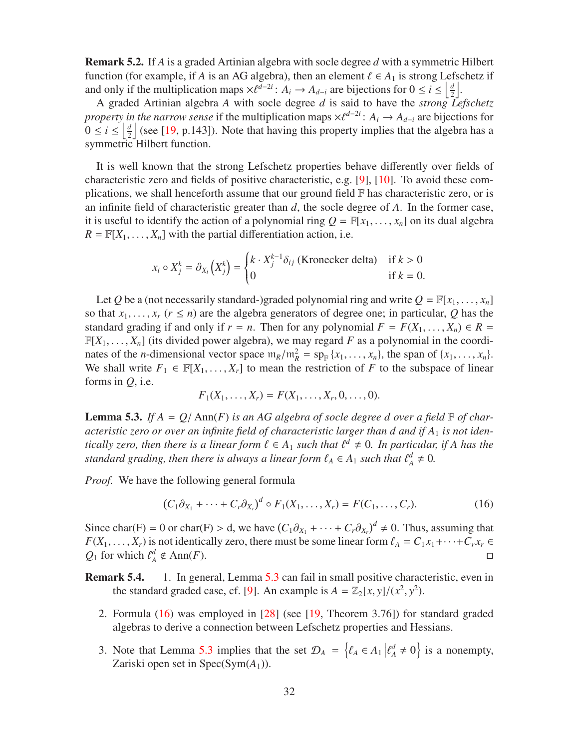Remark 5.2. If *A* is a graded Artinian algebra with socle degree *d* with a symmetric Hilbert function (for example, if *A* is an AG algebra), then an element  $\ell \in A_1$  is strong Lefschetz if and only if the multiplication maps  $\times \ell^{d-2i}$ :  $A_i \to A_{d-i}$  are bijections for  $0 \le i \le \left\lfloor \frac{d}{2} \right\rfloor$  $\frac{d}{2}$ .

A graded Artinian algebra *A* with socle degree *d* is said to have the *strong Lefschetz property in the narrow sense* if the multiplication maps  $\times \ell^{d-2i}$ :  $A_i \rightarrow A_{d-i}$  are bijections for  $0 \leq i \leq \left\lfloor \frac{d}{2} \right\rfloor$  $\frac{d}{2}$  (see [\[19,](#page-56-3) p.143]). Note that having this property implies that the algebra has a symmetric Hilbert function.

It is well known that the strong Lefschetz properties behave differently over fields of characteristic zero and fields of positive characteristic, e.g. [\[9\]](#page-55-8), [\[10\]](#page-55-9). To avoid these complications, we shall henceforth assume that our ground field  $\mathbb F$  has characteristic zero, or is an infinite field of characteristic greater than *d*, the socle degree of *A*. In the former case, it is useful to identify the action of a polynomial ring  $Q = \mathbb{F}[x_1, \ldots, x_n]$  on its dual algebra  $R = \mathbb{F}[X_1, \ldots, X_n]$  with the partial differentiation action, i.e.

$$
x_i \circ X_j^k = \partial_{X_i} \left( X_j^k \right) = \begin{cases} k \cdot X_j^{k-1} \delta_{ij} & \text{(Kronecker delta)} \quad \text{if } k > 0 \\ 0 & \text{if } k = 0. \end{cases}
$$

Let Q be a (not necessarily standard-)graded polynomial ring and write  $Q = \mathbb{F}[x_1, \ldots, x_n]$ so that  $x_1, \ldots, x_r$  ( $r \leq n$ ) are the algebra generators of degree one; in particular, Q has the standard grading if and only if  $r = n$ . Then for any polynomial  $F = F(X_1, \ldots, X_n) \in R$  $\mathbb{F}[X_1, \ldots, X_n]$  (its divided power algebra), we may regard *F* as a polynomial in the coordinates of the *n*-dimensional vector space  $m_R/m_R^2 = sp_R(x_1, \ldots, x_n)$ , the span of  $\{x_1, \ldots, x_n\}$ . We shall write  $F_1 \in \mathbb{F}[X_1, \ldots, X_r]$  to mean the restriction of F to the subspace of linear forms in *Q*, i.e.

$$
F_1(X_1, \ldots, X_r) = F(X_1, \ldots, X_r, 0, \ldots, 0).
$$

<span id="page-31-0"></span>**Lemma 5.3.** If  $A = Q/\text{Ann}(F)$  is an AG algebra of socle degree d over a field  $\mathbb{F}$  of characteristic zero or over an infinite field of characteristic larger than d and if A<sub>1</sub> is not iden*tically zero, then there is a linear form*  $\ell \in A_1$  *such that*  $\ell^d \neq 0$ *. In particular, if A has the standard grading, then there is always a linear form*  $\ell_A \in A_1$  *such that*  $\ell_A^d \neq 0$ .

*Proof.* We have the following general formula

<span id="page-31-1"></span>
$$
(C_1\partial_{X_1} + \cdots + C_r\partial_{X_r})^d \circ F_1(X_1,\ldots,X_r) = F(C_1,\ldots,C_r). \tag{16}
$$

Since char(F) = 0 or char(F) > d, we have  $(C_1\partial_{X_1} + \cdots + C_r\partial_{X_r})^d \neq 0$ . Thus, assuming that *F*(*X*<sub>1</sub>, . . . . , *X<sub>r</sub>*) is not identically zero, there must be some linear form  $\ell_A = C_1 x_1 + \cdots + C_r x_r \in$ <br>*O*<sub>1</sub> for which  $\ell_A^d \notin Ann(F)$ .  $Q_1$  for which  $\ell^d_A$  $A \notin Ann(F).$ 

Remark 5.4. 1. In general, Lemma [5.3](#page-31-0) can fail in small positive characteristic, even in the standard graded case, cf. [\[9\]](#page-55-8). An example is  $A = \mathbb{Z}_2[x, y]/(x^2, y^2)$ .

- 2. Formula [\(16\)](#page-31-1) was employed in [\[28\]](#page-56-5) (see [\[19,](#page-56-3) Theorem 3.76]) for standard graded algebras to derive a connection between Lefschetz properties and Hessians.
- 3. Note that Lemma [5.3](#page-31-0) implies that the set  $\mathcal{D}_A = \{ \ell_A \in A_1 | \ell_A^d \neq 0 \}$  is a nonempty, Zariski open set in Spec(Sym(*A*1)).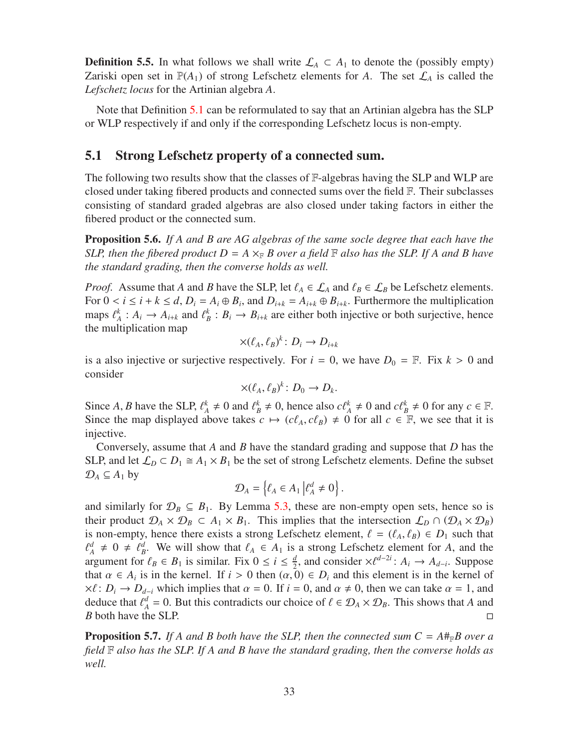**Definition 5.5.** In what follows we shall write  $\mathcal{L}_A \subset A_1$  to denote the (possibly empty) Zariski open set in  $\mathbb{P}(A_1)$  of strong Lefschetz elements for A. The set  $\mathcal{L}_A$  is called the *Lefschetz locus* for the Artinian algebra *A*.

Note that Definition [5.1](#page-30-1) can be reformulated to say that an Artinian algebra has the SLP or WLP respectively if and only if the corresponding Lefschetz locus is non-empty.

### <span id="page-32-2"></span>5.1 Strong Lefschetz property of a connected sum.

The following two results show that the classes of  $\mathbb{F}\text{-algebras}$  having the SLP and WLP are closed under taking fibered products and connected sums over the field F. Their subclasses consisting of standard graded algebras are also closed under taking factors in either the fibered product or the connected sum.

<span id="page-32-0"></span>Proposition 5.6. *If A and B are AG algebras of the same socle degree that each have the SLP, then the fibered product*  $D = A \times_{\mathbb{F}} B$  over a field  $\mathbb{F}$  also has the SLP. If A and B have *the standard grading, then the converse holds as well.*

*Proof.* Assume that *A* and *B* have the SLP, let  $\ell_A \in \mathcal{L}_A$  and  $\ell_B \in \mathcal{L}_B$  be Lefschetz elements. For  $0 < i \leq i + k \leq d$ ,  $D_i = A_i \oplus B_i$ , and  $D_{i+k} = A_{i+k} \oplus B_{i+k}$ . Furthermore the multiplication maps  $\ell_A^k : A_i \to A_{i+k}$  and  $\ell_B^k : B_i \to B_{i+k}$  are either both injective or both surjective, hence the multiplication map

$$
\times (\ell_A, \ell_B)^k \colon D_i \to D_{i+k}
$$

is a also injective or surjective respectively. For  $i = 0$ , we have  $D_0 = \mathbb{F}$ . Fix  $k > 0$  and consider

$$
\times (\ell_A, \ell_B)^k \colon D_0 \to D_k.
$$

Since *A*, *B* have the SLP,  $\ell_A^k \neq 0$  and  $\ell_B^k \neq 0$ , hence also  $c\ell_A^k \neq 0$  and  $c\ell_B^k \neq 0$  for any  $c \in \mathbb{F}$ . Since the map displayed above takes  $c \mapsto (c\ell_A, c\ell_B) \neq 0$  for all  $c \in \mathbb{F}$ , we see that it is injective.

Conversely, assume that *A* and *B* have the standard grading and suppose that *D* has the SLP, and let  $\mathcal{L}_D \subset D_1 \cong A_1 \times B_1$  be the set of strong Lefschetz elements. Define the subset  $\mathcal{D}_A \subseteq A_1$  by

$$
\mathcal{D}_A = \left\{ \ell_A \in A_1 \middle| \ell_A^d \neq 0 \right\}.
$$

and similarly for  $\mathcal{D}_B \subseteq B_1$ . By Lemma [5.3,](#page-31-0) these are non-empty open sets, hence so is their product  $\mathcal{D}_A \times \mathcal{D}_B \subset A_1 \times B_1$ . This implies that the intersection  $\mathcal{L}_D \cap (\mathcal{D}_A \times \mathcal{D}_B)$ is non-empty, hence there exists a strong Lefschetz element,  $\ell = (\ell_A, \ell_B) \in D_1$  such that  $\ell_A^d \neq 0 \neq \ell_B^d$ . We will show that  $\ell_A \in A_1$  is a strong Lefschetz element for *A*, and the argument for  $\ell_B \in B_1$  is similar. Fix  $0 \le i \le \frac{d}{2}$  $\frac{d}{2}$ , and consider × $\ell^{d-2i}$ : *A<sub>i</sub>* → *A<sub>d−i</sub>*. Suppose that  $\alpha \in A_i$  is in the kernel. If  $i > 0$  then  $(\alpha, 0) \in D_i$  and this element is in the kernel of  $\times \ell : D_i \to D_{d-i}$  which implies that  $\alpha = 0$ . If  $i = 0$ , and  $\alpha \neq 0$ , then we can take  $\alpha = 1$ , and deduce that  $\ell_A^d = 0$ . But this contradicts our choice of  $\ell \in \mathcal{D}_A \times \mathcal{D}_B$ . This shows that *A* and *B* both have the SLP. □

<span id="page-32-1"></span>**Proposition 5.7.** If A and B both have the SLP, then the connected sum  $C = A#_{\mathbb{F}}B$  over a *field* F *also has the SLP. If A and B have the standard grading, then the converse holds as well.*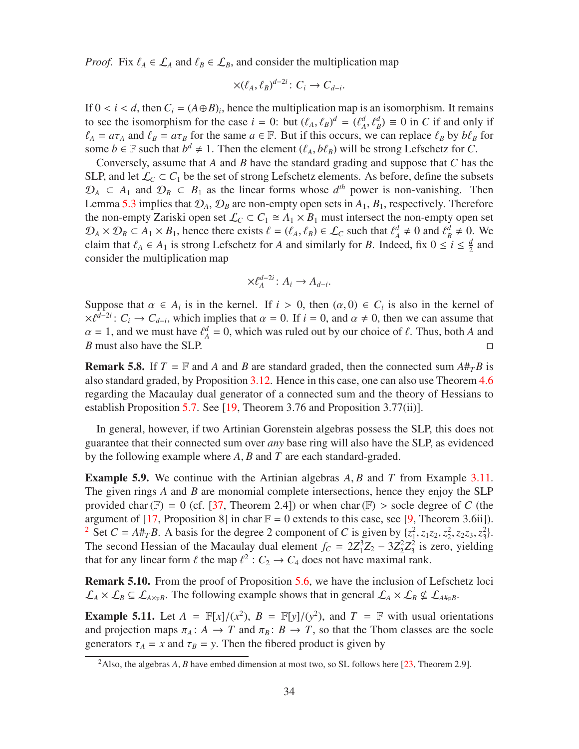*Proof.* Fix  $\ell_A \in \mathcal{L}_A$  and  $\ell_B \in \mathcal{L}_B$ , and consider the multiplication map

$$
\times (\ell_A, \ell_B)^{d-2i} \colon C_i \to C_{d-i}.
$$

If  $0 < i < d$ , then  $C_i = (A \oplus B)_i$ , hence the multiplication map is an isomorphism. It remains to see the isomorphism for the case  $i = 0$ : but  $(\ell_A, \ell_B)^d = (\ell_A^d)$  $\mathcal{A}^d$ ,  $\mathcal{C}^d_B$ )  $\equiv$  0 in *C* if and only if  $\ell_A = a\tau_A$  and  $\ell_B = a\tau_B$  for the same  $a \in \mathbb{F}$ . But if this occurs, we can replace  $\ell_B$  by  $b\ell_B$  for some *b* ∈ F such that  $b^d \neq 1$ . Then the element  $(\ell_A, b\ell_B)$  will be strong Lefschetz for *C*.

Conversely, assume that *A* and *B* have the standard grading and suppose that *C* has the SLP, and let  $\mathcal{L}_C \subset C_1$  be the set of strong Lefschetz elements. As before, define the subsets  $\mathcal{D}_A \subset A_1$  and  $\mathcal{D}_B \subset B_1$  as the linear forms whose  $d^{th}$  power is non-vanishing. Then Lemma [5.3](#page-31-0) implies that  $\mathcal{D}_A$ ,  $\mathcal{D}_B$  are non-empty open sets in  $A_1$ ,  $B_1$ , respectively. Therefore the non-empty Zariski open set  $\mathcal{L}_C \subset C_1 \cong A_1 \times B_1$  must intersect the non-empty open set  $\mathcal{D}_A \times \mathcal{D}_B \subset A_1 \times B_1$ , hence there exists  $\ell = (\ell_A, \ell_B) \in \mathcal{L}_C$  such that  $\ell_A^d \neq 0$  and  $\ell_B^d \neq 0$ . We claim that  $\ell_A \in A_1$  is strong Lefschetz for *A* and similarly for *B*. Indeed, fix  $0 \le i \le \frac{d}{2}$  $\frac{d}{2}$  and consider the multiplication map

$$
\times \ell_A^{d-2i} \colon A_i \to A_{d-i}.
$$

Suppose that  $\alpha \in A_i$  is in the kernel. If  $i > 0$ , then  $(\alpha, 0) \in C_i$  is also in the kernel of  $\times \ell^{d-2i}$ :  $C_i \rightarrow C_{d-i}$ , which implies that  $\alpha = 0$ . If  $i = 0$ , and  $\alpha \neq 0$ , then we can assume that  $\alpha = 1$ , and we must have  $\ell_A^d = 0$ , which was ruled out by our choice of  $\ell$ . Thus, both *A* and *B* must also have the SLP. □

**Remark 5.8.** If  $T = \mathbb{F}$  and A and B are standard graded, then the connected sum  $A#_{T}B$  is also standard graded, by Proposition [3.12.](#page-14-0) Hence in this case, one can also use Theorem [4.6](#page-18-0) regarding the Macaulay dual generator of a connected sum and the theory of Hessians to establish Proposition [5.7.](#page-32-1) See [\[19,](#page-56-3) Theorem 3.76 and Proposition 3.77(ii)].

In general, however, if two Artinian Gorenstein algebras possess the SLP, this does not guarantee that their connected sum over *any* base ring will also have the SLP, as evidenced by the following example where *A*, *B* and *T* are each standard-graded.

Example 5.9. We continue with the Artinian algebras *A*, *B* and *T* from Example [3.11.](#page-13-4) The given rings *A* and *B* are monomial complete intersections, hence they enjoy the SLP provided char ( $F$ ) = 0 (cf. [\[37,](#page-57-4) Theorem 2.4]) or when char ( $F$ ) > socle degree of *C* (the argument of [\[17,](#page-56-6) Proposition 8] in char  $\mathbb{F} = 0$  extends to this case, see [\[9,](#page-55-8) Theorem 3.6ii]). <sup>[2](#page-33-0)</sup> Set *C* = *A*#*TB*. A basis for the degree 2 component of *C* is given by  $\{z_1^2, z_1z_2, z_2^2, z_2z_3, z_3^2\}$ . The second Hessian of the Macaulay dual element  $f_C = 2Z_1^3$  $^{3}_{1}Z_{2} - 3Z_{2}^{2}$  $^{2}_{2}Z^{2}_{3}$  $\frac{2}{3}$  is zero, yielding that for any linear form  $\ell$  the map  $\ell^2$  :  $C_2 \to C_4$  does not have maximal rank.

<span id="page-33-1"></span>**Remark 5.10.** From the proof of Proposition [5.6,](#page-32-0) we have the inclusion of Lefschetz loci  $\mathcal{L}_A \times \mathcal{L}_B \subseteq \mathcal{L}_{A \times_B B}$ . The following example shows that in general  $\mathcal{L}_A \times \mathcal{L}_B \nsubseteq \mathcal{L}_{A \#_F B}$ .

**Example 5.11.** Let  $A = \mathbb{F}[x]/(x^2)$ ,  $B = \mathbb{F}[y]/(y^2)$ , and  $T = \mathbb{F}$  with usual orientations and projection maps  $\pi_A: A \to T$  and  $\pi_B: B \to T$ , so that the Thom classes are the socle generators  $\tau_A = x$  and  $\tau_B = y$ . Then the fibered product is given by

<span id="page-33-0"></span><sup>&</sup>lt;sup>2</sup>Also, the algebras *A*, *B* have embed dimension at most two, so SL follows here [\[23,](#page-56-7) Theorem 2.9].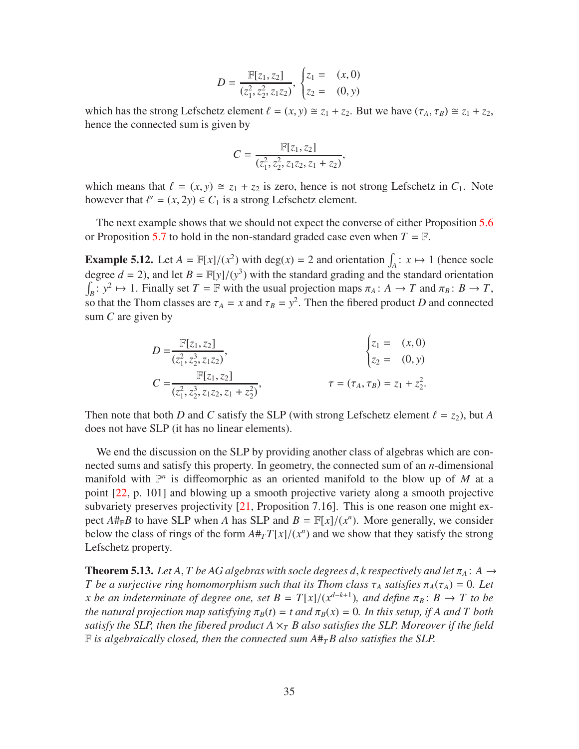$$
D = \frac{\mathbb{F}[z_1, z_2]}{(z_1^2, z_2^2, z_1 z_2)}, \begin{cases} z_1 = (x, 0) \\ z_2 = (0, y) \end{cases}
$$

which has the strong Lefschetz element  $\ell = (x, y) \cong z_1 + z_2$ . But we have  $(\tau_A, \tau_B) \cong z_1 + z_2$ , hence the connected sum is given by

$$
C = \frac{\mathbb{F}[z_1, z_2]}{(z_1^2, z_2^2, z_1 z_2, z_1 + z_2)},
$$

which means that  $\ell = (x, y) \approx z_1 + z_2$  is zero, hence is not strong Lefschetz in  $C_1$ . Note however that  $\ell' = (x, 2y) \in C_1$  is a strong Lefschetz element.

The next example shows that we should not expect the converse of either Proposition [5.6](#page-32-0) or Proposition [5.7](#page-32-1) to hold in the non-standard graded case even when  $T = \mathbb{F}$ .

**Example 5.12.** Let  $A = \mathbb{F}[x]/(x^2)$  with deg(*x*) = 2 and orientation  $\int_A : x \mapsto 1$  (hence socle degree  $d = 2$ ), and let  $B = \mathbb{F}[y]/(y^3)$  with the standard grading and the standard orientation  $\int_B$ :  $y^2 \mapsto 1$ . Finally set  $T = \mathbb{F}$  with the usual projection maps  $\pi_A : A \to T$  and  $\pi_B : B \to T$ , so that the Thom classes are  $\tau_A = x$  and  $\tau_B = y^2$ . Then the fibered product *D* and connected sum *C* are given by

$$
D = \frac{\mathbb{F}[z_1, z_2]}{(z_1^2, z_2^3, z_1 z_2)}, \qquad \begin{cases} z_1 = (x, 0) \\ z_2 = (0, y) \end{cases}
$$
  

$$
C = \frac{\mathbb{F}[z_1, z_2]}{(z_1^2, z_2^3, z_1 z_2, z_1 + z_2^2)}, \qquad \tau = (\tau_A, \tau_B) = z_1 + z_2^2.
$$

Then note that both *D* and *C* satisfy the SLP (with strong Lefschetz element  $\ell = z_2$ ), but *A* does not have SLP (it has no linear elements).

We end the discussion on the SLP by providing another class of algebras which are connected sums and satisfy this property. In geometry, the connected sum of an *n*-dimensional manifold with  $\mathbb{P}^n$  is diffeomorphic as an oriented manifold to the blow up of *M* at a point [\[22,](#page-56-8) p. 101] and blowing up a smooth projective variety along a smooth projective subvariety preserves projectivity [\[21,](#page-56-4) Proposition 7.16]. This is one reason one might expect  $A#_{\mathbb{F}}B$  to have SLP when *A* has SLP and  $B = \mathbb{F}[x]/(x^n)$ . More generally, we consider below the class of rings of the form  $A \#_T T[x]/(x^n)$  and we show that they satisfy the strong Lefschetz property.

<span id="page-34-0"></span>**Theorem 5.13.** Let A, T be AG algebras with socle degrees d, *k* respectively and let  $\pi_A$ : A  $\rightarrow$ *T* be a surjective ring homomorphism such that its Thom class  $\tau_A$  satisfies  $\pi_A(\tau_A) = 0$ . Let *x* be an indeterminate of degree one, set  $B = T[x]/(x^{d-k+1})$ , and define  $\pi_B: B \to T$  to be *the natural projection map satisfying*  $\pi_B(t) = t$  *and*  $\pi_B(x) = 0$ *. In this setup, if A and T both satisfy the SLP, then the fibered product A*  $\times$ <sup>*T</sup></sup> <i>B* also satisfies the SLP. Moreover if the field</sup>  $F$  *is algebraically closed, then the connected sum*  $A#_{T}B$  *also satisfies the SLP.*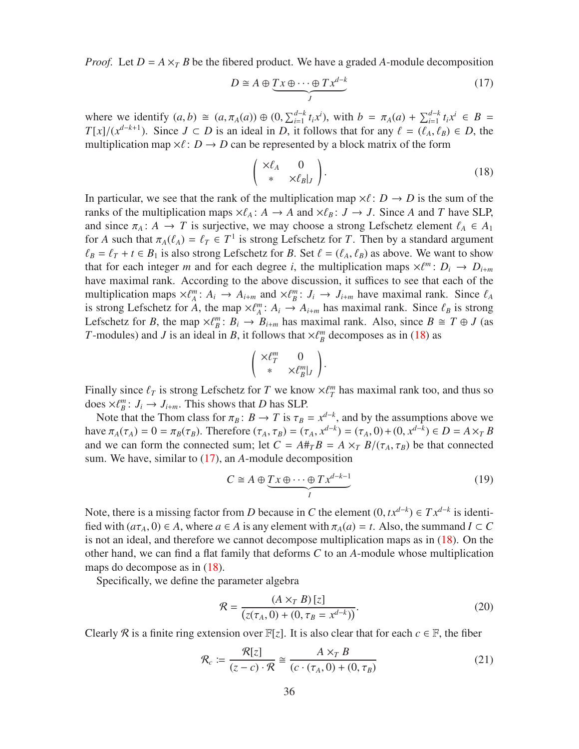*Proof.* Let  $D = A \times_{T} B$  be the fibered product. We have a graded A-module decomposition

<span id="page-35-1"></span>
$$
D \cong A \oplus \underbrace{T x \oplus \cdots \oplus T x^{d-k}}_{J}
$$
 (17)

where we identify  $(a, b) \cong (a, \pi_A(a)) \oplus (0, \sum_{i=1}^{d-k} t_i x^i)$ , with  $b = \pi_A(a) + \sum_{i=1}^{d-k} t_i x^i \in B$  $T[x]/(x^{d-k+1})$ . Since  $J \subset D$  is an ideal in *D*, it follows that for any  $\ell = (\ell_A, \ell_B) \in D$ , the multiplication map  $\times \ell : D \to D$  can be represented by a block matrix of the form

<span id="page-35-0"></span>
$$
\begin{pmatrix} \times \ell_A & 0 \\ * & \times \ell_B |_J \end{pmatrix} . \tag{18}
$$

In particular, we see that the rank of the multiplication map  $\times \ell : D \to D$  is the sum of the ranks of the multiplication maps  $\times \ell_A : A \to A$  and  $\times \ell_B : J \to J$ . Since *A* and *T* have SLP, and since  $\pi_A: A \to T$  is surjective, we may choose a strong Lefschetz element  $\ell_A \in A_1$ for *A* such that  $\pi_A(\ell_A) = \ell_T \in T^1$  is strong Lefschetz for *T*. Then by a standard argument  $\ell_B = \ell_T + t \in B_1$  is also strong Lefschetz for *B*. Set  $\ell = (\ell_A, \ell_B)$  as above. We want to show that for each integer *m* and for each degree *i*, the multiplication maps  $\times \ell^m$ :  $D_i \rightarrow D_{i+m}$ have maximal rank. According to the above discussion, it suffices to see that each of the multiplication maps  $\times \ell_A^m$ :  $A_i \rightarrow A_{i+m}$  and  $\times \ell_B^m$ :  $J_i \rightarrow J_{i+m}$  have maximal rank. Since  $\ell_A$ is strong Lefschetz for *A*, the map  $\times \ell_A^m$ :  $A_i \to A_{i+m}$  has maximal rank. Since  $\ell_B$  is strong Lefschetz for *B*, the map  $\times \ell_B^m$ :  $B_i \to B_{i+m}$  has maximal rank. Also, since  $B \cong T \oplus J$  (as *T*-modules) and *J* is an ideal in *B*, it follows that  $\times \ell_B^m$  decomposes as in [\(18\)](#page-35-0) as

$$
\left(\begin{array}{cc} \times \ell_{T}^{m} & 0 \\ * & \times \ell_{B}^{m}|_{J} \end{array}\right).
$$

Finally since  $\ell_T$  is strong Lefschetz for *T* we know  $\times \ell_T^m$  has maximal rank too, and thus so does  $\times \ell_{B}^{m}$ :  $J_{i} \rightarrow J_{i+m}$ . This shows that *D* has SLP.

Note that the Thom class for  $\pi_B : B \to T$  is  $\tau_B = x^{d-k}$ , and by the assumptions above we have  $\pi_A(\tau_A) = 0 = \pi_B(\tau_B)$ . Therefore  $(\tau_A, \tau_B) = (\tau_A, x^{d-k}) = (\tau_A, 0) + (0, x^{d-k}) \in D = A \times T$ and we can form the connected sum; let  $C = A#_{T}B = A \times_{T} B/(\tau_{A}, \tau_{B})$  be that connected sum. We have, similar to [\(17\)](#page-35-1), an *A*-module decomposition

<span id="page-35-2"></span>
$$
C \cong A \oplus \underbrace{T x \oplus \cdots \oplus T x^{d-k-1}}_{I}
$$
 (19)

Note, there is a missing factor from *D* because in *C* the element  $(0, tx^{d-k}) \in Tx^{d-k}$  is identified with  $(a\tau_A, 0) \in A$ , where  $a \in A$  is any element with  $\pi_A(a) = t$ . Also, the summand  $I \subset C$ is not an ideal, and therefore we cannot decompose multiplication maps as in [\(18\)](#page-35-0). On the other hand, we can find a flat family that deforms *C* to an *A*-module whose multiplication maps do decompose as in [\(18\)](#page-35-0).

Specifically, we define the parameter algebra

$$
\mathcal{R} = \frac{(A \times_T B)[z]}{(z(\tau_A, 0) + (0, \tau_B = x^{d-k}))}.
$$
\n(20)

Clearly R is a finite ring extension over  $\mathbb{F}[z]$ . It is also clear that for each  $c \in \mathbb{F}$ , the fiber

$$
\mathcal{R}_c := \frac{\mathcal{R}[z]}{(z-c)\cdot\mathcal{R}} \cong \frac{A \times_T B}{(c\cdot(\tau_A, 0) + (0, \tau_B))}
$$
(21)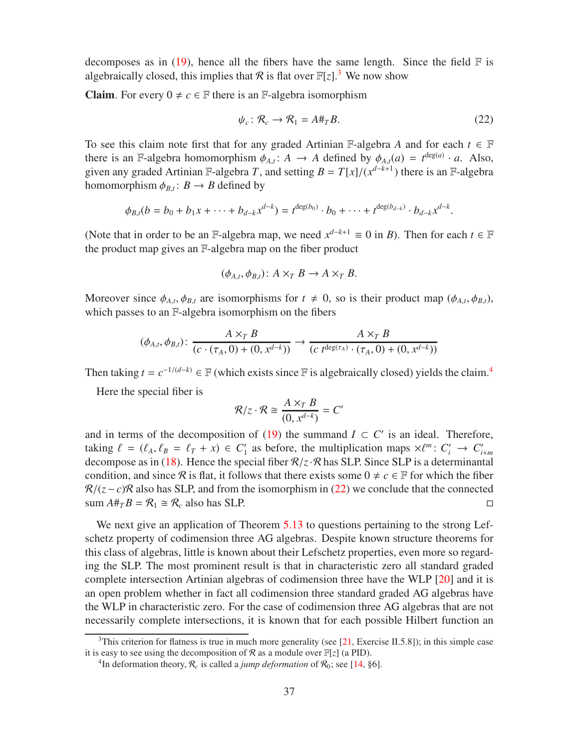decomposes as in  $(19)$ , hence all the fibers have the same length. Since the field  $\mathbb F$  is algebraically closed, this implies that R is flat over  $\mathbb{F}[z]$ .<sup>[3](#page-36-0)</sup> We now show

**Claim.** For every  $0 \neq c \in \mathbb{F}$  there is an F-algebra isomorphism

<span id="page-36-2"></span>
$$
\psi_c \colon \mathcal{R}_c \to \mathcal{R}_1 = A \#_T B. \tag{22}
$$

To see this claim note first that for any graded Artinian  $\mathbb{F}\text{-algebra }A$  and for each  $t \in \mathbb{F}$ there is an F-algebra homomorphism  $\phi_{A,t}$ :  $A \rightarrow A$  defined by  $\phi_{A,t}(a) = t^{\deg(a)} \cdot a$ . Also, given any graded Artinian F-algebra *T*, and setting  $B = T[x]/(x^{d-k+1})$  there is an F-algebra homomorphism  $\phi_{B,t}: B \to B$  defined by

$$
\phi_{B,t}(b = b_0 + b_1x + \cdots + b_{d-k}x^{d-k}) = t^{\deg(b_0)} \cdot b_0 + \cdots + t^{\deg(b_{d-k})} \cdot b_{d-k}x^{d-k}.
$$

(Note that in order to be an F-algebra map, we need  $x^{d-k+1} \equiv 0$  in *B*). Then for each  $t \in \mathbb{F}$ the product map gives an F-algebra map on the fiber product

$$
(\phi_{A,t}, \phi_{B,t}): A \times_T B \to A \times_T B.
$$

Moreover since  $\phi_{A,t}, \phi_{B,t}$  are isomorphisms for  $t \neq 0$ , so is their product map  $(\phi_{A,t}, \phi_{B,t})$ , which passes to an F-algebra isomorphism on the fibers

$$
(\phi_{A,t}, \phi_{B,t}) \colon \frac{A \times_T B}{(c \cdot (\tau_A, 0) + (0, x^{d-k}))} \to \frac{A \times_T B}{(c \ t^{\deg(\tau_A)} \cdot (\tau_A, 0) + (0, x^{d-k}))}
$$

Then taking  $t = c^{-1/(d-k)} \in \mathbb{F}$  (which exists since  $\mathbb{F}$  is algebraically closed) yields the claim.<sup>[4](#page-36-1)</sup>

Here the special fiber is

$$
\mathcal{R}/z \cdot \mathcal{R} \cong \frac{A \times_T B}{(0, x^{d-k})} = C'
$$

and in terms of the decomposition of [\(19\)](#page-35-2) the summand  $I \subset C'$  is an ideal. Therefore, taking  $\ell = (\ell_A, \ell_B = \ell_T + x) \in C'_1$  as before, the multiplication maps  $\times \ell^m : C'_i \to C'_{i+m}$ decompose as in [\(18\)](#page-35-0). Hence the special fiber  $\mathcal{R}/z \cdot \mathcal{R}$  has SLP. Since SLP is a determinantal condition, and since R is flat, it follows that there exists some  $0 \neq c \in \mathbb{F}$  for which the fiber  $\mathcal{R}/(z-c)\mathcal{R}$  also has SLP, and from the isomorphism in [\(22\)](#page-36-2) we conclude that the connected sum  $A\#_{T}B = \mathcal{R}_1 \cong \mathcal{R}_c$  also has SLP. sum  $A#_{T}B = \mathcal{R}_1 \cong \mathcal{R}_c$  also has SLP.

We next give an application of Theorem [5.13](#page-34-0) to questions pertaining to the strong Lefschetz property of codimension three AG algebras. Despite known structure theorems for this class of algebras, little is known about their Lefschetz properties, even more so regarding the SLP. The most prominent result is that in characteristic zero all standard graded complete intersection Artinian algebras of codimension three have the WLP [\[20\]](#page-56-9) and it is an open problem whether in fact all codimension three standard graded AG algebras have the WLP in characteristic zero. For the case of codimension three AG algebras that are not necessarily complete intersections, it is known that for each possible Hilbert function an

<sup>&</sup>lt;sup>3</sup>This criterion for flatness is true in much more generality (see [\[21,](#page-56-4) Exercise II.5.8]); in this simple case it is easy to see using the decomposition of  $\mathcal R$  as a module over  $\mathbb F[z]$  (a PID).

<span id="page-36-1"></span><span id="page-36-0"></span><sup>&</sup>lt;sup>4</sup>In deformation theory,  $\mathcal{R}_c$  is called a *jump deformation* of  $\mathcal{R}_0$ ; see [\[14,](#page-55-10) §6].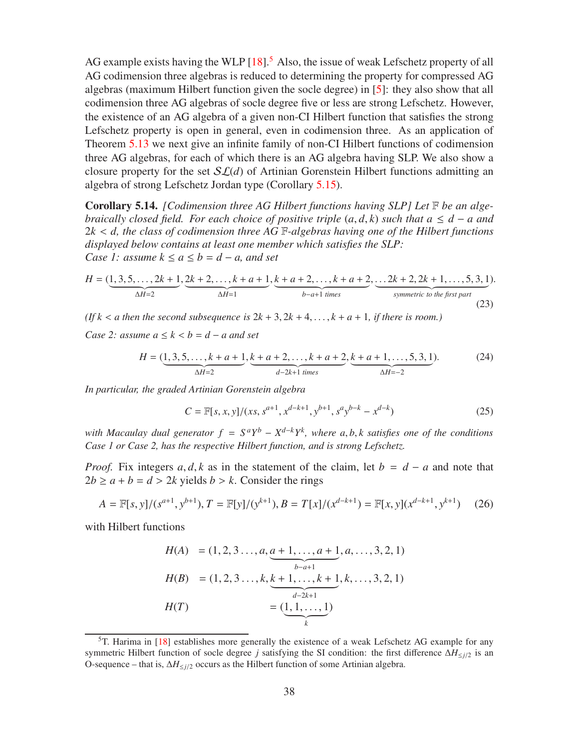AG example exists having the WLP  $[18]$ <sup>[5](#page-37-1)</sup> Also, the issue of weak Lefschetz property of all AG codimension three algebras is reduced to determining the property for compressed AG algebras (maximum Hilbert function given the socle degree) in [\[5\]](#page-55-11): they also show that all codimension three AG algebras of socle degree five or less are strong Lefschetz. However, the existence of an AG algebra of a given non-CI Hilbert function that satisfies the strong Lefschetz property is open in general, even in codimension three. As an application of Theorem [5.13](#page-34-0) we next give an infinite family of non-CI Hilbert functions of codimension three AG algebras, for each of which there is an AG algebra having SLP. We also show a closure property for the set  $SL(d)$  of Artinian Gorenstein Hilbert functions admitting an algebra of strong Lefschetz Jordan type (Corollary [5.15\)](#page-38-0).

<span id="page-37-0"></span>Corollary 5.14. *[Codimension three AG Hilbert functions having SLP] Let* F *be an algebraically closed field. For each choice of positive triple*  $(a, d, k)$  *such that*  $a \leq d - a$  *and* 2*k* < *d, the class of codimension three AG* F*-algebras having one of the Hilbert functions displayed below contains at least one member which satisfies the SLP: Case 1: assume*  $k \le a \le b = d - a$ , and set

<span id="page-37-2"></span>
$$
H = (\underbrace{1, 3, 5, \dots, 2k+1}_{\Delta H=2}, \underbrace{2k+2, \dots, k+a+1}_{\Delta H=1}, \underbrace{k+a+2, \dots, k+a+2}_{b-a+1 \text{ times}}, \underbrace{...2k+2, 2k+1, \dots, 5, 3, 1}_{symmetric \text{ to the first part}}). \tag{23}
$$

*(If k* < *a* then the second subsequence is  $2k + 3$ ,  $2k + 4$ , ...,  $k + a + 1$ , if there is room.)

*Case 2: assume*  $a \leq k < b = d - a$  *and set* 

<span id="page-37-3"></span>
$$
H = (\underbrace{1, 3, 5, \dots, k + a + 1}_{\Delta H = 2}, \underbrace{k + a + 2, \dots, k + a + 2}_{d - 2k + 1 \text{ times}}, \underbrace{k + a + 1, \dots, 5, 3, 1}_{\Delta H = -2}).
$$
 (24)

*In particular, the graded Artinian Gorenstein algebra*

$$
C = \mathbb{F}[s, x, y]/(xs, s^{a+1}, x^{d-k+1}, y^{b+1}, s^a y^{b-k} - x^{d-k})
$$
\n(25)

*with Macaulay dual generator*  $f = S^a Y^b - X^{d-k} Y^k$ , where  $a, b, k$  satisfies one of the conditions *Case 1 or Case 2, has the respective Hilbert function, and is strong Lefschetz.*

*Proof.* Fix integers  $a, d, k$  as in the statement of the claim, let  $b = d - a$  and note that  $2b \ge a + b = d > 2k$  yields  $b > k$ . Consider the rings

$$
A = \mathbb{F}[s, y]/(s^{a+1}, y^{b+1}), T = \mathbb{F}[y]/(y^{k+1}), B = T[x]/(x^{d-k+1}) = \mathbb{F}[x, y](x^{d-k+1}, y^{k+1}) \tag{26}
$$

with Hilbert functions

$$
H(A) = (1, 2, 3..., a, \underbrace{a+1,...,a+1}_{b-a+1}, a,..., 3, 2, 1)
$$
  
\n
$$
H(B) = (1, 2, 3..., k, \underbrace{k+1,...,k+1}_{d-2k+1}, k,..., 3, 2, 1)
$$
  
\n
$$
H(T) = (\underbrace{1, 1,..., 1}_{k})
$$

<span id="page-37-1"></span> $5T$ . Harima in [\[18\]](#page-56-10) establishes more generally the existence of a weak Lefschetz AG example for any symmetric Hilbert function of socle degree *j* satisfying the SI condition: the first difference ∆*H*≤*j*/2 is an O-sequence – that is, ∆*H*≤*j*/<sup>2</sup> occurs as the Hilbert function of some Artinian algebra.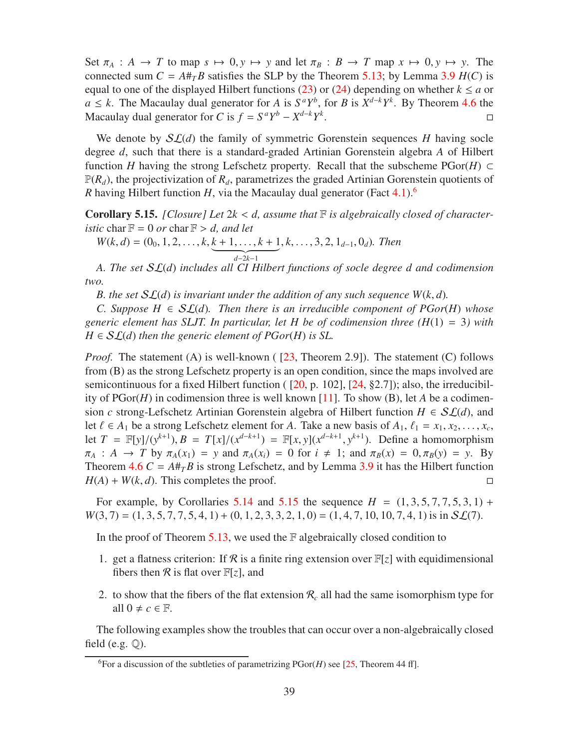Set  $\pi_A : A \to T$  to map  $s \mapsto 0, y \mapsto y$  and let  $\pi_B : B \to T$  map  $x \mapsto 0, y \mapsto y$ . The connected sum  $C = A \#_{T} B$  satisfies the SLP by the Theorem [5.13;](#page-34-0) by Lemma [3.9](#page-13-1)  $H(C)$  is equal to one of the displayed Hilbert functions [\(23\)](#page-37-2) or [\(24\)](#page-37-3) depending on whether  $k \le a$  or *a* ≤ *k*. The Macaulay dual generator for *A* is  $S^aY^b$ , for *B* is  $X^{d-k}Y^k$ . By Theorem [4.6](#page-18-0) the Macaulay dual generator for *C* is  $f = S^a Y^b - X^{d-k} Y^k$ . В последните поставите на примерение в последните село в поставите на примерение в собстание в собстание и<br>В собстание в собстание в собстание в собстание в собстание в собстание в собстание в собстание в собстание в

We denote by  $\mathcal{SL}(d)$  the family of symmetric Gorenstein sequences *H* having socle degree *d*, such that there is a standard-graded Artinian Gorenstein algebra *A* of Hilbert function *H* having the strong Lefschetz property. Recall that the subscheme PGor(*H*) ⊂  $\mathbb{P}(R_d)$ , the projectivization of  $R_d$ , parametrizes the graded Artinian Gorenstein quotients of *R* having Hilbert function *H*, via the Macaulay dual generator (Fact [4.1\)](#page-15-1).<sup>[6](#page-38-1)</sup>

<span id="page-38-0"></span>Corollary 5.15. *[Closure] Let* 2*k* < *d, assume that* F *is algebraically closed of characteristic* char  $F = 0$  *or* char  $F > d$ *, and let* 

 $W(k, d) = (0_0, 1, 2, \ldots, k, \underbrace{k+1, \ldots, k+1}_{d-2k-1}, k, \ldots, 3, 2, 1_{d-1}, 0_d)$ . Then *d*−2*k*−1

*A. The set* SL(*d*) *includes all CI Hilbert functions of socle degree d and codimension two.*

*B. the set* SL(*d*) *is invariant under the addition of any such sequence W*(*k*, *d*)*.*

*C. Suppose H* ∈  $SL(d)$ *. Then there is an irreducible component of PGor(H) whose generic element has SLJT. In particular, let H be of codimension three (H*(1) = 3*) with*  $H \in SL(d)$  *then the generic element of PGor(H) is SL.* 

*Proof.* The statement (A) is well-known ( [\[23,](#page-56-7) Theorem 2.9]). The statement (C) follows from (B) as the strong Lefschetz property is an open condition, since the maps involved are semicontinuous for a fixed Hilbert function ( $[20, p. 102]$ ,  $[24, §2.7]$ ); also, the irreducibility of PGor(*H*) in codimension three is well known [\[11\]](#page-55-12). To show (B), let *A* be a codimension *c* strong-Lefschetz Artinian Gorenstein algebra of Hilbert function  $H \in SL(d)$ , and let  $\ell \in A_1$  be a strong Lefschetz element for *A*. Take a new basis of  $A_1$ ,  $\ell_1 = x_1, x_2, \ldots, x_c$ , let *T* =  $\mathbb{F}[y]/(y^{k+1}), B = T[x]/(x^{d-k+1}) = \mathbb{F}[x, y](x^{d-k+1}, y^{k+1}).$  Define a homomorphism  $\pi_A : A \to T$  by  $\pi_A(x_1) = y$  and  $\pi_A(x_i) = 0$  for  $i \neq 1$ ; and  $\pi_B(x) = 0, \pi_B(y) = y$ . By Theorem  $4.6 C = A \#_{T} B$  $4.6 C = A \#_{T} B$  is strong Lefschetz, and by Lemma [3.9](#page-13-1) it has the Hilbert function  $H(A) + W(k, d)$ . This completes the proof.

For example, by Corollaries [5.14](#page-37-0) and [5.15](#page-38-0) the sequence  $H = (1, 3, 5, 7, 7, 5, 3, 1) +$  $W(3, 7) = (1, 3, 5, 7, 7, 5, 4, 1) + (0, 1, 2, 3, 3, 2, 1, 0) = (1, 4, 7, 10, 10, 7, 4, 1)$  is in  $SL(7)$ .

In the proof of Theorem  $5.13$ , we used the  $F$  algebraically closed condition to

- 1. get a flatness criterion: If  $\mathcal R$  is a finite ring extension over  $\mathbb F[z]$  with equidimensional fibers then  $\mathcal R$  is flat over  $\mathbb F[z]$ , and
- 2. to show that the fibers of the flat extension  $\mathcal{R}_c$  all had the same isomorphism type for all  $0 \neq c \in \mathbb{F}$ .

The following examples show the troubles that can occur over a non-algebraically closed field (e.g.  $\mathbb{Q}$ ).

<span id="page-38-1"></span><sup>&</sup>lt;sup>6</sup>For a discussion of the subtleties of parametrizing  $PGor(H)$  see [\[25,](#page-56-12) Theorem 44 ff].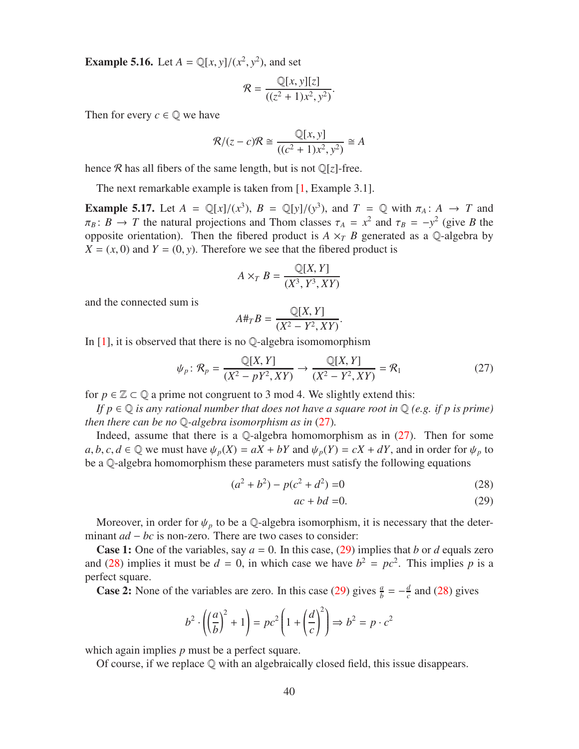**Example 5.16.** Let  $A = \mathbb{Q}[x, y]/(x^2, y^2)$ , and set

$$
\mathcal{R} = \frac{\mathbb{Q}[x, y][z]}{((z^2 + 1)x^2, y^2)}.
$$

Then for every  $c \in \mathbb{Q}$  we have

$$
\mathcal{R}/(z-c)\mathcal{R} \cong \frac{\mathbb{Q}[x,y]}{((c^2+1)x^2, y^2)} \cong A
$$

hence R has all fibers of the same length, but is not  $\mathbb{Q}[z]$ -free.

The next remarkable example is taken from [\[1,](#page-55-0) Example 3.1].

**Example 5.17.** Let  $A = \mathbb{Q}[x]/(x^3)$ ,  $B = \mathbb{Q}[y]/(y^3)$ , and  $T = \mathbb{Q}$  with  $\pi_A : A \to T$  and  $\pi_B: B \to T$  the natural projections and Thom classes  $\tau_A = x^2$  and  $\tau_B = -y^2$  (give *B* the opposite orientation). Then the fibered product is  $A \times_T B$  generated as a Q-algebra by  $X = (x, 0)$  and  $Y = (0, y)$ . Therefore we see that the fibered product is

$$
A \times_T B = \frac{\mathbb{Q}[X, Y]}{(X^3, Y^3, XY)}
$$

and the connected sum is

$$
A\#_T B = \frac{\mathbb{Q}[X, Y]}{(X^2 - Y^2, XY)}.
$$

In  $[1]$ , it is observed that there is no Q-algebra isomomorphism

<span id="page-39-0"></span>
$$
\psi_p: \mathcal{R}_p = \frac{\mathbb{Q}[X, Y]}{(X^2 - pY^2, XY)} \to \frac{\mathbb{Q}[X, Y]}{(X^2 - Y^2, XY)} = \mathcal{R}_1
$$
\n(27)

for  $p \in \mathbb{Z} \subset \mathbb{Q}$  a prime not congruent to 3 mod 4. We slightly extend this:

*If p* ∈ Q *is any rational number that does not have a square root in* Q *(e.g. if p is prime) then there can be no* Q*-algebra isomorphism as in* [\(27\)](#page-39-0)*.*

Indeed, assume that there is a  $\mathbb Q$ -algebra homomorphism as in [\(27\)](#page-39-0). Then for some  $a, b, c, d \in \mathbb{Q}$  we must have  $\psi_p(X) = aX + bY$  and  $\psi_p(Y) = cX + dY$ , and in order for  $\psi_p$  to be a Q-algebra homomorphism these parameters must satisfy the following equations

$$
(a2 + b2) - p(c2 + d2) = 0
$$
 (28)

<span id="page-39-2"></span><span id="page-39-1"></span>
$$
ac + bd = 0.\t(29)
$$

Moreover, in order for  $\psi_p$  to be a Q-algebra isomorphism, it is necessary that the determinant *ad* − *bc* is non-zero. There are two cases to consider:

**Case 1:** One of the variables, say  $a = 0$ . In this case, [\(29\)](#page-39-1) implies that *b* or *d* equals zero and [\(28\)](#page-39-2) implies it must be  $d = 0$ , in which case we have  $b^2 = pc^2$ . This implies p is a perfect square.

**Case 2:** None of the variables are zero. In this case [\(29\)](#page-39-1) gives  $\frac{a}{b} = -\frac{d}{c}$  $\frac{d}{c}$  and [\(28\)](#page-39-2) gives

$$
b^2 \cdot \left( \left( \frac{a}{b} \right)^2 + 1 \right) = pc^2 \left( 1 + \left( \frac{d}{c} \right)^2 \right) \Rightarrow b^2 = p \cdot c^2
$$

which again implies *p* must be a perfect square.

Of course, if we replace  $\mathbb Q$  with an algebraically closed field, this issue disappears.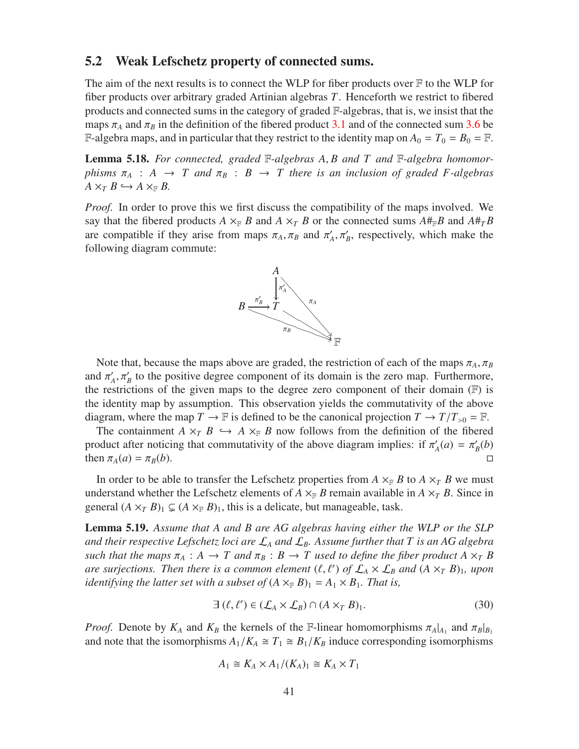#### <span id="page-40-0"></span>5.2 Weak Lefschetz property of connected sums.

The aim of the next results is to connect the WLP for fiber products over  $\mathbb F$  to the WLP for fiber products over arbitrary graded Artinian algebras *T*. Henceforth we restrict to fibered products and connected sums in the category of graded F-algebras, that is, we insist that the maps  $\pi_A$  and  $\pi_B$  in the definition of the fibered product [3.1](#page-9-4) and of the connected sum [3.6](#page-11-2) be F-algebra maps, and in particular that they restrict to the identity map on  $A_0 = T_0 = B_0 = \mathbb{F}$ .

<span id="page-40-3"></span>Lemma 5.18. *For connected, graded* F*-algebras A*, *B and T and* F*-algebra homomorphisms*  $\pi_A$  :  $A \rightarrow T$  *and*  $\pi_B$  :  $B \rightarrow T$  *there is an inclusion of graded F-algebras*  $A \times_T B \hookrightarrow A \times_{\mathbb{F}} B$ .

*Proof.* In order to prove this we first discuss the compatibility of the maps involved. We say that the fibered products  $A \times_{\mathbb{F}} B$  and  $A \times_{\mathbb{F}} B$  or the connected sums  $A#_{\mathbb{F}}B$  and  $A#_{\mathbb{F}}B$ are compatible if they arise from maps  $\pi_A$ ,  $\pi_B$  and  $\pi'_A$ ,  $\pi'_B$ , respectively, which make the following diagram commute:



Note that, because the maps above are graded, the restriction of each of the maps  $\pi_A$ ,  $\pi_B$ and  $\pi'_A$ ,  $\pi'_B$  to the positive degree component of its domain is the zero map. Furthermore, the restrictions of the given maps to the degree zero component of their domain  $(F)$  is the identity map by assumption. This observation yields the commutativity of the above diagram, where the map  $T \to \mathbb{F}$  is defined to be the canonical projection  $T \to T/T_{>0} = \mathbb{F}$ .

The containment  $A \times_T B \hookrightarrow A \times_F B$  now follows from the definition of the fibered product after noticing that commutativity of the above diagram implies: if  $\pi'_{A}(a) = \pi'_{B}(b)$ then  $\pi_A(a) = \pi_B(b)$ .

In order to be able to transfer the Lefschetz properties from  $A \times_{\mathbb{F}} B$  to  $A \times_{\mathcal{T}} B$  we must understand whether the Lefschetz elements of  $A \times_{\mathbb{F}} B$  remain available in  $A \times_{\mathbb{F}} B$ . Since in general  $(A \times_T B)_1 \subsetneq (A \times_F B)_1$ , this is a delicate, but manageable, task.

<span id="page-40-2"></span>Lemma 5.19. *Assume that A and B are AG algebras having either the WLP or the SLP and their respective Lefschetz loci are* L*<sup>A</sup> and* L*B. Assume further that T is an AG algebra such that the maps*  $\pi_A : A \to T$  *and*  $\pi_B : B \to T$  *used to define the fiber product*  $A \times_T B$ *are surjections. Then there is a common element*  $(\ell, \ell')$  *of*  $\mathcal{L}_A \times \mathcal{L}_B$  *and*  $(A \times_T B)_1$ *, upon identifying the latter set with a subset of*  $(A \times_{\mathbb{F}} B)_1 = A_1 \times B_1$ *. That is,* 

<span id="page-40-1"></span>
$$
\exists (\ell, \ell') \in (\mathcal{L}_A \times \mathcal{L}_B) \cap (A \times_T B)_1. \tag{30}
$$

*Proof.* Denote by  $K_A$  and  $K_B$  the kernels of the F-linear homomorphisms  $\pi_A|_{A_1}$  and  $\pi_B|_{B_1}$ and note that the isomorphisms  $A_1/K_A \cong T_1 \cong B_1/K_B$  induce corresponding isomorphisms

$$
A_1 \cong K_A \times A_1/(K_A)_1 \cong K_A \times T_1
$$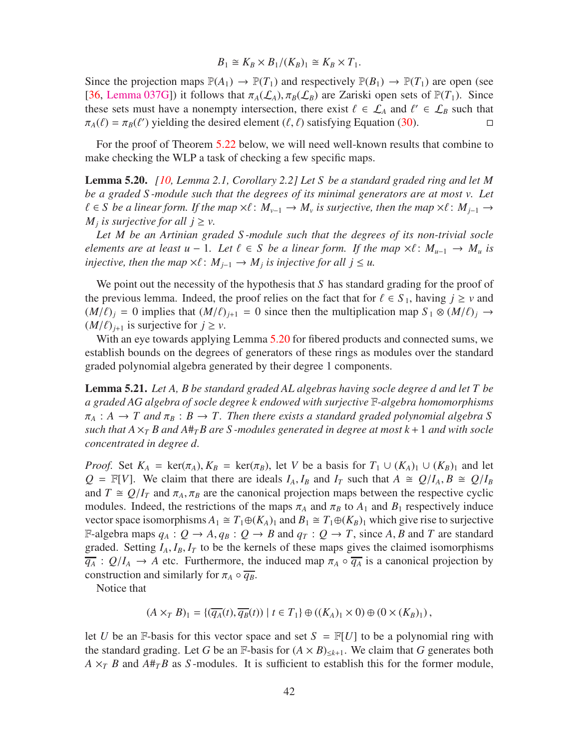$$
B_1 \cong K_B \times B_1/(K_B)_1 \cong K_B \times T_1.
$$

Since the projection maps  $\mathbb{P}(A_1) \to \mathbb{P}(T_1)$  and respectively  $\mathbb{P}(B_1) \to \mathbb{P}(T_1)$  are open (see [\[36,](#page-57-5) [Lemma 037G\]](http://stacks.math.columbia.edu/tag/037G)) it follows that  $\pi_A(\mathcal{L}_A)$ ,  $\pi_B(\mathcal{L}_B)$  are Zariski open sets of  $\mathbb{P}(T_1)$ . Since these sets must have a nonempty intersection, there exist  $\ell \in \mathcal{L}_A$  and  $\ell' \in \mathcal{L}_B$  such that  $\pi_A(\ell) = \pi_B(\ell')$  yielding the desired element  $(\ell, \ell)$  satisfying Equation [\(30\)](#page-40-1).

For the proof of Theorem [5.22](#page-42-0) below, we will need well-known results that combine to make checking the WLP a task of checking a few specific maps.

<span id="page-41-0"></span>Lemma 5.20. *[\[10,](#page-55-9) Lemma 2.1, Corollary 2.2] Let S be a standard graded ring and let M be a graded S -module such that the degrees of its minimal generators are at most v. Let*  $\ell \in S$  be a linear form. If the map  $\times \ell : M_{\nu-1} \to M_{\nu}$  is surjective, then the map  $\times \ell : M_{j-1} \to M_{\nu}$ *M*<sub>*j*</sub> is surjective for all  $j \geq v$ .

*Let M be an Artinian graded S -module such that the degrees of its non-trivial socle elements are at least u* − 1*. Let*  $\ell \in S$  *be a linear form. If the map*  $\times \ell : M_{u-1} \to M_u$  *is injective, then the map*  $\times \ell$ :  $M_{j-1} \to M_j$  *is injective for all j*  $\leq u$ *.* 

We point out the necessity of the hypothesis that *S* has standard grading for the proof of the previous lemma. Indeed, the proof relies on the fact that for  $\ell \in S_1$ , having  $j \geq v$  and  $(M/\ell)_i = 0$  implies that  $(M/\ell)_{i+1} = 0$  since then the multiplication map  $S_1 \otimes (M/\ell)_i \rightarrow$  $(M/\ell)_{i+1}$  is surjective for  $j \geq \nu$ .

With an eye towards applying Lemma [5.20](#page-41-0) for fibered products and connected sums, we establish bounds on the degrees of generators of these rings as modules over the standard graded polynomial algebra generated by their degree 1 components.

<span id="page-41-1"></span>Lemma 5.21. *Let A, B be standard graded AL algebras having socle degree d and let T be a graded AG algebra of socle degree k endowed with surjective* F*-algebra homomorphisms*  $\pi_A : A \to T$  and  $\pi_B : B \to T$ . Then there exists a standard graded polynomial algebra S *such that*  $A \times_T B$  and  $A \#_T B$  are S-modules generated in degree at most  $k+1$  and with socle *concentrated in degree d.*

*Proof.* Set  $K_A$  = ker( $\pi_A$ ),  $K_B$  = ker( $\pi_B$ ), let *V* be a basis for  $T_1 \cup (K_A)_1 \cup (K_B)_1$  and let  $Q = \mathbb{F}[V]$ . We claim that there are ideals  $I_A$ ,  $I_B$  and  $I_T$  such that  $A \cong Q/I_A$ ,  $B \cong Q/I_B$ and  $T \cong Q/I_T$  and  $\pi_A, \pi_B$  are the canonical projection maps between the respective cyclic modules. Indeed, the restrictions of the maps  $\pi_A$  and  $\pi_B$  to  $A_1$  and  $B_1$  respectively induce vector space isomorphisms  $A_1 \cong T_1 \oplus (K_A)_1$  and  $B_1 \cong T_1 \oplus (K_B)_1$  which give rise to surjective F-algebra maps  $q_A : Q \to A$ ,  $q_B : Q \to B$  and  $q_T : Q \to T$ , since A, B and T are standard graded. Setting  $I_A$ ,  $I_B$ ,  $I_T$  to be the kernels of these maps gives the claimed isomorphisms  $\overline{q_A}$  :  $Q/I_A \rightarrow A$  etc. Furthermore, the induced map  $\pi_A \circ \overline{q_A}$  is a canonical projection by construction and similarly for  $\pi_A \circ \overline{q_B}$ .

Notice that

$$
(A \times_T B)_1 = \{ (\overline{q_A}(t), \overline{q_B}(t)) \mid t \in T_1 \} \oplus ((K_A)_1 \times 0) \oplus (0 \times (K_B)_1),
$$

let *U* be an F-basis for this vector space and set  $S = F[U]$  to be a polynomial ring with the standard grading. Let *G* be an F-basis for  $(A \times B)_{\leq k+1}$ . We claim that *G* generates both  $A \times_T B$  and  $A \#_T B$  as *S*-modules. It is sufficient to establish this for the former module,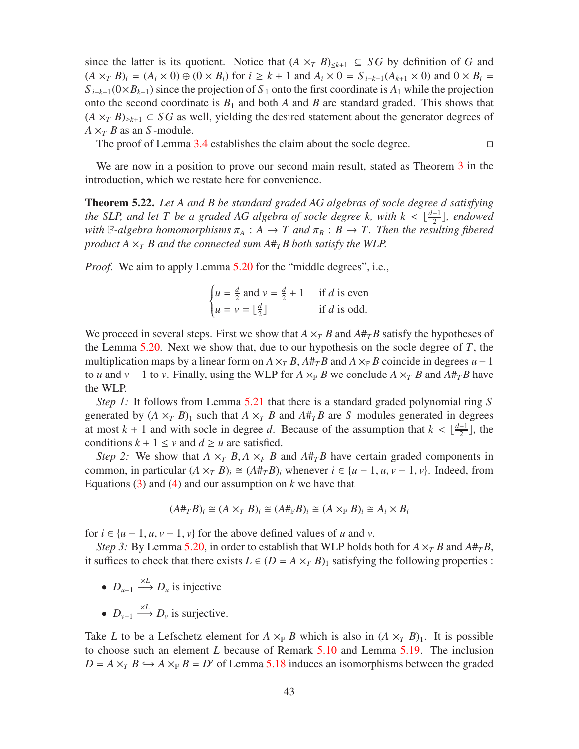since the latter is its quotient. Notice that  $(A \times_T B)_{\leq k+1} \subseteq S G$  by definition of G and  $(A \times_{T} B)_{i} = (A_{i} \times 0) \oplus (0 \times B_{i})$  for  $i \geq k + 1$  and  $A_{i} \times 0 = S_{i-k-1}(A_{k+1} \times 0)$  and  $0 \times B_{i} =$  $S_{i-k-1}(0\times B_{k+1})$  since the projection of  $S_1$  onto the first coordinate is  $A_1$  while the projection onto the second coordinate is  $B_1$  and both *A* and *B* are standard graded. This shows that  $(A \times_T B)_{\geq k+1} \subset S G$  as well, yielding the desired statement about the generator degrees of  $A \times_T B$  as an *S*-module.

The proof of Lemma [3.4](#page-11-3) establishes the claim about the socle degree.  $\Box$ 

We are now in a position to prove our second main result, stated as Theorem [3](#page-3-0) in the introduction, which we restate here for convenience.

<span id="page-42-0"></span>Theorem 5.22. *Let A and B be standard graded AG algebras of socle degree d satisfying the SLP, and let T be a graded AG algebra of socle degree k, with*  $k < \lfloor \frac{d-1}{2} \rfloor$ , endowed *with*  $\mathbb{F}\text{-}algebra homomorphisms$   $\pi_A : A \to T$  and  $\pi_B : B \to T$ . Then the resulting fibered *product*  $A \times_T B$  *and the connected sum*  $A \#_T B$  *both satisfy the WLP.* 

*Proof.* We aim to apply Lemma [5.20](#page-41-0) for the "middle degrees", i.e.,

$$
\begin{cases} u = \frac{d}{2} \text{ and } v = \frac{d}{2} + 1 & \text{if } d \text{ is even} \\ u = v = \lfloor \frac{d}{2} \rfloor & \text{if } d \text{ is odd.} \end{cases}
$$

We proceed in several steps. First we show that  $A \times_{T} B$  and  $A \#_{T} B$  satisfy the hypotheses of the Lemma [5.20.](#page-41-0) Next we show that, due to our hypothesis on the socle degree of *T*, the multiplication maps by a linear form on  $A \times_T B$ ,  $A \#_T B$  and  $A \times_F B$  coincide in degrees  $u - 1$ to *u* and *v* − 1 to *v*. Finally, using the WLP for *A*  $\times_F B$  we conclude *A*  $\times_T B$  and  $A#_T B$  have the WLP.

*Step 1:* It follows from Lemma [5.21](#page-41-1) that there is a standard graded polynomial ring S generated by  $(A \times_{T} B)$ <sub>1</sub> such that  $A \times_{T} B$  and  $A \#_{T} B$  are *S* modules generated in degrees at most  $k + 1$  and with socle in degree *d*. Because of the assumption that  $k < \lfloor \frac{d-1}{2} \rfloor$ , the conditions  $k + 1 \le v$  and  $d \ge u$  are satisfied.

*Step 2:* We show that  $A \times_{T} B$ ,  $A \times_{F} B$  and  $A \#_{T} B$  have certain graded components in common, in particular  $(A \times_{T} B)$ <sub>*i*</sub>  $\cong (A \#_{T} B)$ *i* whenever  $i \in \{u - 1, u, v - 1, v\}$ . Indeed, from Equations  $(3)$  and  $(4)$  and our assumption on *k* we have that

$$
(A#_T B)_i \cong (A \times_T B)_i \cong (A#_{\mathbb{F}} B)_i \cong (A \times_{\mathbb{F}} B)_i \cong A_i \times B_i
$$

for  $i \in \{u-1, u, v-1, v\}$  for the above defined values of *u* and *v*.

*Step 3:* By Lemma [5.20,](#page-41-0) in order to establish that WLP holds both for  $A \times_{T} B$  and  $A \#_{T} B$ , it suffices to check that there exists  $L \in (D = A \times T B)_1$  satisfying the following properties :

- $D_{u-1} \xrightarrow{\times L} D_u$  is injective
- $D_{\nu-1} \xrightarrow{\times L} D_{\nu}$  is surjective.

Take *L* to be a Lefschetz element for  $A \times_{\mathbb{F}} B$  which is also in  $(A \times_{\mathbb{F}} B)$ . It is possible to choose such an element *L* because of Remark [5.10](#page-33-1) and Lemma [5.19.](#page-40-2) The inclusion  $D = A \times_T B \hookrightarrow A \times_F B = D'$  of Lemma [5.18](#page-40-3) induces an isomorphisms between the graded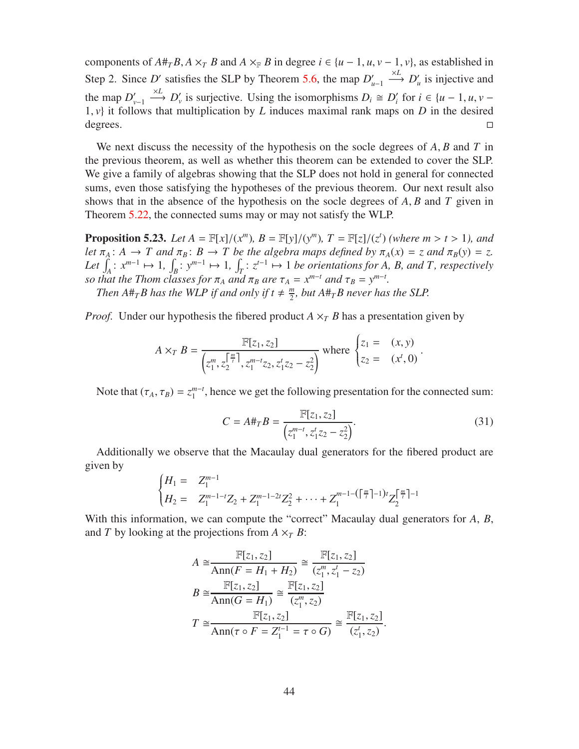components of  $A#_{T}B$ ,  $A \times_{T} B$  and  $A \times_{F} B$  in degree  $i \in \{u-1, u, v-1, v\}$ , as established in Step 2. Since *D'* satisfies the SLP by Theorem [5.6,](#page-32-0) the map  $D'_{u-1}$  $\stackrel{\times L}{\longrightarrow} D'_u$  is injective and the map  $D'_{\nu-1}$  $\longrightarrow$  *D*<sup>*l*</sup>, is surjective. Using the isomorphisms  $D_i \cong D'_i$  for  $i \in \{u - 1, u, v - 1\}$ 1, *v*} it follows that multiplication by *L* induces maximal rank maps on *D* in the desired degrees. degrees.

We next discuss the necessity of the hypothesis on the socle degrees of *A*, *B* and *T* in the previous theorem, as well as whether this theorem can be extended to cover the SLP. We give a family of algebras showing that the SLP does not hold in general for connected sums, even those satisfying the hypotheses of the previous theorem. Our next result also shows that in the absence of the hypothesis on the socle degrees of *A*, *B* and *T* given in Theorem [5.22,](#page-42-0) the connected sums may or may not satisfy the WLP.

<span id="page-43-0"></span>**Proposition 5.23.** *Let*  $A = \mathbb{F}[x]/(x^m)$ ,  $B = \mathbb{F}[y]/(y^m)$ ,  $T = \mathbb{F}[z]/(z^t)$  *(where m > t > 1), and let*  $\pi_A$ :  $A \to T$  *and*  $\pi_B$ :  $B \to T$  *be the algebra maps defined by*  $\pi_A(x) = z$  *and*  $\pi_B(y) = z$ *.* Let  $\int_A : x^{m-1} \mapsto 1$ ,  $\int_B : y^{m-1} \mapsto 1$ ,  $\int_T : z^{t-1} \mapsto 1$  be orientations for A, B, and T, respectively *so that the Thom classes for*  $\pi_A$  *and*  $\pi_B$  *are*  $\tau_A = x^{m-t}$  *and*  $\tau_B = y^{m-t}$ *.* 

*Then*  $A#_{T}B$  has the WLP if and only if  $t \neq \frac{m}{2}$  $\frac{m}{2}$ , but  $A \#_{T} B$  never has the SLP.

*Proof.* Under our hypothesis the fibered product  $A \times_T B$  has a presentation given by

$$
A \times_T B = \frac{\mathbb{F}[z_1, z_2]}{\left(z_1^m, z_2^{\frac{m}{t}}\right), z_1^{m-t} z_2, z_1^t z_2 - z_2^2} \quad \text{where} \quad \begin{cases} z_1 = (x, y) \\ z_2 = (x^t, 0) \end{cases}.
$$

Note that  $(\tau_A, \tau_B) = z_1^{m-t}$ , hence we get the following presentation for the connected sum:

<span id="page-43-1"></span>
$$
C = A \#_T B = \frac{\mathbb{F}[z_1, z_2]}{\left(z_1^{m-t}, z_1^t z_2 - z_2^2\right)}.
$$
\n(31)

.

Additionally we observe that the Macaulay dual generators for the fibered product are given by

$$
\begin{cases}\nH_1 = Z_1^{m-1} \\
H_2 = Z_1^{m-1-t} Z_2 + Z_1^{m-1-2t} Z_2^2 + \dots + Z_1^{m-1-(\lceil \frac{m}{t} \rceil-1)t} Z_2^{\lceil \frac{m}{t} \rceil-1}\n\end{cases}
$$

With this information, we can compute the "correct" Macaulay dual generators for *A*, *B*, and *T* by looking at the projections from  $A \times_T B$ :

$$
A \cong \frac{\mathbb{F}[z_1, z_2]}{\text{Ann}(F = H_1 + H_2)} \cong \frac{\mathbb{F}[z_1, z_2]}{(z_1^m, z_1^t - z_2)}
$$

$$
B \cong \frac{\mathbb{F}[z_1, z_2]}{\text{Ann}(G = H_1)} \cong \frac{\mathbb{F}[z_1, z_2]}{(z_1^m, z_2)}
$$

$$
T \cong \frac{\mathbb{F}[z_1, z_2]}{\text{Ann}(\tau \circ F = Z_1^{t-1} = \tau \circ G)} \cong \frac{\mathbb{F}[z_1, z_2]}{(z_1^t, z_2)}
$$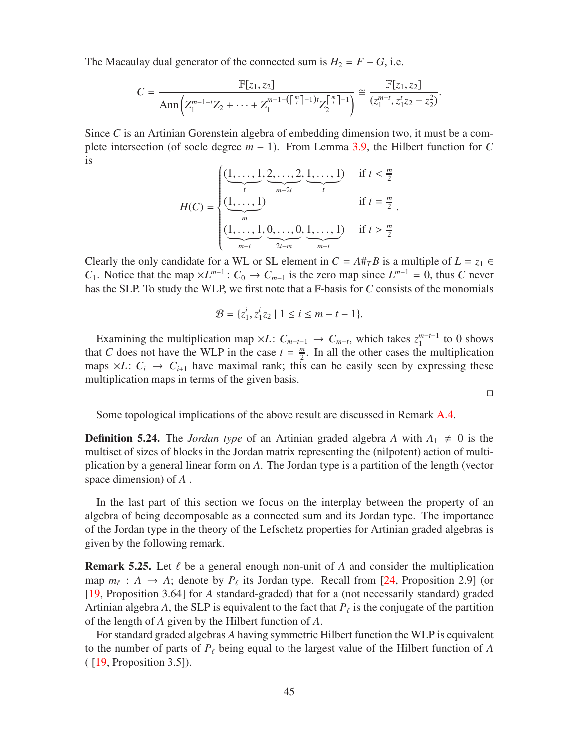The Macaulay dual generator of the connected sum is  $H_2 = F - G$ , i.e.

$$
C = \frac{\mathbb{F}[z_1, z_2]}{\mathrm{Ann}\left(Z_1^{m-1-t}Z_2 + \cdots + Z_1^{m-1-(\lceil \frac{m}{t} \rceil-1)t}Z_2^{\lceil \frac{m}{t} \rceil-1}\right)} \cong \frac{\mathbb{F}[z_1, z_2]}{(z_1^{m-t}, z_1^t z_2 - z_2^2)}.
$$

Since *C* is an Artinian Gorenstein algebra of embedding dimension two, it must be a complete intersection (of socle degree  $m - 1$ ). From Lemma [3.9,](#page-13-1) the Hilbert function for *C* is

$$
H(C) = \begin{cases} \underbrace{(1, \ldots, 1, 2, \ldots, 2, 1, \ldots, 1)}_{t} & \text{if } t < \frac{m}{2} \\ \underbrace{(1, \ldots, 1)}_{m} & \text{if } t = \frac{m}{2} \\ \underbrace{(1, \ldots, 1, 0, \ldots, 0, 1, \ldots, 1)}_{m-t} & \text{if } t > \frac{m}{2} \end{cases}
$$

Clearly the only candidate for a WL or SL element in  $C = A#_{T}B$  is a multiple of  $L = z_1 \in$ *C*<sub>1</sub>. Notice that the map  $\times L^{m-1}$ :  $C_0 \rightarrow C_{m-1}$  is the zero map since  $L^{m-1} = 0$ , thus *C* never has the SLP. To study the WLP, we first note that a F-basis for *C* consists of the monomials

$$
\mathcal{B} = \{z_1^i, z_1^i z_2 \mid 1 \le i \le m - t - 1\}.
$$

Examining the multiplication map  $\times L$ :  $C_{m-t-1} \to C_{m-t}$ , which takes  $z_1^{m-t-1}$  to 0 shows that *C* does not have the WLP in the case  $t = \frac{m}{2}$  $\frac{m}{2}$ . In all the other cases the multiplication maps  $\times L$ :  $C_i \rightarrow C_{i+1}$  have maximal rank; this can be easily seen by expressing these multiplication maps in terms of the given basis.

Some topological implications of the above result are discussed in Remark [A.4.](#page-54-0)

 $\Box$ 

**Definition 5.24.** The *Jordan type* of an Artinian graded algebra A with  $A_1 \neq 0$  is the multiset of sizes of blocks in the Jordan matrix representing the (nilpotent) action of multiplication by a general linear form on *A*. The Jordan type is a partition of the length (vector space dimension) of *A* .

In the last part of this section we focus on the interplay between the property of an algebra of being decomposable as a connected sum and its Jordan type. The importance of the Jordan type in the theory of the Lefschetz properties for Artinian graded algebras is given by the following remark.

**Remark 5.25.** Let  $\ell$  be a general enough non-unit of  $A$  and consider the multiplication map  $m_\ell$ :  $A \rightarrow A$ ; denote by  $P_\ell$  its Jordan type. Recall from [\[24,](#page-56-11) Proposition 2.9] (or [\[19,](#page-56-3) Proposition 3.64] for *A* standard-graded) that for a (not necessarily standard) graded Artinian algebra *A*, the SLP is equivalent to the fact that  $P_\ell$  is the conjugate of the partition of the length of *A* given by the Hilbert function of *A*.

For standard graded algebras *A* having symmetric Hilbert function the WLP is equivalent to the number of parts of *P*<sup>ℓ</sup> being equal to the largest value of the Hilbert function of *A* ( [\[19,](#page-56-3) Proposition 3.5]).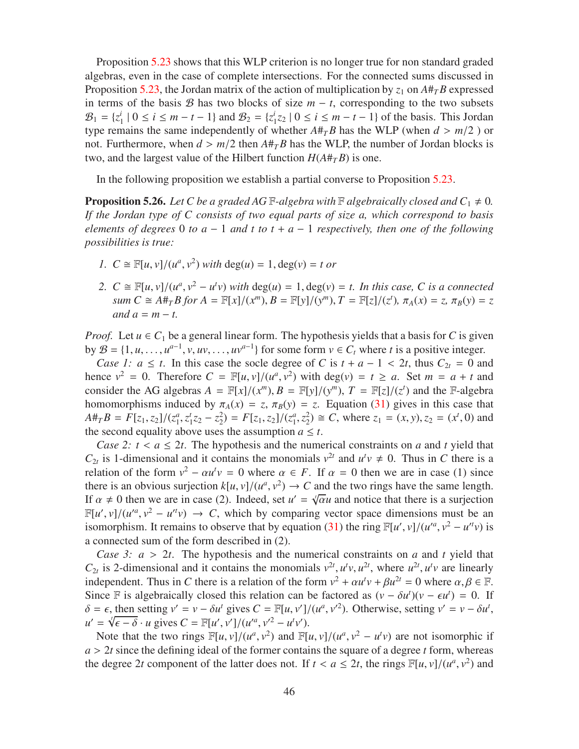Proposition [5.23](#page-43-0) shows that this WLP criterion is no longer true for non standard graded algebras, even in the case of complete intersections. For the connected sums discussed in Proposition [5.23,](#page-43-0) the Jordan matrix of the action of multiplication by  $z_1$  on  $A \#_{T} B$  expressed in terms of the basis B has two blocks of size  $m - t$ , corresponding to the two subsets  $B_1 = \{z_1^i\}$  $\frac{i}{1} | 0 \le i \le m - t - 1$  and  $\mathcal{B}_2 = \{ z_1^i \}$  $i$ <sub>1</sub> $z$ 2 | 0 ≤ *i* ≤ *m* − *t* − 1} of the basis. This Jordan type remains the same independently of whether  $A#_{T}B$  has the WLP (when  $d > m/2$ ) or not. Furthermore, when  $d > m/2$  then  $A \#_{T} B$  has the WLP, the number of Jordan blocks is two, and the largest value of the Hilbert function  $H(A#_T B)$  is one.

In the following proposition we establish a partial converse to Proposition [5.23.](#page-43-0)

<span id="page-45-0"></span>**Proposition 5.26.** Let C be a graded AG F-algebra with F algebraically closed and  $C_1 \neq 0$ . *If the Jordan type of C consists of two equal parts of size a, which correspond to basis elements of degrees* 0 *to a* − 1 *and t to t* + *a* − 1 *respectively, then one of the following possibilities is true:*

- *1.*  $C \cong \mathbb{F}[u, v]/(u^a, v^2)$  *with* deg(*u*) = 1, deg(*v*) = *t or*
- 2.  $C \cong \mathbb{F}[u, v]/(u^a, v^2 u^t v)$  *with*  $deg(u) = 1, deg(v) = t$ . In this case, C is a connected sum  $C \cong A \#_T B$  for  $A = \mathbb{F}[x]/(x^m)$ ,  $B = \mathbb{F}[y]/(y^m)$ ,  $T = \mathbb{F}[z]/(z^t)$ ,  $\pi_A(x) = z$ ,  $\pi_B(y) = z$  $and a = m - t$ .

*Proof.* Let  $u \in C_1$  be a general linear form. The hypothesis yields that a basis for *C* is given by  $\mathcal{B} = \{1, u, \dots, u^{a-1}, v, uv, \dots, uv^{a-1}\}\$  for some form  $v \in C_t$  where *t* is a positive integer.

*Case 1: a*  $\leq t$ . In this case the socle degree of *C* is  $t + a - 1 < 2t$ , thus  $C_{2t} = 0$  and hence  $v^2 = 0$ . Therefore  $C = \mathbb{F}[u, v]/(u^a, v^2)$  with deg(*v*) =  $t \ge a$ . Set  $m = a + t$  and consider the AG algebras  $A = \mathbb{F}[x]/(x^m)$ ,  $B = \mathbb{F}[y]/(y^m)$ ,  $T = \mathbb{F}[z]/(z^t)$  and the F-algebra homomorphisms induced by  $\pi_A(x) = z$ ,  $\pi_B(y) = z$ . Equation [\(31\)](#page-43-1) gives in this case that  $A \#_T B = F[z_1, z_2]/(z_1^a)$  $^{a}_{1}, z^{t}_{1}$  $z_1^t z_2 - z_2^2$  $Z_2^2$ ) =  $F[z_1, z_2]/(z_1^a)$  $\frac{a}{1}$ ,  $z_2^2$  $Z_2^2$   $\cong$  *C*, where  $z_1 = (x, y), z_2 = (x^t, 0)$  and the second equality above uses the assumption  $a \leq t$ .

*Case 2: t* <  $a \leq 2t$ . The hypothesis and the numerical constraints on *a* and *t* yield that  $C_{2t}$  is 1-dimensional and it contains the monomials  $v^{2t}$  and  $u^t v \neq 0$ . Thus in *C* there is a relation of the form  $v^2 - \alpha u^t v = 0$  where  $\alpha \in F$ . If  $\alpha = 0$  then we are in case (1) since there is an obvious surjection  $k[u, v]/(u^a, v^2) \to C$  and the two rings have the same length. If  $\alpha \neq 0$  then we are in case (2). Indeed, set  $u' = \sqrt[n]{\alpha}u$  and notice that there is a surjection  $\mathbb{F}[u', v]/(u'^a, v^2 - u''v) \rightarrow C$ , which by comparing vector space dimensions must be an isomorphism. It remains to observe that by equation [\(31\)](#page-43-1) the ring  $\mathbb{F}[u', v]/(u'^a, v^2 - u'^t v)$  is a connected sum of the form described in (2).

*Case 3: a* > 2*t*. The hypothesis and the numerical constraints on *a* and *t* yield that  $C_{2t}$  is 2-dimensional and it contains the monomials  $v^{2t}$ ,  $u^t v$ ,  $u^{2t}$ , where  $u^{2t}$ ,  $u^t v$  are linearly independent. Thus in *C* there is a relation of the form  $v^2 + \alpha u^t v + \beta u^{2t} = 0$  where  $\alpha, \beta \in \mathbb{F}$ . Since F is algebraically closed this relation can be factored as  $(v - \delta u^t)(v - \epsilon u^t) = 0$ . If  $\delta = \epsilon$ , then setting  $v' = v - \delta u'$  gives  $C = \mathbb{F}[u, v']/(u^a, v'^2)$ . Otherwise, setting  $v' = v - \delta u'$ ,  $u' = \sqrt[4]{\epsilon - \delta} \cdot u$  gives  $C = \mathbb{F}[u', v']/(u'^a, v'^2 - u^t v').$ 

Note that the two rings  $\mathbb{F}[u, v]/(u^a, v^2)$  and  $\mathbb{F}[u, v]/(u^a, v^2 - u^t v)$  are not isomorphic if  $a > 2t$  since the defining ideal of the former contains the square of a degree  $t$  form, whereas the degree 2*t* component of the latter does not. If  $t < a \leq 2t$ , the rings  $\mathbb{F}[u, v]/(u^a, v^2)$  and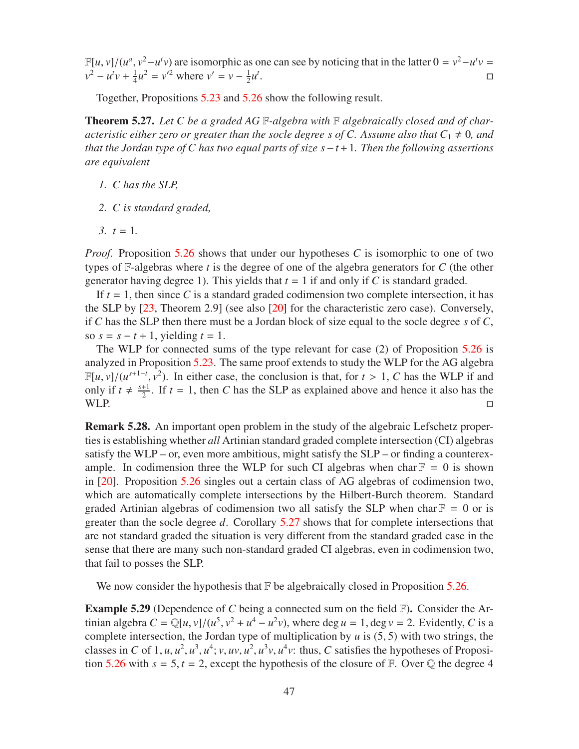$\mathbb{F}[u, v]/(u^a, v^2 - u^t v)$  are isomorphic as one can see by noticing that in the latter  $0 = v^2 - u^t v =$  $v^2 - u^t v + \frac{1}{4}$  $\frac{1}{4}u^2 = v'^2$  where  $v' = v - \frac{1}{2}$  $\frac{1}{2}u^t$ .

Together, Propositions [5.23](#page-43-0) and [5.26](#page-45-0) show the following result.

<span id="page-46-1"></span>Theorem 5.27. *Let C be a graded AG* F*-algebra with* F *algebraically closed and of characteristic either zero or greater than the socle degree s of C. Assume also that*  $C_1 \neq 0$ *, and that the Jordan type of C has two equal parts of size s*−*t*+1*. Then the following assertions are equivalent*

- *1. C has the SLP,*
- *2. C is standard graded,*
- $3. t = 1.$

*Proof.* Proposition [5.26](#page-45-0) shows that under our hypotheses *C* is isomorphic to one of two types of F-algebras where *t* is the degree of one of the algebra generators for *C* (the other generator having degree 1). This yields that  $t = 1$  if and only if C is standard graded.

If  $t = 1$ , then since C is a standard graded codimension two complete intersection, it has the SLP by [\[23,](#page-56-7) Theorem 2.9] (see also [\[20\]](#page-56-9) for the characteristic zero case). Conversely, if *C* has the SLP then there must be a Jordan block of size equal to the socle degree *s* of *C*, so  $s = s - t + 1$ , yielding  $t = 1$ .

The WLP for connected sums of the type relevant for case (2) of Proposition [5.26](#page-45-0) is analyzed in Proposition [5.23.](#page-43-0) The same proof extends to study the WLP for the AG algebra  $\mathbb{F}[u, v]/(u^{s+1-t}, v^2)$ . In either case, the conclusion is that, for  $t > 1$ , *C* has the WLP if and only if  $t \neq \frac{s+1}{2}$  $\frac{+1}{2}$ . If  $t = 1$ , then *C* has the SLP as explained above and hence it also has the WLP.  $\Box$ 

Remark 5.28. An important open problem in the study of the algebraic Lefschetz properties is establishing whether *all* Artinian standard graded complete intersection (CI) algebras satisfy the WLP – or, even more ambitious, might satisfy the SLP – or finding a counterexample. In codimension three the WLP for such CI algebras when char  $F = 0$  is shown in [\[20\]](#page-56-9). Proposition [5.26](#page-45-0) singles out a certain class of AG algebras of codimension two, which are automatically complete intersections by the Hilbert-Burch theorem. Standard graded Artinian algebras of codimension two all satisfy the SLP when char  $\mathbb{F} = 0$  or is greater than the socle degree *d*. Corollary [5.27](#page-46-1) shows that for complete intersections that are not standard graded the situation is very different from the standard graded case in the sense that there are many such non-standard graded CI algebras, even in codimension two, that fail to posses the SLP.

We now consider the hypothesis that  $F$  be algebraically closed in Proposition [5.26.](#page-45-0)

<span id="page-46-0"></span>Example 5.29 (Dependence of *C* being a connected sum on the field F). Consider the Artinian algebra  $C = \mathbb{Q}[u, v]/(u^5, v^2 + u^4 - u^2v)$ , where deg  $u = 1$ , deg  $v = 2$ . Evidently, *C* is a complete intersection, the Jordan type of multiplication by  $u$  is  $(5, 5)$  with two strings, the classes in *C* of 1, *u*, *u*<sup>2</sup>, *u*<sup>3</sup>, *u*<sup>4</sup>; *v*, *uv*, *u*<sup>2</sup>, *u*<sup>3</sup>*v*, *u*<sup>4</sup>*v*: thus, *C* satisfies the hypotheses of Proposi-tion [5.26](#page-45-0) with  $s = 5$ ,  $t = 2$ , except the hypothesis of the closure of F. Over  $\mathbb Q$  the degree 4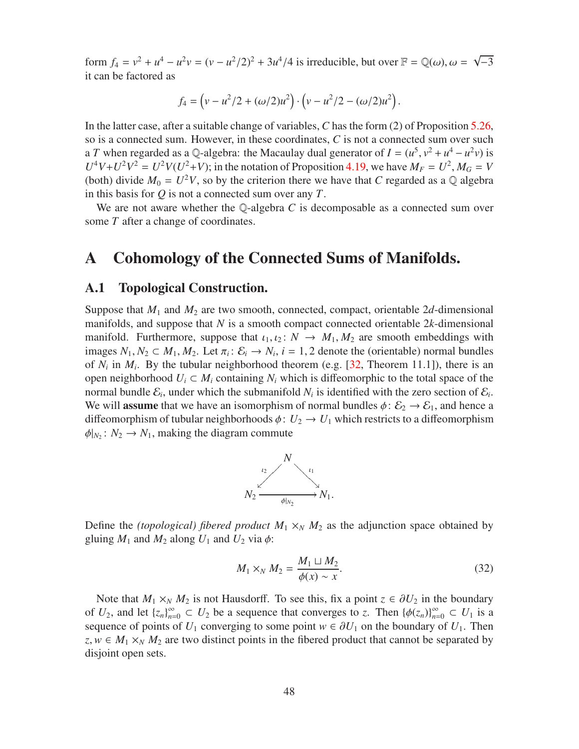form *f*<sub>4</sub> =  $v^2 + u^4 - u^2v = (v - u^2/2)^2 + 3u^4/4$  is irreducible, but over **F** = Q(ω), ω = √−3 it can be factored as

$$
f_4 = (v - u^2/2 + (\omega/2)u^2) \cdot (v - u^2/2 - (\omega/2)u^2).
$$

In the latter case, after a suitable change of variables, *C* has the form (2) of Proposition [5.26,](#page-45-0) so is a connected sum. However, in these coordinates, *C* is not a connected sum over such a *T* when regarded as a Q-algebra: the Macaulay dual generator of  $I = (u^5, v^2 + u^4 - u^2v)$  is  $U^4V+U^2V^2 = U^2V(U^2+V)$ ; in the notation of Proposition [4.19,](#page-27-0) we have  $M_F = U^2$ ,  $M_G = V$ (both) divide  $M_0 = U^2 V$ , so by the criterion there we have that *C* regarded as a Q algebra in this basis for *Q* is not a connected sum over any *T*.

We are not aware whether the Q-algebra *C* is decomposable as a connected sum over some *T* after a change of coordinates.

### <span id="page-47-1"></span><span id="page-47-0"></span>A Cohomology of the Connected Sums of Manifolds.

#### A.1 Topological Construction.

Suppose that  $M_1$  and  $M_2$  are two smooth, connected, compact, orientable 2*d*-dimensional manifolds, and suppose that *N* is a smooth compact connected orientable 2*k*-dimensional manifold. Furthermore, suppose that  $\iota_1, \iota_2 \colon N \to M_1, M_2$  are smooth embeddings with images  $N_1, N_2 \subset M_1, M_2$ . Let  $\pi_i: \mathcal{E}_i \to N_i$ ,  $i = 1, 2$  denote the (orientable) normal bundles of  $N_i$  in  $M_i$ . By the tubular neighborhood theorem (e.g. [\[32,](#page-57-0) Theorem 11.1]), there is an open neighborhood  $U_i \subset M_i$  containing  $N_i$  which is diffeomorphic to the total space of the normal bundle  $\mathcal{E}_i$ , under which the submanifold  $N_i$  is identified with the zero section of  $\mathcal{E}_i$ . We will **assume** that we have an isomorphism of normal bundles  $\phi$ :  $\mathcal{E}_2 \rightarrow \mathcal{E}_1$ , and hence a diffeomorphism of tubular neighborhoods  $\phi: U_2 \to U_1$  which restricts to a diffeomorphism  $\phi|_{N_2}: N_2 \to N_1$ , making the diagram commute



Define the *(topological) fibered product*  $M_1 \times_N M_2$  as the adjunction space obtained by gluing  $M_1$  and  $M_2$  along  $U_1$  and  $U_2$  via  $\phi$ :

<span id="page-47-2"></span>
$$
M_1 \times_N M_2 = \frac{M_1 \sqcup M_2}{\phi(x) \sim x}.
$$
\n(32)

Note that  $M_1 \times_N M_2$  is not Hausdorff. To see this, fix a point  $z \in \partial U_2$  in the boundary of  $U_2$ , and let  $\{z_n\}_{n=0}^{\infty} \subset U_2$  be a sequence that converges to *z*. Then  $\{\phi(z_n)\}_{n=0}^{\infty} \subset U_1$  is a sequence of points of  $U_1$  converging to some point  $w \in \partial U_1$  on the boundary of  $U_1$ . Then  $z, w \in M_1 \times_N M_2$  are two distinct points in the fibered product that cannot be separated by disjoint open sets.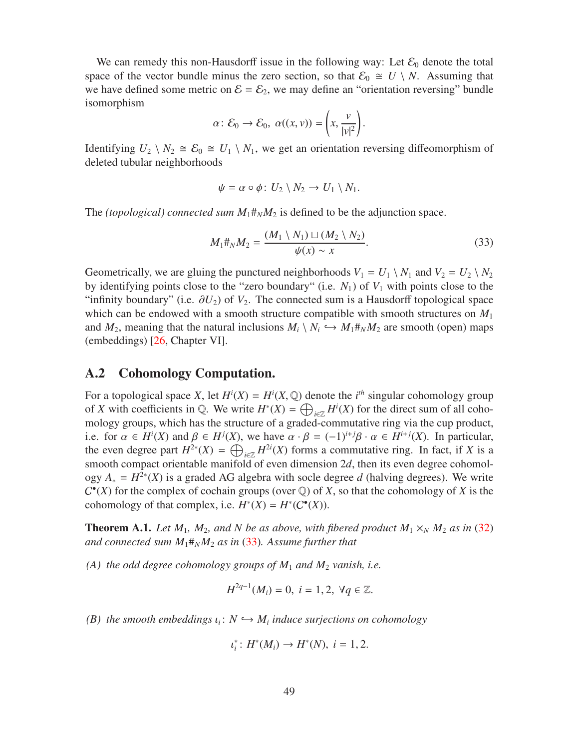We can remedy this non-Hausdorff issue in the following way: Let  $\mathcal{E}_0$  denote the total space of the vector bundle minus the zero section, so that  $\mathcal{E}_0 \cong U \setminus N$ . Assuming that we have defined some metric on  $\mathcal{E} = \mathcal{E}_2$ , we may define an "orientation reversing" bundle isomorphism

$$
\alpha\colon \mathcal{E}_0\to \mathcal{E}_0,\ \alpha((x,v))=\left(x,\frac{v}{|v|^2}\right).
$$

Identifying  $U_2 \setminus N_2 \cong \mathcal{E}_0 \cong U_1 \setminus N_1$ , we get an orientation reversing diffeomorphism of deleted tubular neighborhoods

$$
\psi = \alpha \circ \phi \colon U_2 \setminus N_2 \to U_1 \setminus N_1.
$$

The *(topological) connected sum*  $M_1 \ddot{\pi}_N M_2$  is defined to be the adjunction space.

<span id="page-48-2"></span>
$$
M_1 \#_N M_2 = \frac{(M_1 \setminus N_1) \sqcup (M_2 \setminus N_2)}{\psi(x) \sim x}.
$$
 (33)

Geometrically, we are gluing the punctured neighborhoods  $V_1 = U_1 \setminus N_1$  and  $V_2 = U_2 \setminus N_2$ by identifying points close to the "zero boundary" (i.e.  $N_1$ ) of  $V_1$  with points close to the "infinity boundary" (i.e.  $\partial U_2$ ) of  $V_2$ . The connected sum is a Hausdorff topological space which can be endowed with a smooth structure compatible with smooth structures on  $M_1$ and  $M_2$ , meaning that the natural inclusions  $M_i \setminus N_i \hookrightarrow M_1 \#_N M_2$  are smooth (open) maps (embeddings) [\[26,](#page-56-0) Chapter VI].

### <span id="page-48-1"></span>A.2 Cohomology Computation.

For a topological space *X*, let  $H^{i}(X) = H^{i}(X, \mathbb{Q})$  denote the *i*<sup>th</sup> singular cohomology group of *X* with coefficients in  $\mathbb{Q}$ . We write  $H^*(X) = \bigoplus_{i \in \mathbb{Z}} H^i(X)$  for the direct sum of all cohomology groups, which has the structure of a graded-commutative ring via the cup product, i.e. for  $\alpha \in H^{i}(X)$  and  $\beta \in H^{j}(X)$ , we have  $\alpha \cdot \beta = (-1)^{i+j}\beta \cdot \alpha \in H^{i+j}(X)$ . In particular, the even degree part  $H^{2*}(X) = \bigoplus_{i \in \mathbb{Z}} H^{2i}(X)$  forms a commutative ring. In fact, if *X* is a smooth compact orientable manifold of even dimension 2d, then its even degree cohomology  $A_* = H^{2*}(X)$  is a graded AG algebra with socle degree *d* (halving degrees). We write  $C^{\bullet}(X)$  for the complex of cochain groups (over  $\mathbb{Q}$ ) of *X*, so that the cohomology of *X* is the cohomology of that complex, i.e.  $H^*(X) = H^*(C^{\bullet}(X))$ .

<span id="page-48-0"></span>**Theorem A.1.** Let  $M_1$ ,  $M_2$ , and N be as above, with fibered product  $M_1 \times_N M_2$  as in [\(32\)](#page-47-2) *and connected sum*  $M_1#_N M_2$  *as in* [\(33\)](#page-48-2)*. Assume further that* 

*(A) the odd degree cohomology groups of M*<sup>1</sup> *and M*<sup>2</sup> *vanish, i.e.*

$$
H^{2q-1}(M_i) = 0, i = 1, 2, \forall q \in \mathbb{Z}.
$$

 $(B)$  the smooth embeddings  $\iota_i: N \hookrightarrow M_i$  induce surjections on cohomology

$$
\iota_i^* \colon H^*(M_i) \to H^*(N), \ i = 1, 2.
$$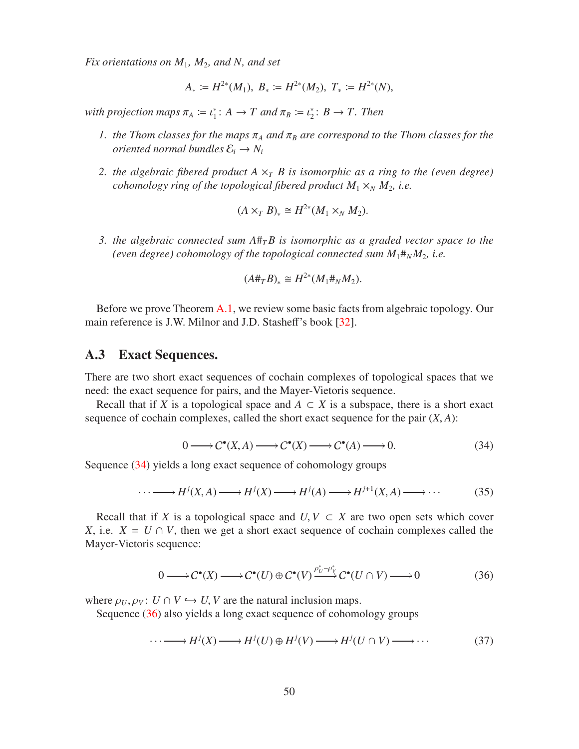*Fix orientations on M*1*, M*2*, and N, and set*

$$
A_* := H^{2*}(M_1), B_* := H^{2*}(M_2), T_* := H^{2*}(N),
$$

with projection maps  $\pi_A := \iota_1^* : A \to T$  and  $\pi_B := \iota_2^* : B \to T$ . Then

- *1. the Thom classes for the maps*  $\pi_A$  *and*  $\pi_B$  *are correspond to the Thom classes for the oriented normal bundles*  $\mathcal{E}_i \rightarrow N_i$
- *2. the algebraic fibered product*  $A \times_T B$  *is isomorphic as a ring to the (even degree) cohomology ring of the topological fibered product*  $M_1 \times_N M_2$ *, i.e.*

$$
(A\times_T B)_*\cong H^{2*}(M_1\times_N M_2).
$$

*3. the algebraic connected sum A*#*TB is isomorphic as a graded vector space to the (even degree) cohomology of the topological connected sum*  $M_1#_N M_2$ *, i.e.* 

$$
(A \#_T B)_* \cong H^{2*}(M_1 \#_N M_2).
$$

Before we prove Theorem [A.1,](#page-48-0) we review some basic facts from algebraic topology. Our main reference is J.W. Milnor and J.D. Stasheff's book [\[32\]](#page-57-0).

#### <span id="page-49-0"></span>A.3 Exact Sequences.

There are two short exact sequences of cochain complexes of topological spaces that we need: the exact sequence for pairs, and the Mayer-Vietoris sequence.

Recall that if *X* is a topological space and  $A \subset X$  is a subspace, there is a short exact sequence of cochain complexes, called the short exact sequence for the pair  $(X, A)$ :

<span id="page-49-1"></span>
$$
0 \longrightarrow C^{\bullet}(X, A) \longrightarrow C^{\bullet}(X) \longrightarrow C^{\bullet}(A) \longrightarrow 0. \tag{34}
$$

Sequence [\(34\)](#page-49-1) yields a long exact sequence of cohomology groups

$$
\cdots \longrightarrow H^{j}(X,A) \longrightarrow H^{j}(X) \longrightarrow H^{j}(A) \longrightarrow H^{j+1}(X,A) \longrightarrow \cdots
$$
 (35)

Recall that if *X* is a topological space and  $U, V \subset X$  are two open sets which cover *X*, i.e.  $X = U \cap V$ , then we get a short exact sequence of cochain complexes called the Mayer-Vietoris sequence:

<span id="page-49-2"></span>
$$
0 \longrightarrow C^{\bullet}(X) \longrightarrow C^{\bullet}(U) \oplus C^{\bullet}(V) \xrightarrow{\rho_{U}^{*} - \rho_{V}^{*}} C^{\bullet}(U \cap V) \longrightarrow 0
$$
 (36)

where  $\rho_U, \rho_V: U \cap V \hookrightarrow U$ , *V* are the natural inclusion maps.

Sequence [\(36\)](#page-49-2) also yields a long exact sequence of cohomology groups

$$
\cdots \longrightarrow H^{j}(X) \longrightarrow H^{j}(U) \oplus H^{j}(V) \longrightarrow H^{j}(U \cap V) \longrightarrow \cdots \tag{37}
$$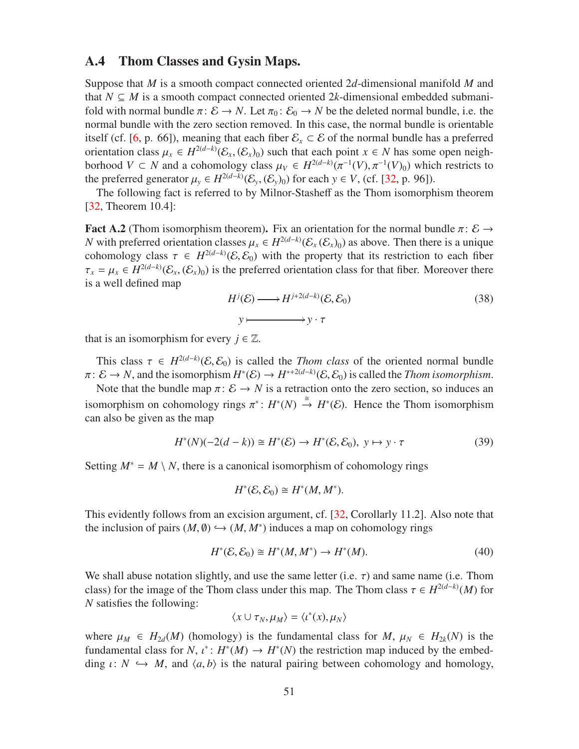### <span id="page-50-0"></span>A.4 Thom Classes and Gysin Maps.

Suppose that *M* is a smooth compact connected oriented 2*d*-dimensional manifold *M* and that  $N \subseteq M$  is a smooth compact connected oriented 2k-dimensional embedded submanifold with normal bundle  $\pi: \mathcal{E} \to N$ . Let  $\pi_0: \mathcal{E}_0 \to N$  be the deleted normal bundle, i.e. the normal bundle with the zero section removed. In this case, the normal bundle is orientable itself (cf. [\[6,](#page-55-1) p. 66]), meaning that each fiber  $\mathcal{E}_x \subset \mathcal{E}$  of the normal bundle has a preferred orientation class  $\mu_x \in H^{2(d-k)}(\mathcal{E}_x, (\mathcal{E}_x)_0)$  such that each point  $x \in N$  has some open neighborhood *V* ⊂ *N* and a cohomology class  $\mu_V \in H^{2(d-k)}(\pi^{-1}(V), \pi^{-1}(V)_0)$  which restricts to the preferred generator  $\mu_y \in H^{2(d-k)}(\mathcal{E}_y, (\mathcal{E}_y)_0)$  for each  $y \in V$ , (cf. [\[32,](#page-57-0) p. 96]).

The following fact is referred to by Milnor-Stasheff as the Thom isomorphism theorem [\[32,](#page-57-0) Theorem 10.4]:

<span id="page-50-3"></span>**Fact A.2** (Thom isomorphism theorem). Fix an orientation for the normal bundle  $\pi$ :  $\mathcal{E} \rightarrow$ *N* with preferred orientation classes  $\mu_x \in H^{2(d-k)}(\mathcal{E}_x(\mathcal{E}_x)_0)$  as above. Then there is a unique cohomology class  $\tau \in H^{2(d-k)}(\mathcal{E}, \mathcal{E}_0)$  with the property that its restriction to each fiber  $\tau_x = \mu_x \in H^{2(d-k)}(\mathcal{E}_x, (\mathcal{E}_x)_0)$  is the preferred orientation class for that fiber. Moreover there is a well defined map

$$
H^j(\mathcal{E}) \longrightarrow H^{j+2(d-k)}(\mathcal{E}, \mathcal{E}_0)
$$
  

$$
y \longmapsto y \cdot \tau
$$
 (38)

that is an isomorphism for every  $j \in \mathbb{Z}$ .

This class  $\tau \in H^{2(d-k)}(\mathcal{E}, \mathcal{E}_0)$  is called the *Thom class* of the oriented normal bundle  $\pi: \mathcal{E} \to N$ , and the isomorphism  $H^*(\mathcal{E}) \to H^{*+2(d-k)}(\mathcal{E}, \mathcal{E}_0)$  is called the *Thom isomorphism*.

Note that the bundle map  $\pi: \mathcal{E} \to N$  is a retraction onto the zero section, so induces an isomorphism on cohomology rings  $\pi^*: H^*(N) \stackrel{\cong}{\to} H^*(\mathcal{E})$ . Hence the Thom isomorphism can also be given as the map

<span id="page-50-2"></span>
$$
H^*(N)(-2(d-k)) \cong H^*(\mathcal{E}) \to H^*(\mathcal{E}, \mathcal{E}_0), \ y \mapsto y \cdot \tau \tag{39}
$$

Setting  $M^* = M \setminus N$ , there is a canonical isomorphism of cohomology rings

$$
H^*(\mathcal{E}, \mathcal{E}_0) \cong H^*(M, M^*).
$$

This evidently follows from an excision argument, cf. [\[32,](#page-57-0) Corollarly 11.2]. Also note that the inclusion of pairs  $(M, \emptyset) \hookrightarrow (M, M^*)$  induces a map on cohomology rings

<span id="page-50-1"></span>
$$
H^*(\mathcal{E}, \mathcal{E}_0) \cong H^*(M, M^*) \to H^*(M). \tag{40}
$$

We shall abuse notation slightly, and use the same letter (i.e.  $\tau$ ) and same name (i.e. Thom class) for the image of the Thom class under this map. The Thom class  $\tau \in H^{2(d-k)}(M)$  for *N* satisfies the following:

$$
\langle x \cup \tau_N, \mu_M \rangle = \langle \iota^*(x), \mu_N \rangle
$$

where  $\mu_M \in H_{2d}(M)$  (homology) is the fundamental class for  $M$ ,  $\mu_N \in H_{2k}(N)$  is the fundamental class for *N*,  $\iota^*$ :  $H^*(M) \to H^*(N)$  the restriction map induced by the embedding  $\iota: N \hookrightarrow M$ , and  $\langle a, b \rangle$  is the natural pairing between cohomology and homology,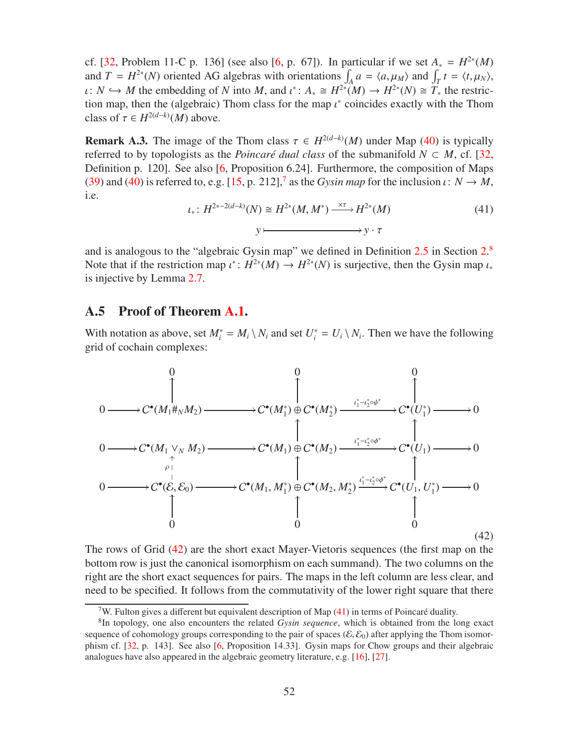cf. [\[32,](#page-57-0) Problem 11-C p. 136] (see also [\[6,](#page-55-1) p. 67]). In particular if we set  $A_* = H^{2*}(M)$ and  $T = H^{2*}(N)$  oriented AG algebras with orientations  $\int_A a = \langle a, \mu_M \rangle$  and  $\int_T t = \langle t, \mu_N \rangle$ , *ι*: *N* → *M* the embedding of *N* into *M*, and  $\iota^*$ :  $A_* \cong H^{2*}(M) \to H^{2*}(N) \cong T_*$  the restriction map, then the (algebraic) Thom class for the map  $\iota^*$  coincides exactly with the Thom class of  $\tau \in H^{2(d-k)}(M)$  above.

<span id="page-51-1"></span>**Remark A.3.** The image of the Thom class  $\tau \in H^{2(d-k)}(M)$  under Map [\(40\)](#page-50-1) is typically referred to by topologists as the *Poincaré dual class* of the submanifold  $N \subset M$ , cf. [\[32,](#page-57-0) Definition p. 120]. See also [\[6,](#page-55-1) Proposition 6.24]. Furthermore, the composition of Maps [\(39\)](#page-50-2) and [\(40\)](#page-50-1) is referred to, e.g. [\[15,](#page-55-13) p. 212],<sup>[7](#page-51-2)</sup> as the *Gysin map* for the inclusion  $\iota: N \to M$ , i.e.

<span id="page-51-5"></span>
$$
\iota_*\colon H^{2*-2(d-k)}(N) \cong H^{2*}(M,M^*) \xrightarrow{\times \tau} H^{2*}(M)
$$
\n
$$
y \longmapsto y \cdot \tau
$$
\n(41)

and is analogous to the "algebraic Gysin map" we defined in Definition [2.5](#page-6-3) in Section [2.](#page-4-0)<sup>[8](#page-51-3)</sup> Note that if the restriction map  $\iota^*: H^{2*}(M) \to H^{2*}(N)$  is surjective, then the Gysin map  $\iota_*$ is injective by Lemma [2.7.](#page-6-2)

#### <span id="page-51-0"></span>A.5 Proof of Theorem [A.1.](#page-48-0)

With notation as above, set  $M_i^* = M_i \setminus N_i$  and set  $U_i^* = U_i \setminus N_i$ . Then we have the following grid of cochain complexes:

<span id="page-51-4"></span>

The rows of Grid [\(42\)](#page-51-4) are the short exact Mayer-Vietoris sequences (the first map on the bottom row is just the canonical isomorphism on each summand). The two columns on the right are the short exact sequences for pairs. The maps in the left column are less clear, and need to be specified. It follows from the commutativity of the lower right square that there

<span id="page-51-2"></span><sup>&</sup>lt;sup>7</sup>W. Fulton gives a different but equivalent description of Map  $(41)$  in terms of Poincaré duality.

<span id="page-51-3"></span><sup>8</sup> In topology, one also encounters the related *Gysin sequence*, which is obtained from the long exact sequence of cohomology groups corresponding to the pair of spaces ( $\mathcal{E}, \mathcal{E}_0$ ) after applying the Thom isomorphism cf. [\[32,](#page-57-0) p. 143]. See also [\[6,](#page-55-1) Proposition 14.33]. Gysin maps for Chow groups and their algebraic analogues have also appeared in the algebraic geometry literature, e.g. [\[16\]](#page-56-13), [\[27\]](#page-56-14).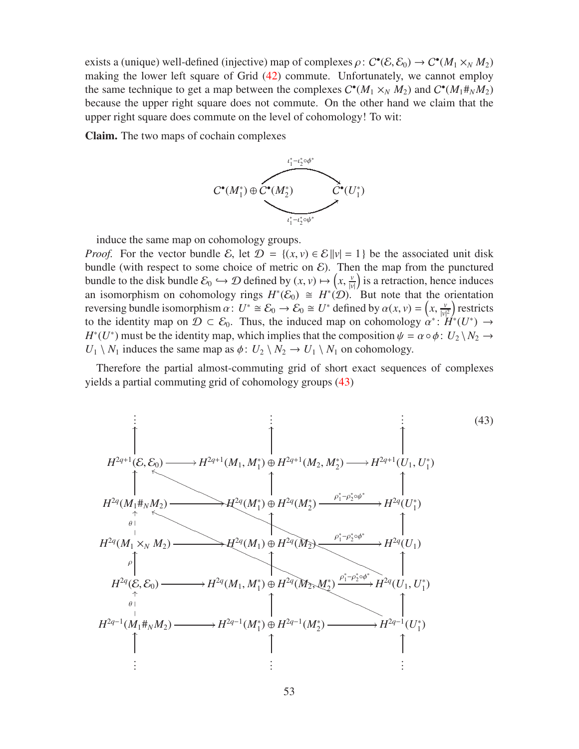exists a (unique) well-defined (injective) map of complexes  $\rho: C^{\bullet}(\mathcal{E}, \mathcal{E}_0) \to C^{\bullet}(M_1 \times_N M_2)$ making the lower left square of Grid [\(42\)](#page-51-4) commute. Unfortunately, we cannot employ the same technique to get a map between the complexes  $C^{\bullet}(M_1 \times_N M_2)$  and  $C^{\bullet}(M_1 \#_N M_2)$ because the upper right square does not commute. On the other hand we claim that the upper right square does commute on the level of cohomology! To wit:

Claim. The two maps of cochain complexes



induce the same map on cohomology groups.

*Proof.* For the vector bundle E, let  $\mathcal{D} = \{(x, v) \in \mathcal{E} \mid |v| = 1\}$  be the associated unit disk bundle (with respect to some choice of metric on  $\mathcal{E}$ ). Then the map from the punctured bundle to the disk bundle  $\mathcal{E}_0 \hookrightarrow \mathcal{D}$  defined by  $(x, v) \mapsto (x, \frac{v}{|v|})$  is a retraction, hence induces an isomorphism on cohomology rings  $H^*(\mathcal{E}_0) \cong H^*(\mathcal{D})$ . But note that the orientation reversing bundle isomorphism  $\alpha: U^* \cong \mathcal{E}_0 \to \mathcal{E}_0 \cong U^*$  defined by  $\alpha(x, v) = \left(x, \frac{v}{|v|^2}\right)$  restricts to the identity map on  $\mathcal{D} \subset \mathcal{E}_0$ . Thus, the induced map on cohomology  $\alpha^* \colon H^*(U^*) \to$ *H*<sup>\*</sup>(*U*<sup>\*</sup>) must be the identity map, which implies that the composition  $\psi = \alpha \circ \phi : U_2 \setminus N_2 \to$  $U_1 \setminus N_1$  induces the same map as  $\phi: U_2 \setminus N_2 \to U_1 \setminus N_1$  on cohomology.

Therefore the partial almost-commuting grid of short exact sequences of complexes yields a partial commuting grid of cohomology groups [\(43\)](#page-52-0)

<span id="page-52-0"></span>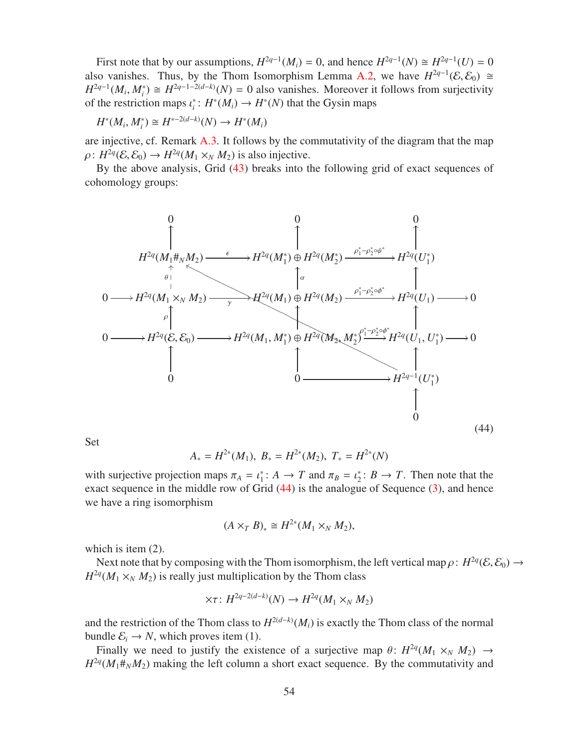First note that by our assumptions,  $H^{2q-1}(M_i) = 0$ , and hence  $H^{2q-1}(N) \cong H^{2q-1}(U) = 0$ also vanishes. Thus, by the Thom Isomorphism Lemma [A.2,](#page-50-3) we have  $H^{2q-1}(\mathcal{E}, \mathcal{E}_0) \cong$  $H^{2q-1}(M_i, M_i^*) \cong H^{2q-1-2(d-k)}(N) = 0$  also vanishes. Moreover it follows from surjectivity of the restriction maps  $\iota_i^* : H^*(M_i) \to H^*(N)$  that the Gysin maps

 $H^*(M_i, M_i^*) \cong H^{*-2(d-k)}(N) \to H^*(M_i)$ 

are injective, cf. Remark [A.3.](#page-51-1) It follows by the commutativity of the diagram that the map  $\rho: H^{2q}(\mathcal{E}, \mathcal{E}_0) \to H^{2q}(M_1 \times_N M_2)$  is also injective.

By the above analysis, Grid [\(43\)](#page-52-0) breaks into the following grid of exact sequences of cohomology groups:

<span id="page-53-0"></span>

Set

$$
A_* = H^{2*}(M_1), B_* = H^{2*}(M_2), T_* = H^{2*}(N)
$$

with surjective projection maps  $\pi_A = \iota_1^* : A \to T$  and  $\pi_B = \iota_2^* : B \to T$ . Then note that the exact sequence in the middle row of Grid  $(44)$  is the analogue of Sequence  $(3)$ , and hence we have a ring isomorphism

$$
(A\times_T B)_*\cong H^{2*}(M_1\times_N M_2),
$$

which is item (2).

Next note that by composing with the Thom isomorphism, the left vertical map  $\rho: H^{2q}(\mathcal{E}, \mathcal{E}_0) \to$  $H^{2q}(M_1 \times_N M_2)$  is really just multiplication by the Thom class

$$
\times \tau \colon H^{2q-2(d-k)}(N) \to H^{2q}(M_1 \times_N M_2)
$$

and the restriction of the Thom class to  $H^{2(d-k)}(M_i)$  is exactly the Thom class of the normal bundle  $\mathcal{E}_i \to N$ , which proves item (1).

Finally we need to justify the existence of a surjective map  $\theta$ :  $H^{2q}(M_1 \times_N M_2) \rightarrow$  $H^{2q}(M_1\#_N M_2)$  making the left column a short exact sequence. By the commutativity and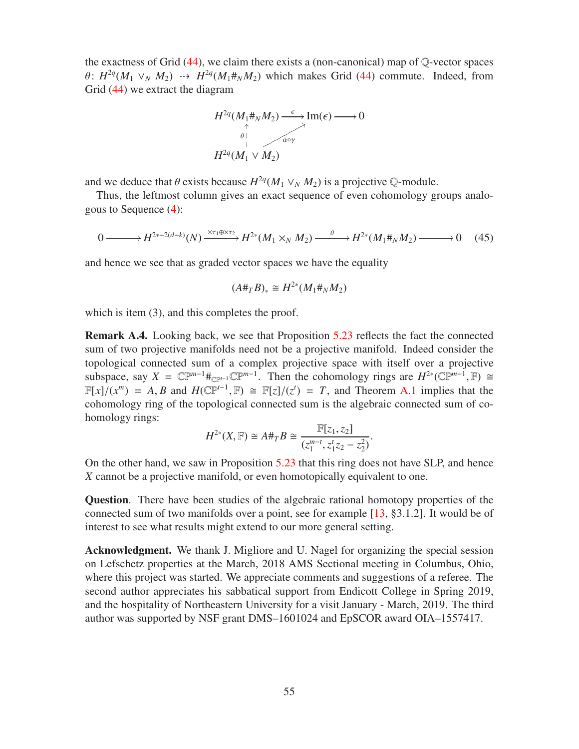the exactness of Grid  $(44)$ , we claim there exists a (non-canonical) map of  $\mathbb{Q}$ -vector spaces  $\theta$ :  $H^{2q}(M_1 \vee_N M_2) \rightarrow H^{2q}(M_1 \#_N M_2)$  which makes Grid [\(44\)](#page-53-0) commute. Indeed, from Grid [\(44\)](#page-53-0) we extract the diagram



and we deduce that  $\theta$  exists because  $H^{2q}(M_1 \vee_N M_2)$  is a projective Q-module.

Thus, the leftmost column gives an exact sequence of even cohomology groups analogous to Sequence [\(4\)](#page-12-0):

$$
0 \longrightarrow H^{2*-2(d-k)}(N) \xrightarrow{\times \tau_1 \oplus \times \tau_2} H^{2*}(M_1 \times_N M_2) \xrightarrow{\theta} H^{2*}(M_1 \#_N M_2) \longrightarrow 0 \quad (45)
$$

and hence we see that as graded vector spaces we have the equality

$$
(A\#_T B)_* \cong H^{2*}(M_1\#_N M_2)
$$

which is item (3), and this completes the proof.

<span id="page-54-0"></span>Remark A.4. Looking back, we see that Proposition [5.23](#page-43-0) reflects the fact the connected sum of two projective manifolds need not be a projective manifold. Indeed consider the topological connected sum of a complex projective space with itself over a projective subspace, say  $X = \mathbb{CP}^{m-1} \#_{\mathbb{CP}^{n-1}} \mathbb{CP}^{m-1}$ . Then the cohomology rings are  $H^{2*}(\mathbb{CP}^{m-1}, \mathbb{F}) \cong$  $\mathbb{F}[x]/(x^m) = A, B$  and  $H(\mathbb{CP}^{t-1}, \mathbb{F}) \cong \mathbb{F}[z]/(z^t) = T$ , and Theorem [A.1](#page-48-0) implies that the cohomology ring of the topological connected sum is the algebraic connected sum of cohomology rings:

$$
H^{2*}(X,\mathbb{F}) \cong A \#_T B \cong \frac{\mathbb{F}[z_1,z_2]}{(z_1^{m-t}, z_1^t z_2 - z_2^2)}.
$$

On the other hand, we saw in Proposition [5.23](#page-43-0) that this ring does not have SLP, and hence *X* cannot be a projective manifold, or even homotopically equivalent to one.

Question. There have been studies of the algebraic rational homotopy properties of the connected sum of two manifolds over a point, see for example [\[13,](#page-55-14) §3.1.2]. It would be of interest to see what results might extend to our more general setting.

Acknowledgment. We thank J. Migliore and U. Nagel for organizing the special session on Lefschetz properties at the March, 2018 AMS Sectional meeting in Columbus, Ohio, where this project was started. We appreciate comments and suggestions of a referee. The second author appreciates his sabbatical support from Endicott College in Spring 2019, and the hospitality of Northeastern University for a visit January - March, 2019. The third author was supported by NSF grant DMS–1601024 and EpSCOR award OIA–1557417.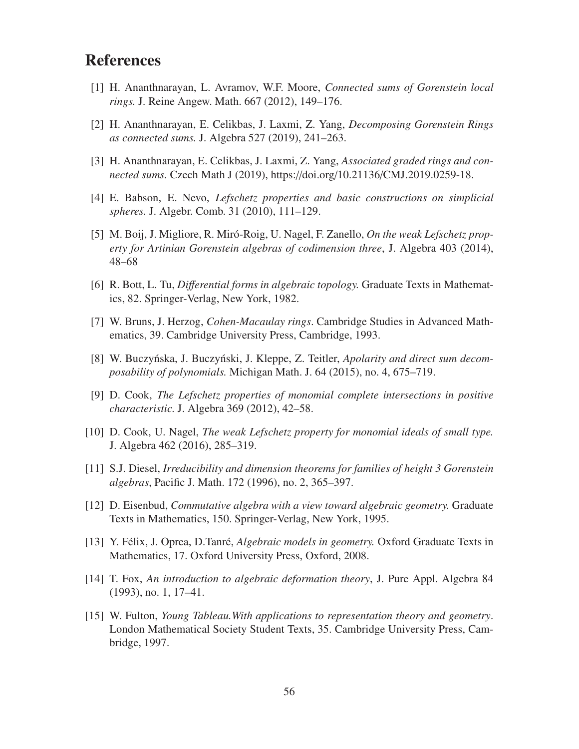## <span id="page-55-0"></span>**References**

- <span id="page-55-2"></span>[1] H. Ananthnarayan, L. Avramov, W.F. Moore, *Connected sums of Gorenstein local rings.* J. Reine Angew. Math. 667 (2012), 149–176.
- <span id="page-55-3"></span>[2] H. Ananthnarayan, E. Celikbas, J. Laxmi, Z. Yang, *Decomposing Gorenstein Rings as connected sums.* J. Algebra 527 (2019), 241–263.
- <span id="page-55-5"></span>[3] H. Ananthnarayan, E. Celikbas, J. Laxmi, Z. Yang, *Associated graded rings and connected sums.* Czech Math J (2019), https://doi.org/10.21136/CMJ.2019.0259-18.
- <span id="page-55-11"></span>[4] E. Babson, E. Nevo, *Lefschetz properties and basic constructions on simplicial spheres.* J. Algebr. Comb. 31 (2010), 111–129.
- [5] M. Boij, J. Migliore, R. Mir´o-Roig, U. Nagel, F. Zanello, *On the weak Lefschetz property for Artinian Gorenstein algebras of codimension three*, J. Algebra 403 (2014), 48–68
- <span id="page-55-6"></span><span id="page-55-1"></span>[6] R. Bott, L. Tu, *Di*ff*erential forms in algebraic topology.* Graduate Texts in Mathematics, 82. Springer-Verlag, New York, 1982.
- [7] W. Bruns, J. Herzog, *Cohen-Macaulay rings*. Cambridge Studies in Advanced Mathematics, 39. Cambridge University Press, Cambridge, 1993.
- <span id="page-55-4"></span>[8] W. Buczyńska, J. Buczyński, J. Kleppe, Z. Teitler, *Apolarity and direct sum decomposability of polynomials.* Michigan Math. J. 64 (2015), no. 4, 675–719.
- <span id="page-55-8"></span>[9] D. Cook, *The Lefschetz properties of monomial complete intersections in positive characteristic.* J. Algebra 369 (2012), 42–58.
- <span id="page-55-9"></span>[10] D. Cook, U. Nagel, *The weak Lefschetz property for monomial ideals of small type.* J. Algebra 462 (2016), 285–319.
- <span id="page-55-12"></span><span id="page-55-7"></span>[11] S.J. Diesel, *Irreducibility and dimension theorems for families of height 3 Gorenstein algebras*, Pacific J. Math. 172 (1996), no. 2, 365–397.
- [12] D. Eisenbud, *Commutative algebra with a view toward algebraic geometry.* Graduate Texts in Mathematics, 150. Springer-Verlag, New York, 1995.
- <span id="page-55-14"></span>[13] Y. Félix, J. Oprea, D.Tanré, *Algebraic models in geometry*. Oxford Graduate Texts in Mathematics, 17. Oxford University Press, Oxford, 2008.
- <span id="page-55-13"></span><span id="page-55-10"></span>[14] T. Fox, *An introduction to algebraic deformation theory*, J. Pure Appl. Algebra 84 (1993), no. 1, 17–41.
- [15] W. Fulton, *Young Tableau.With applications to representation theory and geometry*. London Mathematical Society Student Texts, 35. Cambridge University Press, Cambridge, 1997.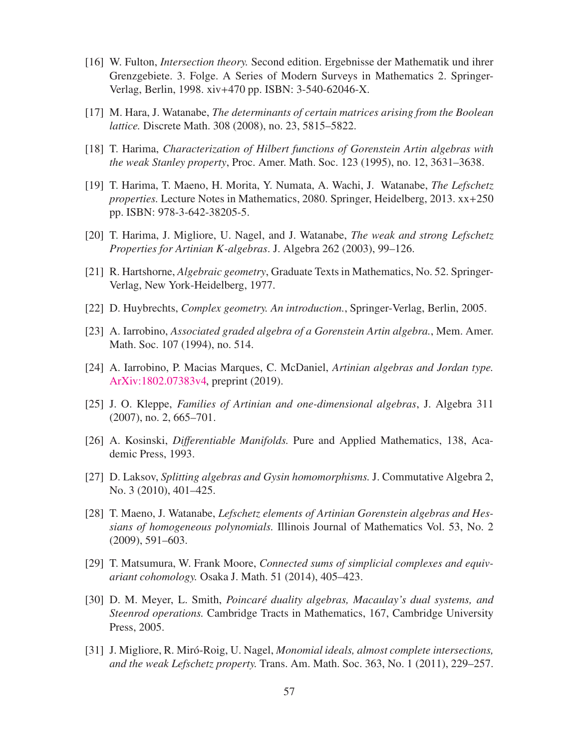- <span id="page-56-13"></span>[16] W. Fulton, *Intersection theory.* Second edition. Ergebnisse der Mathematik und ihrer Grenzgebiete. 3. Folge. A Series of Modern Surveys in Mathematics 2. Springer-Verlag, Berlin, 1998. xiv+470 pp. ISBN: 3-540-62046-X.
- <span id="page-56-10"></span><span id="page-56-6"></span>[17] M. Hara, J. Watanabe, *The determinants of certain matrices arising from the Boolean lattice.* Discrete Math. 308 (2008), no. 23, 5815–5822.
- <span id="page-56-3"></span>[18] T. Harima, *Characterization of Hilbert functions of Gorenstein Artin algebras with the weak Stanley property*, Proc. Amer. Math. Soc. 123 (1995), no. 12, 3631–3638.
- [19] T. Harima, T. Maeno, H. Morita, Y. Numata, A. Wachi, J. Watanabe, *The Lefschetz properties.* Lecture Notes in Mathematics, 2080. Springer, Heidelberg, 2013. xx+250 pp. ISBN: 978-3-642-38205-5.
- <span id="page-56-9"></span><span id="page-56-4"></span>[20] T. Harima, J. Migliore, U. Nagel, and J. Watanabe, *The weak and strong Lefschetz Properties for Artinian K-algebras*. J. Algebra 262 (2003), 99–126.
- <span id="page-56-8"></span>[21] R. Hartshorne, *Algebraic geometry*, Graduate Texts in Mathematics, No. 52. Springer-Verlag, New York-Heidelberg, 1977.
- <span id="page-56-7"></span>[22] D. Huybrechts, *Complex geometry. An introduction.*, Springer-Verlag, Berlin, 2005.
- <span id="page-56-11"></span>[23] A. Iarrobino, *Associated graded algebra of a Gorenstein Artin algebra.*, Mem. Amer. Math. Soc. 107 (1994), no. 514.
- <span id="page-56-12"></span>[24] A. Iarrobino, P. Macias Marques, C. McDaniel, *Artinian algebras and Jordan type.* [ArXiv:1802.07383v4,](https://arxiv.org/abs/1802.07383) preprint (2019).
- <span id="page-56-0"></span>[25] J. O. Kleppe, *Families of Artinian and one-dimensional algebras*, J. Algebra 311 (2007), no. 2, 665–701.
- <span id="page-56-14"></span>[26] A. Kosinski, *Di*ff*erentiable Manifolds.* Pure and Applied Mathematics, 138, Academic Press, 1993.
- <span id="page-56-5"></span>[27] D. Laksov, *Splitting algebras and Gysin homomorphisms.* J. Commutative Algebra 2, No. 3 (2010), 401–425.
- [28] T. Maeno, J. Watanabe, *Lefschetz elements of Artinian Gorenstein algebras and Hessians of homogeneous polynomials.* Illinois Journal of Mathematics Vol. 53, No. 2 (2009), 591–603.
- <span id="page-56-2"></span><span id="page-56-1"></span>[29] T. Matsumura, W. Frank Moore, *Connected sums of simplicial complexes and equivariant cohomology.* Osaka J. Math. 51 (2014), 405–423.
- [30] D. M. Meyer, L. Smith, *Poincaré duality algebras, Macaulay's dual systems, and Steenrod operations.* Cambridge Tracts in Mathematics, 167, Cambridge University Press, 2005.
- [31] J. Migliore, R. Miró-Roig, U. Nagel, *Monomial ideals, almost complete intersections*, *and the weak Lefschetz property.* Trans. Am. Math. Soc. 363, No. 1 (2011), 229–257.